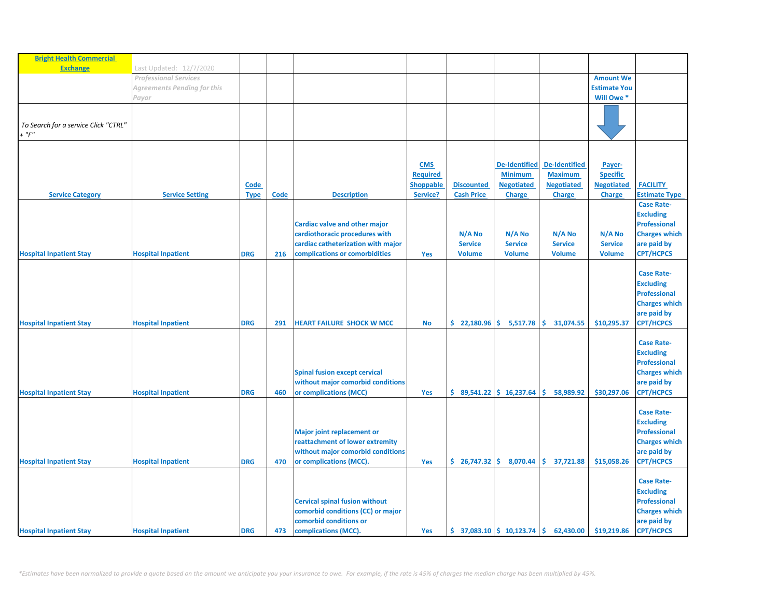| <b>Bright Health Commercial</b><br><b>Exchange</b> |                                                         |             |      |                                       |                  |                   |                                                               |                      |                     |                      |
|----------------------------------------------------|---------------------------------------------------------|-------------|------|---------------------------------------|------------------|-------------------|---------------------------------------------------------------|----------------------|---------------------|----------------------|
|                                                    | Last Updated: 12/7/2020<br><b>Professional Services</b> |             |      |                                       |                  |                   |                                                               |                      | <b>Amount We</b>    |                      |
|                                                    |                                                         |             |      |                                       |                  |                   |                                                               |                      | <b>Estimate You</b> |                      |
|                                                    | Agreements Pending for this                             |             |      |                                       |                  |                   |                                                               |                      | Will Owe *          |                      |
|                                                    | Payor                                                   |             |      |                                       |                  |                   |                                                               |                      |                     |                      |
|                                                    |                                                         |             |      |                                       |                  |                   |                                                               |                      |                     |                      |
| To Search for a service Click "CTRL"               |                                                         |             |      |                                       |                  |                   |                                                               |                      |                     |                      |
| $+$ " $F$ "                                        |                                                         |             |      |                                       |                  |                   |                                                               |                      |                     |                      |
|                                                    |                                                         |             |      |                                       |                  |                   |                                                               |                      |                     |                      |
|                                                    |                                                         |             |      |                                       |                  |                   |                                                               |                      |                     |                      |
|                                                    |                                                         |             |      |                                       | <b>CMS</b>       |                   | <b>De-Identified</b>                                          | <b>De-Identified</b> | Payer-              |                      |
|                                                    |                                                         |             |      |                                       | <b>Required</b>  |                   | <b>Minimum</b>                                                | <b>Maximum</b>       | <b>Specific</b>     |                      |
|                                                    |                                                         | Code        |      |                                       | <b>Shoppable</b> | <b>Discounted</b> | <b>Negotiated</b>                                             | <b>Negotiated</b>    | <b>Negotiated</b>   | <b>FACILITY</b>      |
| <b>Service Category</b>                            | <b>Service Setting</b>                                  | <b>Type</b> | Code | <b>Description</b>                    | Service?         | <b>Cash Price</b> | <b>Charge</b>                                                 | <b>Charge</b>        | <b>Charge</b>       | <b>Estimate Type</b> |
|                                                    |                                                         |             |      |                                       |                  |                   |                                                               |                      |                     | <b>Case Rate-</b>    |
|                                                    |                                                         |             |      |                                       |                  |                   |                                                               |                      |                     | <b>Excluding</b>     |
|                                                    |                                                         |             |      | Cardiac valve and other major         |                  |                   |                                                               |                      |                     | <b>Professional</b>  |
|                                                    |                                                         |             |      | cardiothoracic procedures with        |                  | N/A No            | N/A No                                                        | N/A No               | N/A No              | <b>Charges which</b> |
|                                                    |                                                         |             |      | cardiac catheterization with major    |                  | <b>Service</b>    | <b>Service</b>                                                | <b>Service</b>       | <b>Service</b>      | are paid by          |
| <b>Hospital Inpatient Stay</b>                     | <b>Hospital Inpatient</b>                               | <b>DRG</b>  | 216  | complications or comorbidities        | Yes              | <b>Volume</b>     | <b>Volume</b>                                                 | <b>Volume</b>        | <b>Volume</b>       | <b>CPT/HCPCS</b>     |
|                                                    |                                                         |             |      |                                       |                  |                   |                                                               |                      |                     |                      |
|                                                    |                                                         |             |      |                                       |                  |                   |                                                               |                      |                     | <b>Case Rate-</b>    |
|                                                    |                                                         |             |      |                                       |                  |                   |                                                               |                      |                     | <b>Excluding</b>     |
|                                                    |                                                         |             |      |                                       |                  |                   |                                                               |                      |                     | <b>Professional</b>  |
|                                                    |                                                         |             |      |                                       |                  |                   |                                                               |                      |                     | <b>Charges which</b> |
|                                                    |                                                         |             |      |                                       |                  |                   |                                                               |                      |                     | are paid by          |
| <b>Hospital Inpatient Stay</b>                     | <b>Hospital Inpatient</b>                               | <b>DRG</b>  | 291  | <b>HEART FAILURE SHOCK W MCC</b>      | <b>No</b>        |                   | $\frac{1}{2}$ 22,180.96 $\frac{1}{2}$ 5,517.78                | \$.<br>31,074.55     | \$10,295.37         | <b>CPT/HCPCS</b>     |
|                                                    |                                                         |             |      |                                       |                  |                   |                                                               |                      |                     |                      |
|                                                    |                                                         |             |      |                                       |                  |                   |                                                               |                      |                     | <b>Case Rate-</b>    |
|                                                    |                                                         |             |      |                                       |                  |                   |                                                               |                      |                     | <b>Excluding</b>     |
|                                                    |                                                         |             |      |                                       |                  |                   |                                                               |                      |                     | <b>Professional</b>  |
|                                                    |                                                         |             |      | <b>Spinal fusion except cervical</b>  |                  |                   |                                                               |                      |                     | <b>Charges which</b> |
|                                                    |                                                         |             |      | without major comorbid conditions     |                  |                   |                                                               |                      |                     | are paid by          |
| <b>Hospital Inpatient Stay</b>                     | <b>Hospital Inpatient</b>                               | <b>DRG</b>  | 460  | or complications (MCC)                | Yes              |                   | $$89,541.22 \mid $16,237.64$                                  | Ŝ.<br>58,989.92      | \$30,297.06         | <b>CPT/HCPCS</b>     |
|                                                    |                                                         |             |      |                                       |                  |                   |                                                               |                      |                     |                      |
|                                                    |                                                         |             |      |                                       |                  |                   |                                                               |                      |                     | <b>Case Rate-</b>    |
|                                                    |                                                         |             |      |                                       |                  |                   |                                                               |                      |                     | <b>Excluding</b>     |
|                                                    |                                                         |             |      | <b>Major joint replacement or</b>     |                  |                   |                                                               |                      |                     | <b>Professional</b>  |
|                                                    |                                                         |             |      | reattachment of lower extremity       |                  |                   |                                                               |                      |                     | <b>Charges which</b> |
|                                                    |                                                         |             |      | without major comorbid conditions     |                  |                   |                                                               |                      |                     | are paid by          |
| <b>Hospital Inpatient Stay</b>                     | <b>Hospital Inpatient</b>                               | <b>DRG</b>  | 470  | or complications (MCC).               | Yes              |                   | $$26,747.32 \mid $8,070.44]$                                  | \$37,721.88          | \$15,058.26         | <b>CPT/HCPCS</b>     |
|                                                    |                                                         |             |      |                                       |                  |                   |                                                               |                      |                     |                      |
|                                                    |                                                         |             |      |                                       |                  |                   |                                                               |                      |                     | <b>Case Rate-</b>    |
|                                                    |                                                         |             |      |                                       |                  |                   |                                                               |                      |                     | <b>Excluding</b>     |
|                                                    |                                                         |             |      | <b>Cervical spinal fusion without</b> |                  |                   |                                                               |                      |                     | <b>Professional</b>  |
|                                                    |                                                         |             |      | comorbid conditions (CC) or major     |                  |                   |                                                               |                      |                     | <b>Charges which</b> |
|                                                    |                                                         |             |      | comorbid conditions or                |                  |                   |                                                               |                      |                     | are paid by          |
|                                                    |                                                         |             |      |                                       |                  |                   |                                                               |                      |                     |                      |
| <b>Hospital Inpatient Stay</b>                     | <b>Hospital Inpatient</b>                               | <b>DRG</b>  | 473  | complications (MCC).                  | Yes              |                   | $\frac{1}{2}$ 37,083.10 $\frac{1}{2}$ 10,123.74 $\frac{1}{2}$ | 62,430.00            | \$19,219.86         | <b>CPT/HCPCS</b>     |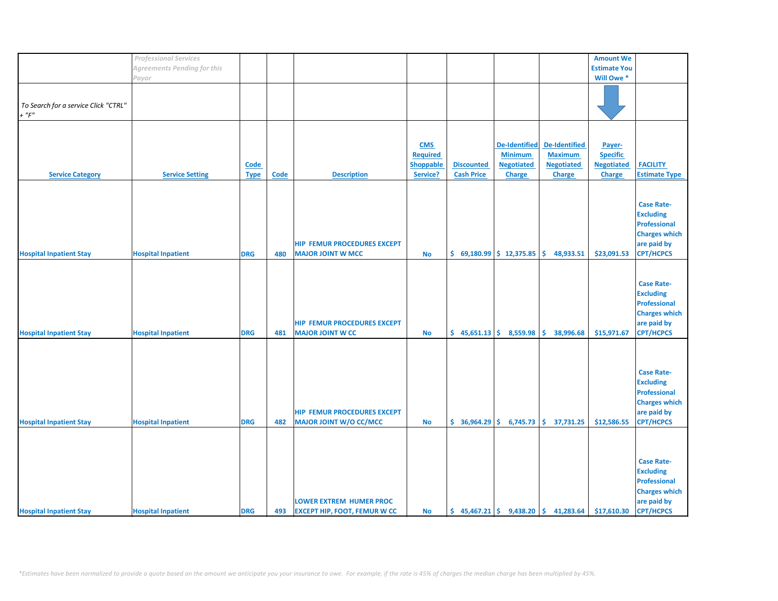|                                      | <b>Professional Services</b> |             |             |                                     |                 |                   |                             |                                                                           | <b>Amount We</b>    |                      |
|--------------------------------------|------------------------------|-------------|-------------|-------------------------------------|-----------------|-------------------|-----------------------------|---------------------------------------------------------------------------|---------------------|----------------------|
|                                      |                              |             |             |                                     |                 |                   |                             |                                                                           |                     |                      |
|                                      | Agreements Pending for this  |             |             |                                     |                 |                   |                             |                                                                           | <b>Estimate You</b> |                      |
|                                      | Payor                        |             |             |                                     |                 |                   |                             |                                                                           | Will Owe*           |                      |
|                                      |                              |             |             |                                     |                 |                   |                             |                                                                           |                     |                      |
|                                      |                              |             |             |                                     |                 |                   |                             |                                                                           |                     |                      |
| To Search for a service Click "CTRL" |                              |             |             |                                     |                 |                   |                             |                                                                           |                     |                      |
|                                      |                              |             |             |                                     |                 |                   |                             |                                                                           |                     |                      |
| $+$ " $F$ "                          |                              |             |             |                                     |                 |                   |                             |                                                                           |                     |                      |
|                                      |                              |             |             |                                     |                 |                   |                             |                                                                           |                     |                      |
|                                      |                              |             |             |                                     |                 |                   |                             |                                                                           |                     |                      |
|                                      |                              |             |             |                                     | <b>CMS</b>      |                   | <b>De-Identified</b>        | De-Identified                                                             | Payer-              |                      |
|                                      |                              |             |             |                                     |                 |                   |                             |                                                                           |                     |                      |
|                                      |                              |             |             |                                     | <b>Required</b> |                   | <b>Minimum</b>              | <b>Maximum</b>                                                            | <b>Specific</b>     |                      |
|                                      |                              | <b>Code</b> |             |                                     | Shoppable       | <b>Discounted</b> | <b>Negotiated</b>           | <b>Negotiated</b>                                                         | <b>Negotiated</b>   | <b>FACILITY</b>      |
| <b>Service Category</b>              | <b>Service Setting</b>       | <b>Type</b> | <b>Code</b> | <b>Description</b>                  | Service?        | <b>Cash Price</b> | Charge                      | Charge                                                                    | <b>Charge</b>       | <b>Estimate Type</b> |
|                                      |                              |             |             |                                     |                 |                   |                             |                                                                           |                     |                      |
|                                      |                              |             |             |                                     |                 |                   |                             |                                                                           |                     |                      |
|                                      |                              |             |             |                                     |                 |                   |                             |                                                                           |                     |                      |
|                                      |                              |             |             |                                     |                 |                   |                             |                                                                           |                     | <b>Case Rate-</b>    |
|                                      |                              |             |             |                                     |                 |                   |                             |                                                                           |                     | <b>Excluding</b>     |
|                                      |                              |             |             |                                     |                 |                   |                             |                                                                           |                     | <b>Professional</b>  |
|                                      |                              |             |             |                                     |                 |                   |                             |                                                                           |                     |                      |
|                                      |                              |             |             |                                     |                 |                   |                             |                                                                           |                     | <b>Charges which</b> |
|                                      |                              |             |             | <b>HIP FEMUR PROCEDURES EXCEPT</b>  |                 |                   |                             |                                                                           |                     | are paid by          |
| <b>Hospital Inpatient Stay</b>       | <b>Hospital Inpatient</b>    | <b>DRG</b>  | 480         | <b>MAJOR JOINT W MCC</b>            | <b>No</b>       |                   | $$69,180.99$$ $$12,375.85$  | \$.<br>48,933.51                                                          | \$23,091.53         | <b>CPT/HCPCS</b>     |
|                                      |                              |             |             |                                     |                 |                   |                             |                                                                           |                     |                      |
|                                      |                              |             |             |                                     |                 |                   |                             |                                                                           |                     |                      |
|                                      |                              |             |             |                                     |                 |                   |                             |                                                                           |                     |                      |
|                                      |                              |             |             |                                     |                 |                   |                             |                                                                           |                     | <b>Case Rate-</b>    |
|                                      |                              |             |             |                                     |                 |                   |                             |                                                                           |                     | <b>Excluding</b>     |
|                                      |                              |             |             |                                     |                 |                   |                             |                                                                           |                     | <b>Professional</b>  |
|                                      |                              |             |             |                                     |                 |                   |                             |                                                                           |                     |                      |
|                                      |                              |             |             |                                     |                 |                   |                             |                                                                           |                     | <b>Charges which</b> |
|                                      |                              |             |             | <b>HIP FEMUR PROCEDURES EXCEPT</b>  |                 |                   |                             |                                                                           |                     | are paid by          |
| <b>Hospital Inpatient Stay</b>       | <b>Hospital Inpatient</b>    | <b>DRG</b>  | 481         | <b>MAJOR JOINT W CC</b>             | <b>No</b>       |                   | $$45,651.13 \mid $8,559.98$ | \$.<br>38,996.68                                                          | \$15,971.67         | <b>CPT/HCPCS</b>     |
|                                      |                              |             |             |                                     |                 |                   |                             |                                                                           |                     |                      |
|                                      |                              |             |             |                                     |                 |                   |                             |                                                                           |                     |                      |
|                                      |                              |             |             |                                     |                 |                   |                             |                                                                           |                     |                      |
|                                      |                              |             |             |                                     |                 |                   |                             |                                                                           |                     |                      |
|                                      |                              |             |             |                                     |                 |                   |                             |                                                                           |                     | <b>Case Rate-</b>    |
|                                      |                              |             |             |                                     |                 |                   |                             |                                                                           |                     | <b>Excluding</b>     |
|                                      |                              |             |             |                                     |                 |                   |                             |                                                                           |                     | <b>Professional</b>  |
|                                      |                              |             |             |                                     |                 |                   |                             |                                                                           |                     |                      |
|                                      |                              |             |             |                                     |                 |                   |                             |                                                                           |                     | <b>Charges which</b> |
|                                      |                              |             |             | <b>HIP FEMUR PROCEDURES EXCEPT</b>  |                 |                   |                             |                                                                           |                     | are paid by          |
| <b>Hospital Inpatient Stay</b>       | <b>Hospital Inpatient</b>    | <b>DRG</b>  | 482         | MAJOR JOINT W/O CC/MCC              | <b>No</b>       |                   | $$36,964.29 \mid $6,745.73$ | \$37,731.25                                                               | \$12,586.55         | <b>CPT/HCPCS</b>     |
|                                      |                              |             |             |                                     |                 |                   |                             |                                                                           |                     |                      |
|                                      |                              |             |             |                                     |                 |                   |                             |                                                                           |                     |                      |
|                                      |                              |             |             |                                     |                 |                   |                             |                                                                           |                     |                      |
|                                      |                              |             |             |                                     |                 |                   |                             |                                                                           |                     |                      |
|                                      |                              |             |             |                                     |                 |                   |                             |                                                                           |                     | <b>Case Rate-</b>    |
|                                      |                              |             |             |                                     |                 |                   |                             |                                                                           |                     | <b>Excluding</b>     |
|                                      |                              |             |             |                                     |                 |                   |                             |                                                                           |                     |                      |
|                                      |                              |             |             |                                     |                 |                   |                             |                                                                           |                     | <b>Professional</b>  |
|                                      |                              |             |             |                                     |                 |                   |                             |                                                                           |                     | <b>Charges which</b> |
|                                      |                              |             |             | <b>LOWER EXTREM HUMER PROC</b>      |                 |                   |                             |                                                                           |                     | are paid by          |
| <b>Hospital Inpatient Stay</b>       | <b>Hospital Inpatient</b>    | <b>DRG</b>  | 493         | <b>EXCEPT HIP, FOOT, FEMUR W CC</b> | <b>No</b>       |                   |                             | $\binom{1}{2}$ 45,467.21 $\binom{2}{3}$ 9,438.20 $\binom{3}{3}$ 41,283.64 | \$17,610.30         | <b>CPT/HCPCS</b>     |
|                                      |                              |             |             |                                     |                 |                   |                             |                                                                           |                     |                      |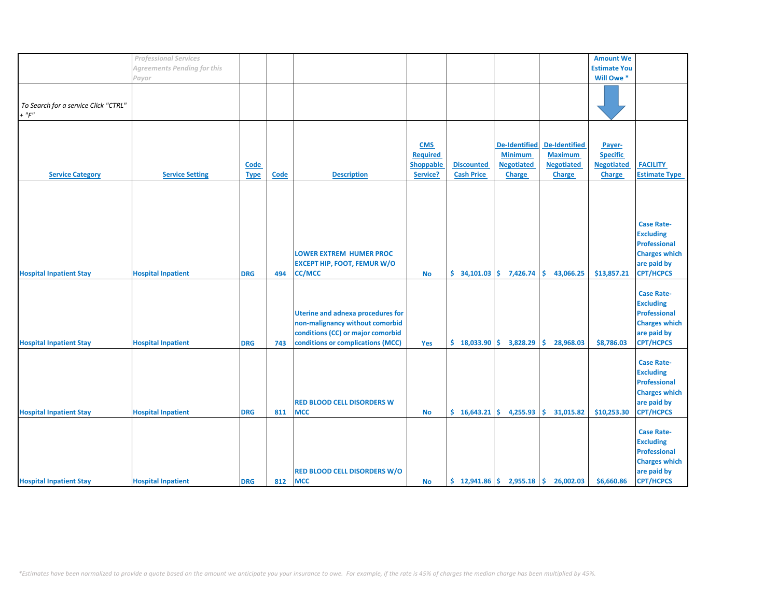|                                                     | <b>Professional Services</b>       |                            |      |                                                                                                                                                       |                                                        |                                                              |                                                                              |                                                                       | <b>Amount We</b>                                                |                                                                                                                         |
|-----------------------------------------------------|------------------------------------|----------------------------|------|-------------------------------------------------------------------------------------------------------------------------------------------------------|--------------------------------------------------------|--------------------------------------------------------------|------------------------------------------------------------------------------|-----------------------------------------------------------------------|-----------------------------------------------------------------|-------------------------------------------------------------------------------------------------------------------------|
|                                                     | <b>Agreements Pending for this</b> |                            |      |                                                                                                                                                       |                                                        |                                                              |                                                                              |                                                                       | <b>Estimate You</b>                                             |                                                                                                                         |
|                                                     | Payor                              |                            |      |                                                                                                                                                       |                                                        |                                                              |                                                                              |                                                                       | Will Owe *                                                      |                                                                                                                         |
| To Search for a service Click "CTRL"<br>$+$ " $F$ " |                                    |                            |      |                                                                                                                                                       |                                                        |                                                              |                                                                              |                                                                       |                                                                 |                                                                                                                         |
| <b>Service Category</b>                             | <b>Service Setting</b>             | <b>Code</b><br><b>Type</b> | Code | <b>Description</b>                                                                                                                                    | <b>CMS</b><br><b>Required</b><br>Shoppable<br>Service? | <b>Discounted</b><br><b>Cash Price</b>                       | <b>De-Identified</b><br><b>Minimum</b><br><b>Negotiated</b><br><b>Charge</b> | <b>De-Identified</b><br><b>Maximum</b><br><b>Negotiated</b><br>Charge | Payer-<br><b>Specific</b><br><b>Negotiated</b><br><b>Charge</b> | <b>FACILITY</b><br><b>Estimate Type</b>                                                                                 |
|                                                     |                                    |                            |      |                                                                                                                                                       |                                                        |                                                              |                                                                              |                                                                       |                                                                 |                                                                                                                         |
| <b>Hospital Inpatient Stay</b>                      | <b>Hospital Inpatient</b>          | <b>DRG</b>                 | 494  | <b>LOWER EXTREM HUMER PROC</b><br><b>EXCEPT HIP, FOOT, FEMUR W/O</b><br><b>CC/MCC</b>                                                                 | <b>No</b>                                              | \$34,101.03                                                  | 7,426.74                                                                     | \$<br>43,066.25                                                       | \$13,857.21                                                     | <b>Case Rate-</b><br><b>Excluding</b><br><b>Professional</b><br><b>Charges which</b><br>are paid by<br><b>CPT/HCPCS</b> |
| <b>Hospital Inpatient Stay</b>                      | <b>Hospital Inpatient</b>          | <b>DRG</b>                 | 743  | <b>Uterine and adnexa procedures for</b><br>non-malignancy without comorbid<br>conditions (CC) or major comorbid<br>conditions or complications (MCC) | Yes                                                    | \$18,033.90                                                  | 3,828.29                                                                     | Ŝ.<br>28,968.03                                                       | \$8,786.03                                                      | <b>Case Rate-</b><br><b>Excluding</b><br><b>Professional</b><br><b>Charges which</b><br>are paid by<br><b>CPT/HCPCS</b> |
| <b>Hospital Inpatient Stay</b>                      | <b>Hospital Inpatient</b>          | <b>DRG</b>                 | 811  | <b>RED BLOOD CELL DISORDERS W</b><br><b>MCC</b>                                                                                                       | No                                                     | \$16,643.21                                                  | 4,255.93                                                                     | \$.<br>31,015.82                                                      | \$10,253.30                                                     | <b>Case Rate-</b><br><b>Excluding</b><br><b>Professional</b><br><b>Charges which</b><br>are paid by<br><b>CPT/HCPCS</b> |
| <b>Hospital Inpatient Stay</b>                      | <b>Hospital Inpatient</b>          | <b>DRG</b>                 | 812  | <b>RED BLOOD CELL DISORDERS W/O</b><br><b>MCC</b>                                                                                                     | No                                                     | $\frac{1}{2}$ 12,941.86 $\frac{1}{2}$ 2,955.18 $\frac{1}{2}$ |                                                                              | 26,002.03                                                             | \$6,660.86                                                      | <b>Case Rate-</b><br><b>Excluding</b><br><b>Professional</b><br><b>Charges which</b><br>are paid by<br><b>CPT/HCPCS</b> |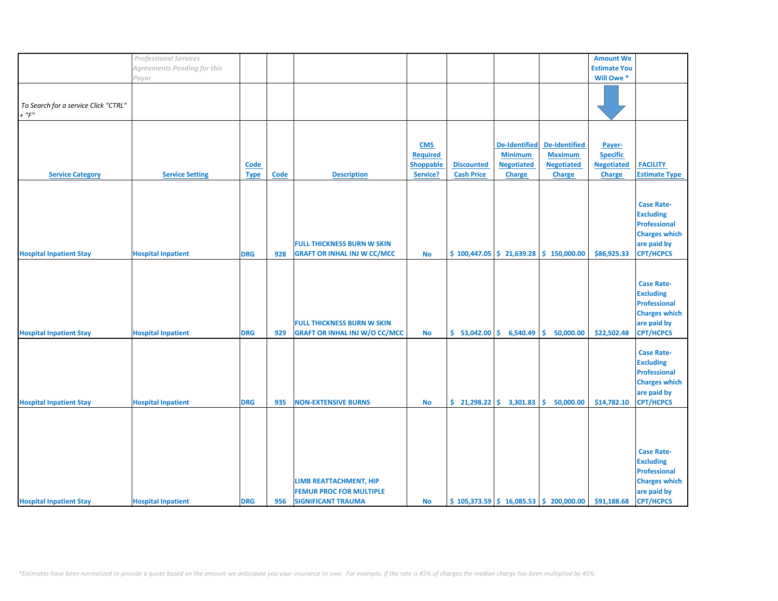|                                                    | <b>Professional Services</b>       |                            |             |                                                                                       |                                                        |                                                |                                                                              |                                                                           | <b>Amount We</b>                                         |                                                                                                                         |
|----------------------------------------------------|------------------------------------|----------------------------|-------------|---------------------------------------------------------------------------------------|--------------------------------------------------------|------------------------------------------------|------------------------------------------------------------------------------|---------------------------------------------------------------------------|----------------------------------------------------------|-------------------------------------------------------------------------------------------------------------------------|
|                                                    |                                    |                            |             |                                                                                       |                                                        |                                                |                                                                              |                                                                           |                                                          |                                                                                                                         |
|                                                    | <b>Agreements Pending for this</b> |                            |             |                                                                                       |                                                        |                                                |                                                                              |                                                                           | <b>Estimate You</b>                                      |                                                                                                                         |
|                                                    | Payor                              |                            |             |                                                                                       |                                                        |                                                |                                                                              |                                                                           | Will Owe *                                               |                                                                                                                         |
| To Search for a service Click "CTRL"<br>$+$ " $F"$ |                                    |                            |             |                                                                                       |                                                        |                                                |                                                                              |                                                                           |                                                          |                                                                                                                         |
| <b>Service Category</b>                            | <b>Service Setting</b>             | <b>Code</b><br><b>Type</b> | <b>Code</b> | <b>Description</b>                                                                    | <b>CMS</b><br><b>Required</b><br>Shoppable<br>Service? | <b>Discounted</b><br><b>Cash Price</b>         | <b>De-Identified</b><br><b>Minimum</b><br><b>Negotiated</b><br><b>Charge</b> | <b>De-Identified</b><br><b>Maximum</b><br><b>Negotiated</b><br>Charge     | Payer-<br><b>Specific</b><br><b>Negotiated</b><br>Charge | <b>FACILITY</b><br><b>Estimate Type</b>                                                                                 |
| <b>Hospital Inpatient Stay</b>                     | <b>Hospital Inpatient</b>          | <b>DRG</b>                 | 928         | <b>FULL THICKNESS BURN W SKIN</b><br><b>GRAFT OR INHAL INJ W CC/MCC</b>               | <b>No</b>                                              |                                                |                                                                              | $$100,447.05 \mid $21,639.28 \mid $150,000.00$                            | \$86,925.33                                              | <b>Case Rate-</b><br><b>Excluding</b><br><b>Professional</b><br><b>Charges which</b><br>are paid by<br><b>CPT/HCPCS</b> |
| <b>Hospital Inpatient Stay</b>                     | <b>Hospital Inpatient</b>          | <b>DRG</b>                 | 929         | <b>FULL THICKNESS BURN W SKIN</b><br><b>GRAFT OR INHAL INJ W/O CC/MCC</b>             | <b>No</b>                                              | $$53,042.00 \;   \; $6,540.49$                 |                                                                              | \$.<br>50,000.00                                                          | \$22,502.48                                              | <b>Case Rate-</b><br><b>Excluding</b><br><b>Professional</b><br><b>Charges which</b><br>are paid by<br><b>CPT/HCPCS</b> |
| <b>Hospital Inpatient Stay</b>                     | <b>Hospital Inpatient</b>          | <b>DRG</b>                 | 935         | <b>NON-EXTENSIVE BURNS</b>                                                            | <b>No</b>                                              | $\frac{1}{2}$ 21,298.22 $\frac{1}{2}$ 3,301.83 |                                                                              | Ŝ.<br>50,000.00                                                           | \$14,782.10                                              | <b>Case Rate-</b><br><b>Excluding</b><br><b>Professional</b><br><b>Charges which</b><br>are paid by<br><b>CPT/HCPCS</b> |
| <b>Hospital Inpatient Stay</b>                     | <b>Hospital Inpatient</b>          | <b>DRG</b>                 | 956         | LIMB REATTACHMENT, HIP<br><b>FEMUR PROC FOR MULTIPLE</b><br><b>SIGNIFICANT TRAUMA</b> | <b>No</b>                                              |                                                |                                                                              | $\frac{1}{2}$ 105,373.59 $\frac{1}{2}$ 16,085.53 $\frac{1}{2}$ 200,000.00 | \$91,188.68                                              | <b>Case Rate-</b><br><b>Excluding</b><br><b>Professional</b><br><b>Charges which</b><br>are paid by<br><b>CPT/HCPCS</b> |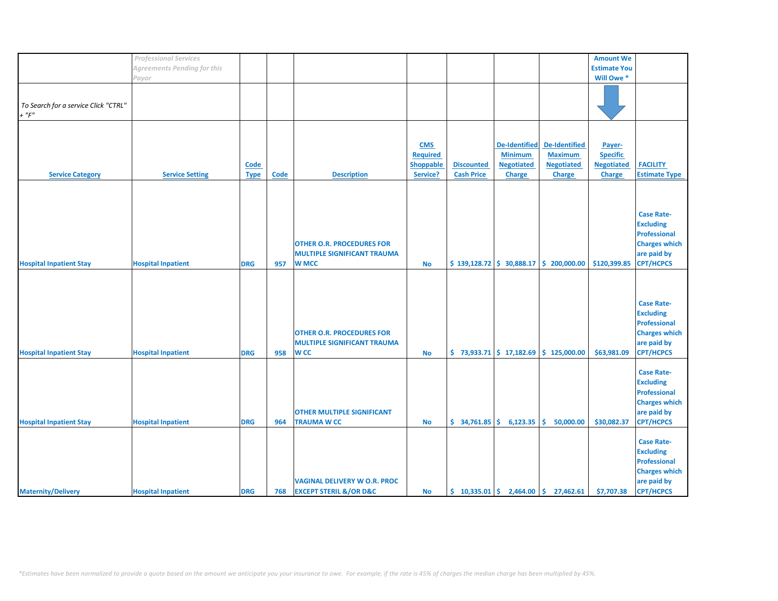|                                                    | <b>Professional Services</b>       |                            |      |                                                                                        |                                                        |                                        |                                                                              |                                                                              | <b>Amount We</b>                                                |                                                                                                                         |
|----------------------------------------------------|------------------------------------|----------------------------|------|----------------------------------------------------------------------------------------|--------------------------------------------------------|----------------------------------------|------------------------------------------------------------------------------|------------------------------------------------------------------------------|-----------------------------------------------------------------|-------------------------------------------------------------------------------------------------------------------------|
|                                                    |                                    |                            |      |                                                                                        |                                                        |                                        |                                                                              |                                                                              |                                                                 |                                                                                                                         |
|                                                    | <b>Agreements Pending for this</b> |                            |      |                                                                                        |                                                        |                                        |                                                                              |                                                                              | <b>Estimate You</b>                                             |                                                                                                                         |
|                                                    | Payor                              |                            |      |                                                                                        |                                                        |                                        |                                                                              |                                                                              | Will Owe *                                                      |                                                                                                                         |
| To Search for a service Click "CTRL"<br>$+$ " $F"$ |                                    |                            |      |                                                                                        |                                                        |                                        |                                                                              |                                                                              |                                                                 |                                                                                                                         |
| <b>Service Category</b>                            | <b>Service Setting</b>             | <b>Code</b><br><b>Type</b> | Code | <b>Description</b>                                                                     | <b>CMS</b><br><b>Required</b><br>Shoppable<br>Service? | <b>Discounted</b><br><b>Cash Price</b> | <b>De-Identified</b><br><b>Minimum</b><br><b>Negotiated</b><br><b>Charge</b> | <b>De-Identified</b><br><b>Maximum</b><br><b>Negotiated</b><br><b>Charge</b> | Payer-<br><b>Specific</b><br><b>Negotiated</b><br><b>Charge</b> | <b>FACILITY</b><br><b>Estimate Type</b>                                                                                 |
| <b>Hospital Inpatient Stay</b>                     | <b>Hospital Inpatient</b>          | <b>DRG</b>                 | 957  | <b>OTHER O.R. PROCEDURES FOR</b><br><b>MULTIPLE SIGNIFICANT TRAUMA</b><br><b>W MCC</b> | <b>No</b>                                              |                                        |                                                                              | $$139,128.72 \mid $30,888.17 \mid $200,000.00$                               | \$120,399.85                                                    | <b>Case Rate-</b><br><b>Excluding</b><br><b>Professional</b><br><b>Charges which</b><br>are paid by<br><b>CPT/HCPCS</b> |
| <b>Hospital Inpatient Stay</b>                     | <b>Hospital Inpatient</b>          | <b>DRG</b>                 | 958  | <b>OTHER O.R. PROCEDURES FOR</b><br><b>MULTIPLE SIGNIFICANT TRAUMA</b><br><b>WCC</b>   | <b>No</b>                                              |                                        |                                                                              | $$73,933.71$ $$17,182.69$ $$125,000.00$                                      | \$63,981.09                                                     | <b>Case Rate-</b><br><b>Excluding</b><br><b>Professional</b><br><b>Charges which</b><br>are paid by<br><b>CPT/HCPCS</b> |
| <b>Hospital Inpatient Stay</b>                     | <b>Hospital Inpatient</b>          | <b>DRG</b>                 | 964  | <b>OTHER MULTIPLE SIGNIFICANT</b><br><b>TRAUMA W CC</b>                                | <b>No</b>                                              | $$34,761.85 \mid $6,123.35$            |                                                                              | Ŝ.<br>50,000.00                                                              | \$30,082.37                                                     | <b>Case Rate-</b><br><b>Excluding</b><br><b>Professional</b><br><b>Charges which</b><br>are paid by<br><b>CPT/HCPCS</b> |
| <b>Maternity/Delivery</b>                          | <b>Hospital Inpatient</b>          | <b>DRG</b>                 | 768  | <b>VAGINAL DELIVERY W O.R. PROC</b><br><b>EXCEPT STERIL &amp;/OR D&amp;C</b>           | <b>No</b>                                              |                                        |                                                                              | $\binom{10,335.01}{5}$ 2,464.00 $\binom{10,335.01}{5}$ 27,462.61             | \$7,707.38                                                      | <b>Case Rate-</b><br><b>Excluding</b><br>Professional<br><b>Charges which</b><br>are paid by<br><b>CPT/HCPCS</b>        |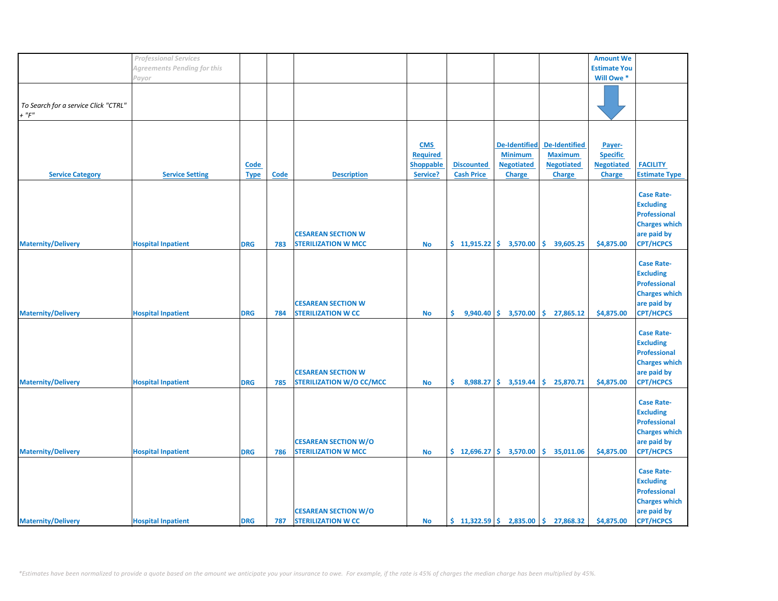|                                      | <b>Professional Services</b> |             |             |                                 |                  |                             |                                                 |                                                        | <b>Amount We</b>    |                      |
|--------------------------------------|------------------------------|-------------|-------------|---------------------------------|------------------|-----------------------------|-------------------------------------------------|--------------------------------------------------------|---------------------|----------------------|
|                                      | Agreements Pending for this  |             |             |                                 |                  |                             |                                                 |                                                        | <b>Estimate You</b> |                      |
|                                      | Payor                        |             |             |                                 |                  |                             |                                                 |                                                        | Will Owe *          |                      |
|                                      |                              |             |             |                                 |                  |                             |                                                 |                                                        |                     |                      |
|                                      |                              |             |             |                                 |                  |                             |                                                 |                                                        |                     |                      |
|                                      |                              |             |             |                                 |                  |                             |                                                 |                                                        |                     |                      |
| To Search for a service Click "CTRL" |                              |             |             |                                 |                  |                             |                                                 |                                                        |                     |                      |
| $+$ " $F$ "                          |                              |             |             |                                 |                  |                             |                                                 |                                                        |                     |                      |
|                                      |                              |             |             |                                 |                  |                             |                                                 |                                                        |                     |                      |
|                                      |                              |             |             |                                 |                  |                             |                                                 |                                                        |                     |                      |
|                                      |                              |             |             |                                 | <b>CMS</b>       |                             | <b>De-Identified</b>                            | De-Identified                                          | Payer-              |                      |
|                                      |                              |             |             |                                 |                  |                             |                                                 |                                                        |                     |                      |
|                                      |                              |             |             |                                 | <b>Required</b>  |                             | <b>Minimum</b>                                  | <b>Maximum</b>                                         | <b>Specific</b>     |                      |
|                                      |                              | Code        |             |                                 | <b>Shoppable</b> | <b>Discounted</b>           | <b>Negotiated</b>                               | <b>Negotiated</b>                                      | <b>Negotiated</b>   | <b>FACILITY</b>      |
| <b>Service Category</b>              | <b>Service Setting</b>       | <b>Type</b> | <b>Code</b> | <b>Description</b>              | Service?         | <b>Cash Price</b>           | <b>Charge</b>                                   | <b>Charge</b>                                          | <b>Charge</b>       | <b>Estimate Type</b> |
|                                      |                              |             |             |                                 |                  |                             |                                                 |                                                        |                     |                      |
|                                      |                              |             |             |                                 |                  |                             |                                                 |                                                        |                     | <b>Case Rate-</b>    |
|                                      |                              |             |             |                                 |                  |                             |                                                 |                                                        |                     |                      |
|                                      |                              |             |             |                                 |                  |                             |                                                 |                                                        |                     | <b>Excluding</b>     |
|                                      |                              |             |             |                                 |                  |                             |                                                 |                                                        |                     | <b>Professional</b>  |
|                                      |                              |             |             |                                 |                  |                             |                                                 |                                                        |                     | <b>Charges which</b> |
|                                      |                              |             |             | <b>CESAREAN SECTION W</b>       |                  |                             |                                                 |                                                        |                     | are paid by          |
|                                      |                              |             |             |                                 |                  |                             |                                                 |                                                        |                     |                      |
| <b>Maternity/Delivery</b>            | <b>Hospital Inpatient</b>    | <b>DRG</b>  | 783         | <b>STERILIZATION W MCC</b>      | <b>No</b>        | $$11,915.22 \mid $3,570.00$ |                                                 | \$.<br>39,605.25                                       | \$4,875.00          | <b>CPT/HCPCS</b>     |
|                                      |                              |             |             |                                 |                  |                             |                                                 |                                                        |                     |                      |
|                                      |                              |             |             |                                 |                  |                             |                                                 |                                                        |                     | <b>Case Rate-</b>    |
|                                      |                              |             |             |                                 |                  |                             |                                                 |                                                        |                     | <b>Excluding</b>     |
|                                      |                              |             |             |                                 |                  |                             |                                                 |                                                        |                     | <b>Professional</b>  |
|                                      |                              |             |             |                                 |                  |                             |                                                 |                                                        |                     |                      |
|                                      |                              |             |             |                                 |                  |                             |                                                 |                                                        |                     | <b>Charges which</b> |
|                                      |                              |             |             | <b>CESAREAN SECTION W</b>       |                  |                             |                                                 |                                                        |                     | are paid by          |
| <b>Maternity/Delivery</b>            | <b>Hospital Inpatient</b>    | <b>DRG</b>  | 784         | <b>STERILIZATION W CC</b>       | <b>No</b>        |                             | $\binom{6}{5}$ 9,940.40 $\binom{6}{5}$ 3,570.00 | \$27,865.12                                            | \$4,875.00          | <b>CPT/HCPCS</b>     |
|                                      |                              |             |             |                                 |                  |                             |                                                 |                                                        |                     |                      |
|                                      |                              |             |             |                                 |                  |                             |                                                 |                                                        |                     |                      |
|                                      |                              |             |             |                                 |                  |                             |                                                 |                                                        |                     | <b>Case Rate-</b>    |
|                                      |                              |             |             |                                 |                  |                             |                                                 |                                                        |                     | <b>Excluding</b>     |
|                                      |                              |             |             |                                 |                  |                             |                                                 |                                                        |                     | Professional         |
|                                      |                              |             |             |                                 |                  |                             |                                                 |                                                        |                     | <b>Charges which</b> |
|                                      |                              |             |             |                                 |                  |                             |                                                 |                                                        |                     |                      |
|                                      |                              |             |             | <b>CESAREAN SECTION W</b>       |                  |                             |                                                 |                                                        |                     | are paid by          |
| <b>Maternity/Delivery</b>            | <b>Hospital Inpatient</b>    | <b>DRG</b>  | 785         | <b>STERILIZATION W/O CC/MCC</b> | <b>No</b>        | \$.                         | $8,988.27$ \$ 3,519.44                          | \$.<br>25,870.71                                       | \$4,875.00          | <b>CPT/HCPCS</b>     |
|                                      |                              |             |             |                                 |                  |                             |                                                 |                                                        |                     |                      |
|                                      |                              |             |             |                                 |                  |                             |                                                 |                                                        |                     | <b>Case Rate-</b>    |
|                                      |                              |             |             |                                 |                  |                             |                                                 |                                                        |                     |                      |
|                                      |                              |             |             |                                 |                  |                             |                                                 |                                                        |                     | <b>Excluding</b>     |
|                                      |                              |             |             |                                 |                  |                             |                                                 |                                                        |                     | <b>Professional</b>  |
|                                      |                              |             |             |                                 |                  |                             |                                                 |                                                        |                     | <b>Charges which</b> |
|                                      |                              |             |             | <b>CESAREAN SECTION W/O</b>     |                  |                             |                                                 |                                                        |                     | are paid by          |
|                                      |                              |             |             |                                 |                  |                             |                                                 |                                                        |                     |                      |
| <b>Maternity/Delivery</b>            | <b>Hospital Inpatient</b>    | <b>DRG</b>  | 786         | <b>STERILIZATION W MCC</b>      | <b>No</b>        |                             | $\frac{1}{2}$ 12,696.27 $\frac{1}{2}$ 3,570.00  | \$35,011.06                                            | \$4,875.00          | <b>CPT/HCPCS</b>     |
|                                      |                              |             |             |                                 |                  |                             |                                                 |                                                        |                     |                      |
|                                      |                              |             |             |                                 |                  |                             |                                                 |                                                        |                     | <b>Case Rate-</b>    |
|                                      |                              |             |             |                                 |                  |                             |                                                 |                                                        |                     | <b>Excluding</b>     |
|                                      |                              |             |             |                                 |                  |                             |                                                 |                                                        |                     |                      |
|                                      |                              |             |             |                                 |                  |                             |                                                 |                                                        |                     | <b>Professional</b>  |
|                                      |                              |             |             |                                 |                  |                             |                                                 |                                                        |                     | <b>Charges which</b> |
|                                      |                              |             |             | <b>CESAREAN SECTION W/O</b>     |                  |                             |                                                 |                                                        |                     | are paid by          |
| <b>Maternity/Delivery</b>            | <b>Hospital Inpatient</b>    | <b>DRG</b>  | 787         | <b>STERILIZATION W CC</b>       | <b>No</b>        |                             |                                                 | $\binom{1322.59}{5}$ 2,835.00 $\binom{1}{2}$ 27,868.32 | \$4,875.00          | <b>CPT/HCPCS</b>     |
|                                      |                              |             |             |                                 |                  |                             |                                                 |                                                        |                     |                      |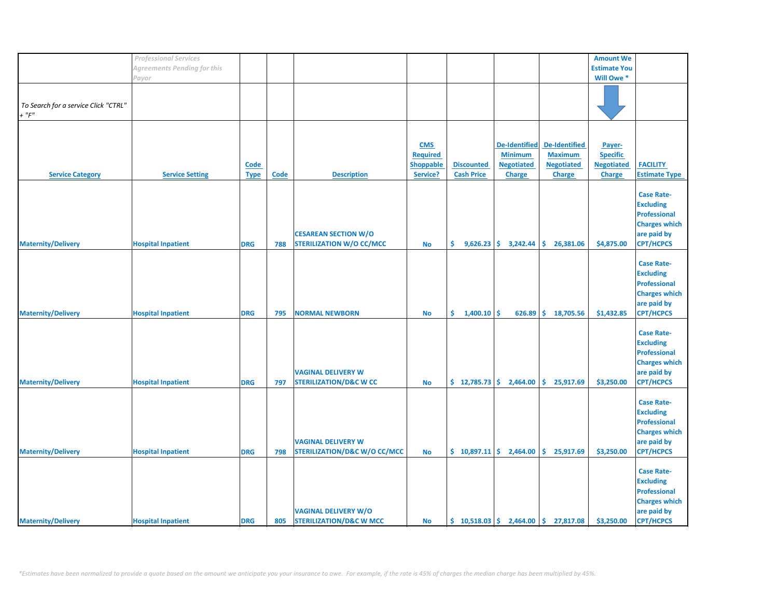|                                      | <b>Professional Services</b> |             |      |                                         |                  |                                                |                        |                                                                            | <b>Amount We</b>    |                      |
|--------------------------------------|------------------------------|-------------|------|-----------------------------------------|------------------|------------------------------------------------|------------------------|----------------------------------------------------------------------------|---------------------|----------------------|
|                                      | Agreements Pending for this  |             |      |                                         |                  |                                                |                        |                                                                            | <b>Estimate You</b> |                      |
|                                      | Payor                        |             |      |                                         |                  |                                                |                        |                                                                            | Will Owe *          |                      |
|                                      |                              |             |      |                                         |                  |                                                |                        |                                                                            |                     |                      |
|                                      |                              |             |      |                                         |                  |                                                |                        |                                                                            |                     |                      |
|                                      |                              |             |      |                                         |                  |                                                |                        |                                                                            |                     |                      |
| To Search for a service Click "CTRL" |                              |             |      |                                         |                  |                                                |                        |                                                                            |                     |                      |
| $+$ " $F$ "                          |                              |             |      |                                         |                  |                                                |                        |                                                                            |                     |                      |
|                                      |                              |             |      |                                         |                  |                                                |                        |                                                                            |                     |                      |
|                                      |                              |             |      |                                         |                  |                                                |                        |                                                                            |                     |                      |
|                                      |                              |             |      |                                         |                  |                                                |                        |                                                                            |                     |                      |
|                                      |                              |             |      |                                         | <b>CMS</b>       |                                                | <b>De-Identified</b>   | <b>De-Identified</b>                                                       | Payer-              |                      |
|                                      |                              |             |      |                                         | Required         |                                                | <b>Minimum</b>         | <b>Maximum</b>                                                             | <b>Specific</b>     |                      |
|                                      |                              | Code        |      |                                         | <b>Shoppable</b> | <b>Discounted</b>                              | <b>Negotiated</b>      | <b>Negotiated</b>                                                          | <b>Negotiated</b>   | <b>FACILITY</b>      |
|                                      |                              |             |      |                                         |                  |                                                |                        |                                                                            |                     |                      |
| <b>Service Category</b>              | <b>Service Setting</b>       | <b>Type</b> | Code | <b>Description</b>                      | Service?         | <b>Cash Price</b>                              | <b>Charge</b>          | <b>Charge</b>                                                              | <b>Charge</b>       | <b>Estimate Type</b> |
|                                      |                              |             |      |                                         |                  |                                                |                        |                                                                            |                     |                      |
|                                      |                              |             |      |                                         |                  |                                                |                        |                                                                            |                     | <b>Case Rate-</b>    |
|                                      |                              |             |      |                                         |                  |                                                |                        |                                                                            |                     | <b>Excluding</b>     |
|                                      |                              |             |      |                                         |                  |                                                |                        |                                                                            |                     |                      |
|                                      |                              |             |      |                                         |                  |                                                |                        |                                                                            |                     | <b>Professional</b>  |
|                                      |                              |             |      |                                         |                  |                                                |                        |                                                                            |                     | <b>Charges which</b> |
|                                      |                              |             |      | <b>CESAREAN SECTION W/O</b>             |                  |                                                |                        |                                                                            |                     | are paid by          |
|                                      |                              |             |      |                                         |                  |                                                |                        |                                                                            |                     |                      |
| <b>Maternity/Delivery</b>            | <b>Hospital Inpatient</b>    | <b>DRG</b>  | 788  | <b>STERILIZATION W/O CC/MCC</b>         | <b>No</b>        | \$.                                            | $9,626.23$ \$ 3,242.44 | \$.<br>26,381.06                                                           | \$4,875.00          | <b>CPT/HCPCS</b>     |
|                                      |                              |             |      |                                         |                  |                                                |                        |                                                                            |                     |                      |
|                                      |                              |             |      |                                         |                  |                                                |                        |                                                                            |                     | <b>Case Rate-</b>    |
|                                      |                              |             |      |                                         |                  |                                                |                        |                                                                            |                     | <b>Excluding</b>     |
|                                      |                              |             |      |                                         |                  |                                                |                        |                                                                            |                     |                      |
|                                      |                              |             |      |                                         |                  |                                                |                        |                                                                            |                     | <b>Professional</b>  |
|                                      |                              |             |      |                                         |                  |                                                |                        |                                                                            |                     | <b>Charges which</b> |
|                                      |                              |             |      |                                         |                  |                                                |                        |                                                                            |                     | are paid by          |
|                                      |                              |             |      |                                         |                  | Ś.                                             |                        |                                                                            |                     | <b>CPT/HCPCS</b>     |
| <b>Maternity/Delivery</b>            | <b>Hospital Inpatient</b>    | <b>DRG</b>  | 795  | <b>NORMAL NEWBORN</b>                   | <b>No</b>        | $1,400.10$ \$                                  | 626.89                 | \$18,705.56                                                                | \$1,432.85          |                      |
|                                      |                              |             |      |                                         |                  |                                                |                        |                                                                            |                     |                      |
|                                      |                              |             |      |                                         |                  |                                                |                        |                                                                            |                     | <b>Case Rate-</b>    |
|                                      |                              |             |      |                                         |                  |                                                |                        |                                                                            |                     | <b>Excluding</b>     |
|                                      |                              |             |      |                                         |                  |                                                |                        |                                                                            |                     |                      |
|                                      |                              |             |      |                                         |                  |                                                |                        |                                                                            |                     | <b>Professional</b>  |
|                                      |                              |             |      |                                         |                  |                                                |                        |                                                                            |                     | <b>Charges which</b> |
|                                      |                              |             |      | <b>VAGINAL DELIVERY W</b>               |                  |                                                |                        |                                                                            |                     | are paid by          |
| <b>Maternity/Delivery</b>            | <b>Hospital Inpatient</b>    | <b>DRG</b>  | 797  | <b>STERILIZATION/D&amp;C W CC</b>       | <b>No</b>        | \$12,785.73                                    | 2,464.00               | \$.<br>25,917.69                                                           | \$3,250.00          | <b>CPT/HCPCS</b>     |
|                                      |                              |             |      |                                         |                  |                                                |                        |                                                                            |                     |                      |
|                                      |                              |             |      |                                         |                  |                                                |                        |                                                                            |                     |                      |
|                                      |                              |             |      |                                         |                  |                                                |                        |                                                                            |                     | <b>Case Rate-</b>    |
|                                      |                              |             |      |                                         |                  |                                                |                        |                                                                            |                     | <b>Excluding</b>     |
|                                      |                              |             |      |                                         |                  |                                                |                        |                                                                            |                     | <b>Professional</b>  |
|                                      |                              |             |      |                                         |                  |                                                |                        |                                                                            |                     |                      |
|                                      |                              |             |      |                                         |                  |                                                |                        |                                                                            |                     | <b>Charges which</b> |
|                                      |                              |             |      | <b>VAGINAL DELIVERY W</b>               |                  |                                                |                        |                                                                            |                     | are paid by          |
| <b>Maternity/Delivery</b>            | <b>Hospital Inpatient</b>    | <b>DRG</b>  | 798  | <b>STERILIZATION/D&amp;C W/O CC/MCC</b> | <b>No</b>        | $\frac{1}{2}$ 10,897.11 $\frac{1}{2}$ 2,464.00 |                        | \$.<br>25,917.69                                                           | \$3,250.00          | <b>CPT/HCPCS</b>     |
|                                      |                              |             |      |                                         |                  |                                                |                        |                                                                            |                     |                      |
|                                      |                              |             |      |                                         |                  |                                                |                        |                                                                            |                     |                      |
|                                      |                              |             |      |                                         |                  |                                                |                        |                                                                            |                     | <b>Case Rate-</b>    |
|                                      |                              |             |      |                                         |                  |                                                |                        |                                                                            |                     | <b>Excluding</b>     |
|                                      |                              |             |      |                                         |                  |                                                |                        |                                                                            |                     | <b>Professional</b>  |
|                                      |                              |             |      |                                         |                  |                                                |                        |                                                                            |                     |                      |
|                                      |                              |             |      |                                         |                  |                                                |                        |                                                                            |                     | <b>Charges which</b> |
|                                      |                              |             |      | <b>VAGINAL DELIVERY W/O</b>             |                  |                                                |                        |                                                                            |                     | are paid by          |
| <b>Maternity/Delivery</b>            | <b>Hospital Inpatient</b>    | <b>DRG</b>  | 805  | <b>STERILIZATION/D&amp;C W MCC</b>      | <b>No</b>        |                                                |                        | $\binom{10}{5}$ 10,518.03 $\binom{2}{1}$ 2,464.00 $\binom{2}{3}$ 27,817.08 | \$3,250.00          | <b>CPT/HCPCS</b>     |
|                                      |                              |             |      |                                         |                  |                                                |                        |                                                                            |                     |                      |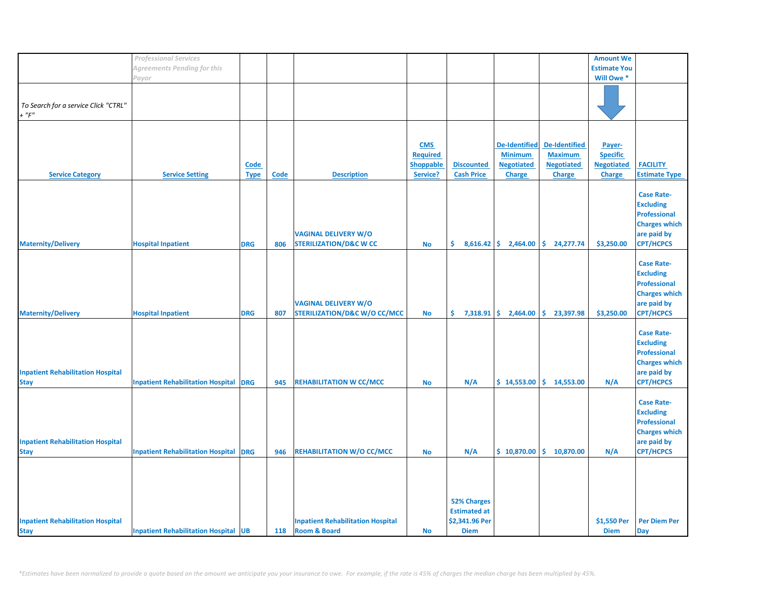|                                          | <b>Professional Services</b>                 |             |             |                                          |                 |                     |                        |                      | <b>Amount We</b>    |                      |
|------------------------------------------|----------------------------------------------|-------------|-------------|------------------------------------------|-----------------|---------------------|------------------------|----------------------|---------------------|----------------------|
|                                          | <b>Agreements Pending for this</b>           |             |             |                                          |                 |                     |                        |                      | <b>Estimate You</b> |                      |
|                                          | Payor                                        |             |             |                                          |                 |                     |                        |                      | Will Owe *          |                      |
|                                          |                                              |             |             |                                          |                 |                     |                        |                      |                     |                      |
|                                          |                                              |             |             |                                          |                 |                     |                        |                      |                     |                      |
| To Search for a service Click "CTRL"     |                                              |             |             |                                          |                 |                     |                        |                      |                     |                      |
| $+$ " $F$ "                              |                                              |             |             |                                          |                 |                     |                        |                      |                     |                      |
|                                          |                                              |             |             |                                          |                 |                     |                        |                      |                     |                      |
|                                          |                                              |             |             |                                          |                 |                     |                        |                      |                     |                      |
|                                          |                                              |             |             |                                          |                 |                     |                        |                      |                     |                      |
|                                          |                                              |             |             |                                          | <b>CMS</b>      |                     | <b>De-Identified</b>   | <b>De-Identified</b> | Payer-              |                      |
|                                          |                                              |             |             |                                          | <b>Required</b> |                     | <b>Minimum</b>         | <b>Maximum</b>       | <b>Specific</b>     |                      |
|                                          |                                              | <b>Code</b> |             |                                          | Shoppable       | <b>Discounted</b>   | <b>Negotiated</b>      | <b>Negotiated</b>    | <b>Negotiated</b>   | <b>FACILITY</b>      |
| <b>Service Category</b>                  | <b>Service Setting</b>                       | <b>Type</b> | <b>Code</b> | <b>Description</b>                       | Service?        | <b>Cash Price</b>   | <b>Charge</b>          | <b>Charge</b>        | <b>Charge</b>       | <b>Estimate Type</b> |
|                                          |                                              |             |             |                                          |                 |                     |                        |                      |                     |                      |
|                                          |                                              |             |             |                                          |                 |                     |                        |                      |                     |                      |
|                                          |                                              |             |             |                                          |                 |                     |                        |                      |                     | <b>Case Rate-</b>    |
|                                          |                                              |             |             |                                          |                 |                     |                        |                      |                     | <b>Excluding</b>     |
|                                          |                                              |             |             |                                          |                 |                     |                        |                      |                     | <b>Professional</b>  |
|                                          |                                              |             |             |                                          |                 |                     |                        |                      |                     | <b>Charges which</b> |
|                                          |                                              |             |             | <b>VAGINAL DELIVERY W/O</b>              |                 |                     |                        |                      |                     | are paid by          |
| <b>Maternity/Delivery</b>                | <b>Hospital Inpatient</b>                    | <b>DRG</b>  | 806         | <b>STERILIZATION/D&amp;C W CC</b>        | No              | \$.                 | $8,616.42$ \$ 2,464.00 | \$24,277.74          | \$3,250.00          | <b>CPT/HCPCS</b>     |
|                                          |                                              |             |             |                                          |                 |                     |                        |                      |                     |                      |
|                                          |                                              |             |             |                                          |                 |                     |                        |                      |                     |                      |
|                                          |                                              |             |             |                                          |                 |                     |                        |                      |                     | <b>Case Rate-</b>    |
|                                          |                                              |             |             |                                          |                 |                     |                        |                      |                     | <b>Excluding</b>     |
|                                          |                                              |             |             |                                          |                 |                     |                        |                      |                     | <b>Professional</b>  |
|                                          |                                              |             |             |                                          |                 |                     |                        |                      |                     | <b>Charges which</b> |
|                                          |                                              |             |             | <b>VAGINAL DELIVERY W/O</b>              |                 |                     |                        |                      |                     | are paid by          |
| <b>Maternity/Delivery</b>                | <b>Hospital Inpatient</b>                    | <b>DRG</b>  | 807         | <b>STERILIZATION/D&amp;C W/O CC/MCC</b>  | <b>No</b>       | \$.                 | $7,318.91$ \$ 2,464.00 | \$.<br>23,397.98     | \$3,250.00          | <b>CPT/HCPCS</b>     |
|                                          |                                              |             |             |                                          |                 |                     |                        |                      |                     |                      |
|                                          |                                              |             |             |                                          |                 |                     |                        |                      |                     | <b>Case Rate-</b>    |
|                                          |                                              |             |             |                                          |                 |                     |                        |                      |                     |                      |
|                                          |                                              |             |             |                                          |                 |                     |                        |                      |                     | <b>Excluding</b>     |
|                                          |                                              |             |             |                                          |                 |                     |                        |                      |                     | <b>Professional</b>  |
|                                          |                                              |             |             |                                          |                 |                     |                        |                      |                     | <b>Charges which</b> |
| <b>Inpatient Rehabilitation Hospital</b> |                                              |             |             |                                          |                 |                     |                        |                      |                     | are paid by          |
| <b>Stay</b>                              | <b>Inpatient Rehabilitation Hospital DRG</b> |             | 945         | <b>REHABILITATION W CC/MCC</b>           | <b>No</b>       | N/A                 | \$14,553.00            | \$14,553.00          | N/A                 | <b>CPT/HCPCS</b>     |
|                                          |                                              |             |             |                                          |                 |                     |                        |                      |                     |                      |
|                                          |                                              |             |             |                                          |                 |                     |                        |                      |                     | <b>Case Rate-</b>    |
|                                          |                                              |             |             |                                          |                 |                     |                        |                      |                     |                      |
|                                          |                                              |             |             |                                          |                 |                     |                        |                      |                     | <b>Excluding</b>     |
|                                          |                                              |             |             |                                          |                 |                     |                        |                      |                     | <b>Professional</b>  |
|                                          |                                              |             |             |                                          |                 |                     |                        |                      |                     | <b>Charges which</b> |
| <b>Inpatient Rehabilitation Hospital</b> |                                              |             |             |                                          |                 |                     |                        |                      |                     | are paid by          |
| <b>Stay</b>                              | <b>Inpatient Rehabilitation Hospital DRG</b> |             | 946         | <b>REHABILITATION W/O CC/MCC</b>         | <b>No</b>       | N/A                 | \$10,870.00            | \$.<br>10,870.00     | N/A                 | <b>CPT/HCPCS</b>     |
|                                          |                                              |             |             |                                          |                 |                     |                        |                      |                     |                      |
|                                          |                                              |             |             |                                          |                 |                     |                        |                      |                     |                      |
|                                          |                                              |             |             |                                          |                 |                     |                        |                      |                     |                      |
|                                          |                                              |             |             |                                          |                 |                     |                        |                      |                     |                      |
|                                          |                                              |             |             |                                          |                 |                     |                        |                      |                     |                      |
|                                          |                                              |             |             |                                          |                 | <b>52% Charges</b>  |                        |                      |                     |                      |
|                                          |                                              |             |             |                                          |                 | <b>Estimated at</b> |                        |                      |                     |                      |
| <b>Inpatient Rehabilitation Hospital</b> |                                              |             |             | <b>Inpatient Rehabilitation Hospital</b> |                 | \$2,341.96 Per      |                        |                      | \$1,550 Per         | <b>Per Diem Per</b>  |
| <b>Stay</b>                              | <b>Inpatient Rehabilitation Hospital UB</b>  |             | 118         | <b>Room &amp; Board</b>                  | <b>No</b>       | <b>Diem</b>         |                        |                      | <b>Diem</b>         | <b>Day</b>           |
|                                          |                                              |             |             |                                          |                 |                     |                        |                      |                     |                      |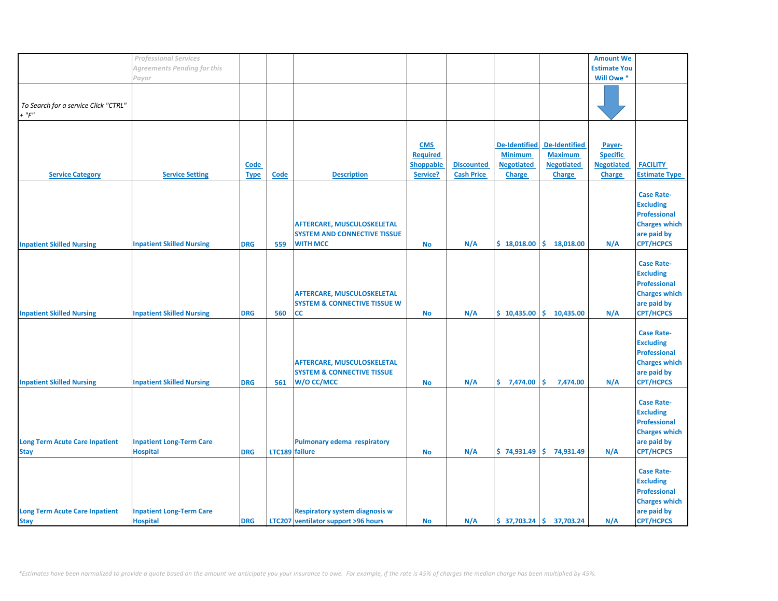|                                       | <b>Professional Services</b>     |             |                |                                         |                  |                   |                      |                           | <b>Amount We</b>    |                      |
|---------------------------------------|----------------------------------|-------------|----------------|-----------------------------------------|------------------|-------------------|----------------------|---------------------------|---------------------|----------------------|
|                                       | Agreements Pending for this      |             |                |                                         |                  |                   |                      |                           | <b>Estimate You</b> |                      |
|                                       | Payor                            |             |                |                                         |                  |                   |                      |                           | Will Owe *          |                      |
|                                       |                                  |             |                |                                         |                  |                   |                      |                           |                     |                      |
|                                       |                                  |             |                |                                         |                  |                   |                      |                           |                     |                      |
| To Search for a service Click "CTRL"  |                                  |             |                |                                         |                  |                   |                      |                           |                     |                      |
| $+$ " $F$ "                           |                                  |             |                |                                         |                  |                   |                      |                           |                     |                      |
|                                       |                                  |             |                |                                         |                  |                   |                      |                           |                     |                      |
|                                       |                                  |             |                |                                         |                  |                   |                      |                           |                     |                      |
|                                       |                                  |             |                |                                         |                  |                   |                      |                           |                     |                      |
|                                       |                                  |             |                |                                         | <b>CMS</b>       |                   | <b>De-Identified</b> | <b>De-Identified</b>      | Payer-              |                      |
|                                       |                                  |             |                |                                         | <b>Required</b>  |                   | <b>Minimum</b>       | <b>Maximum</b>            | <b>Specific</b>     |                      |
|                                       |                                  | <b>Code</b> |                |                                         | <b>Shoppable</b> | <b>Discounted</b> | <b>Negotiated</b>    | <b>Negotiated</b>         | <b>Negotiated</b>   | <b>FACILITY</b>      |
| <b>Service Category</b>               | <b>Service Setting</b>           | <b>Type</b> | <b>Code</b>    | <b>Description</b>                      | Service?         | <b>Cash Price</b> | <b>Charge</b>        | <b>Charge</b>             | <b>Charge</b>       | <b>Estimate Type</b> |
|                                       |                                  |             |                |                                         |                  |                   |                      |                           |                     |                      |
|                                       |                                  |             |                |                                         |                  |                   |                      |                           |                     | <b>Case Rate-</b>    |
|                                       |                                  |             |                |                                         |                  |                   |                      |                           |                     | <b>Excluding</b>     |
|                                       |                                  |             |                |                                         |                  |                   |                      |                           |                     | <b>Professional</b>  |
|                                       |                                  |             |                | <b>AFTERCARE, MUSCULOSKELETAL</b>       |                  |                   |                      |                           |                     | <b>Charges which</b> |
|                                       |                                  |             |                | <b>SYSTEM AND CONNECTIVE TISSUE</b>     |                  |                   |                      |                           |                     | are paid by          |
|                                       |                                  | <b>DRG</b>  |                | <b>WITH MCC</b>                         |                  |                   | \$18,018.00          |                           |                     | <b>CPT/HCPCS</b>     |
| <b>Inpatient Skilled Nursing</b>      | <b>Inpatient Skilled Nursing</b> |             | 559            |                                         | No               | N/A               |                      | \$18,018.00               | N/A                 |                      |
|                                       |                                  |             |                |                                         |                  |                   |                      |                           |                     |                      |
|                                       |                                  |             |                |                                         |                  |                   |                      |                           |                     | <b>Case Rate-</b>    |
|                                       |                                  |             |                |                                         |                  |                   |                      |                           |                     | <b>Excluding</b>     |
|                                       |                                  |             |                |                                         |                  |                   |                      |                           |                     | <b>Professional</b>  |
|                                       |                                  |             |                | <b>AFTERCARE, MUSCULOSKELETAL</b>       |                  |                   |                      |                           |                     | <b>Charges which</b> |
|                                       |                                  |             |                | <b>SYSTEM &amp; CONNECTIVE TISSUE W</b> |                  |                   |                      |                           |                     | are paid by          |
| <b>Inpatient Skilled Nursing</b>      | <b>Inpatient Skilled Nursing</b> | <b>DRG</b>  | 560            | СC                                      | <b>No</b>        | N/A               | \$10,435.00          | \$10,435.00               | N/A                 | <b>CPT/HCPCS</b>     |
|                                       |                                  |             |                |                                         |                  |                   |                      |                           |                     |                      |
|                                       |                                  |             |                |                                         |                  |                   |                      |                           |                     | <b>Case Rate-</b>    |
|                                       |                                  |             |                |                                         |                  |                   |                      |                           |                     | <b>Excluding</b>     |
|                                       |                                  |             |                |                                         |                  |                   |                      |                           |                     | <b>Professional</b>  |
|                                       |                                  |             |                |                                         |                  |                   |                      |                           |                     |                      |
|                                       |                                  |             |                | AFTERCARE, MUSCULOSKELETAL              |                  |                   |                      |                           |                     | <b>Charges which</b> |
|                                       |                                  |             |                | <b>SYSTEM &amp; CONNECTIVE TISSUE</b>   |                  |                   |                      |                           |                     | are paid by          |
| <b>Inpatient Skilled Nursing</b>      | <b>Inpatient Skilled Nursing</b> | <b>DRG</b>  | 561            | W/O CC/MCC                              | <b>No</b>        | N/A               | \$7,474.00           | \$.<br>7,474.00           | N/A                 | <b>CPT/HCPCS</b>     |
|                                       |                                  |             |                |                                         |                  |                   |                      |                           |                     |                      |
|                                       |                                  |             |                |                                         |                  |                   |                      |                           |                     | <b>Case Rate-</b>    |
|                                       |                                  |             |                |                                         |                  |                   |                      |                           |                     | <b>Excluding</b>     |
|                                       |                                  |             |                |                                         |                  |                   |                      |                           |                     | <b>Professional</b>  |
|                                       |                                  |             |                |                                         |                  |                   |                      |                           |                     | <b>Charges which</b> |
| <b>Long Term Acute Care Inpatient</b> | <b>Inpatient Long-Term Care</b>  |             |                | <b>Pulmonary edema respiratory</b>      |                  |                   |                      |                           |                     | are paid by          |
|                                       | <b>Hospital</b>                  |             |                |                                         |                  |                   | \$74,931.49          | \$74,931.49               |                     | <b>CPT/HCPCS</b>     |
| <b>Stay</b>                           |                                  | <b>DRG</b>  | LTC189 failure |                                         | <b>No</b>        | N/A               |                      |                           | N/A                 |                      |
|                                       |                                  |             |                |                                         |                  |                   |                      |                           |                     |                      |
|                                       |                                  |             |                |                                         |                  |                   |                      |                           |                     | <b>Case Rate-</b>    |
|                                       |                                  |             |                |                                         |                  |                   |                      |                           |                     | <b>Excluding</b>     |
|                                       |                                  |             |                |                                         |                  |                   |                      |                           |                     | <b>Professional</b>  |
|                                       |                                  |             |                |                                         |                  |                   |                      |                           |                     | <b>Charges which</b> |
| <b>Long Term Acute Care Inpatient</b> | <b>Inpatient Long-Term Care</b>  |             |                | <b>Respiratory system diagnosis w</b>   |                  |                   |                      |                           |                     | are paid by          |
| <b>Stay</b>                           | <b>Hospital</b>                  | <b>DRG</b>  |                | LTC207 ventilator support >96 hours     | <b>No</b>        | N/A               |                      | $$37,703.24$ $$37,703.24$ | N/A                 | <b>CPT/HCPCS</b>     |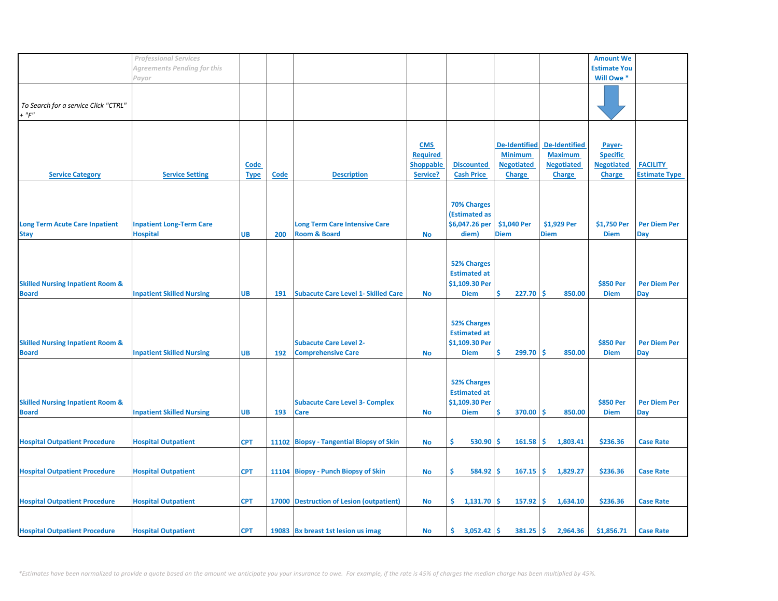|                                             | <b>Professional Services</b>     |             |      |                                            |                  |                     |                      |                      | <b>Amount We</b>    |                      |
|---------------------------------------------|----------------------------------|-------------|------|--------------------------------------------|------------------|---------------------|----------------------|----------------------|---------------------|----------------------|
|                                             |                                  |             |      |                                            |                  |                     |                      |                      |                     |                      |
|                                             | Agreements Pending for this      |             |      |                                            |                  |                     |                      |                      | <b>Estimate You</b> |                      |
|                                             | Payor                            |             |      |                                            |                  |                     |                      |                      | Will Owe *          |                      |
|                                             |                                  |             |      |                                            |                  |                     |                      |                      |                     |                      |
|                                             |                                  |             |      |                                            |                  |                     |                      |                      |                     |                      |
| To Search for a service Click "CTRL"        |                                  |             |      |                                            |                  |                     |                      |                      |                     |                      |
|                                             |                                  |             |      |                                            |                  |                     |                      |                      |                     |                      |
| $+$ " $F$ "                                 |                                  |             |      |                                            |                  |                     |                      |                      |                     |                      |
|                                             |                                  |             |      |                                            |                  |                     |                      |                      |                     |                      |
|                                             |                                  |             |      |                                            |                  |                     |                      |                      |                     |                      |
|                                             |                                  |             |      |                                            | <b>CMS</b>       |                     | <b>De-Identified</b> | <b>De-Identified</b> | Payer-              |                      |
|                                             |                                  |             |      |                                            |                  |                     |                      |                      |                     |                      |
|                                             |                                  |             |      |                                            | <b>Required</b>  |                     | <b>Minimum</b>       | <b>Maximum</b>       | <b>Specific</b>     |                      |
|                                             |                                  | <b>Code</b> |      |                                            | <b>Shoppable</b> | <b>Discounted</b>   | <b>Negotiated</b>    | <b>Negotiated</b>    | <b>Negotiated</b>   | <b>FACILITY</b>      |
| <b>Service Category</b>                     | <b>Service Setting</b>           | <b>Type</b> | Code | <b>Description</b>                         | Service?         | <b>Cash Price</b>   | <b>Charge</b>        | <b>Charge</b>        | <b>Charge</b>       | <b>Estimate Type</b> |
|                                             |                                  |             |      |                                            |                  |                     |                      |                      |                     |                      |
|                                             |                                  |             |      |                                            |                  |                     |                      |                      |                     |                      |
|                                             |                                  |             |      |                                            |                  |                     |                      |                      |                     |                      |
|                                             |                                  |             |      |                                            |                  | <b>70% Charges</b>  |                      |                      |                     |                      |
|                                             |                                  |             |      |                                            |                  | (Estimated as       |                      |                      |                     |                      |
|                                             |                                  |             |      |                                            |                  | \$6,047.26 per      | \$1,040 Per          | \$1,929 Per          | \$1,750 Per         | <b>Per Diem Per</b>  |
| <b>Long Term Acute Care Inpatient</b>       | <b>Inpatient Long-Term Care</b>  |             |      | <b>Long Term Care Intensive Care</b>       |                  |                     |                      |                      |                     |                      |
| <b>Stay</b>                                 | <b>Hospital</b>                  | <b>UB</b>   | 200  | <b>Room &amp; Board</b>                    | <b>No</b>        | diem)               | <b>Diem</b>          | <b>Diem</b>          | <b>Diem</b>         | Day                  |
|                                             |                                  |             |      |                                            |                  |                     |                      |                      |                     |                      |
|                                             |                                  |             |      |                                            |                  |                     |                      |                      |                     |                      |
|                                             |                                  |             |      |                                            |                  |                     |                      |                      |                     |                      |
|                                             |                                  |             |      |                                            |                  | <b>52% Charges</b>  |                      |                      |                     |                      |
|                                             |                                  |             |      |                                            |                  | <b>Estimated at</b> |                      |                      |                     |                      |
| <b>Skilled Nursing Inpatient Room &amp;</b> |                                  |             |      |                                            |                  | \$1,109.30 Per      |                      |                      | \$850 Per           | <b>Per Diem Per</b>  |
| <b>Board</b>                                | <b>Inpatient Skilled Nursing</b> | <b>UB</b>   | 191  | <b>Subacute Care Level 1- Skilled Care</b> | <b>No</b>        | <b>Diem</b>         | Ś<br>227.70          | -Ś<br>850.00         | <b>Diem</b>         | Day                  |
|                                             |                                  |             |      |                                            |                  |                     |                      |                      |                     |                      |
|                                             |                                  |             |      |                                            |                  |                     |                      |                      |                     |                      |
|                                             |                                  |             |      |                                            |                  |                     |                      |                      |                     |                      |
|                                             |                                  |             |      |                                            |                  | <b>52% Charges</b>  |                      |                      |                     |                      |
|                                             |                                  |             |      |                                            |                  | <b>Estimated at</b> |                      |                      |                     |                      |
|                                             |                                  |             |      |                                            |                  |                     |                      |                      |                     |                      |
| <b>Skilled Nursing Inpatient Room &amp;</b> |                                  |             |      | <b>Subacute Care Level 2-</b>              |                  | \$1,109.30 Per      |                      |                      | \$850 Per           | <b>Per Diem Per</b>  |
| <b>Board</b>                                | <b>Inpatient Skilled Nursing</b> | <b>UB</b>   | 192  | <b>Comprehensive Care</b>                  | <b>No</b>        | <b>Diem</b>         | 299.70<br>Ś          | -Ś<br>850.00         | <b>Diem</b>         | Day                  |
|                                             |                                  |             |      |                                            |                  |                     |                      |                      |                     |                      |
|                                             |                                  |             |      |                                            |                  |                     |                      |                      |                     |                      |
|                                             |                                  |             |      |                                            |                  |                     |                      |                      |                     |                      |
|                                             |                                  |             |      |                                            |                  | <b>52% Charges</b>  |                      |                      |                     |                      |
|                                             |                                  |             |      |                                            |                  | <b>Estimated at</b> |                      |                      |                     |                      |
| <b>Skilled Nursing Inpatient Room &amp;</b> |                                  |             |      | <b>Subacute Care Level 3- Complex</b>      |                  | \$1,109.30 Per      |                      |                      | \$850 Per           | <b>Per Diem Per</b>  |
|                                             |                                  |             |      |                                            |                  |                     |                      |                      |                     |                      |
| <b>Board</b>                                | <b>Inpatient Skilled Nursing</b> | <b>UB</b>   | 193  | Care                                       | No               | <b>Diem</b>         | Ŝ.<br>370.00         | -Ś<br>850.00         | <b>Diem</b>         | Day                  |
|                                             |                                  |             |      |                                            |                  |                     |                      |                      |                     |                      |
|                                             |                                  |             |      |                                            |                  |                     |                      |                      |                     |                      |
| <b>Hospital Outpatient Procedure</b>        | <b>Hospital Outpatient</b>       | <b>CPT</b>  |      | 11102 Biopsy - Tangential Biopsy of Skin   | <b>No</b>        | Ŝ<br>530.90         | \$<br>161.58         | -\$<br>1,803.41      | \$236.36            | <b>Case Rate</b>     |
|                                             |                                  |             |      |                                            |                  |                     |                      |                      |                     |                      |
|                                             |                                  |             |      |                                            |                  |                     |                      |                      |                     |                      |
|                                             |                                  |             |      |                                            |                  |                     |                      |                      |                     |                      |
| <b>Hospital Outpatient Procedure</b>        | <b>Hospital Outpatient</b>       | <b>CPT</b>  |      | 11104 Biopsy - Punch Biopsy of Skin        | <b>No</b>        | \$<br>584.92        | -\$<br>167.15        | \$<br>1,829.27       | \$236.36            | <b>Case Rate</b>     |
|                                             |                                  |             |      |                                            |                  |                     |                      |                      |                     |                      |
|                                             |                                  |             |      |                                            |                  |                     |                      |                      |                     |                      |
|                                             |                                  |             |      |                                            |                  |                     |                      |                      |                     |                      |
| <b>Hospital Outpatient Procedure</b>        | <b>Hospital Outpatient</b>       | <b>CPT</b>  |      | 17000 Destruction of Lesion (outpatient)   | No               | \$1,131.70          | 157.92<br>\$.        | Ŝ.<br>1,634.10       | \$236.36            | <b>Case Rate</b>     |
|                                             |                                  |             |      |                                            |                  |                     |                      |                      |                     |                      |
|                                             |                                  |             |      |                                            |                  |                     |                      |                      |                     |                      |
|                                             |                                  |             |      |                                            |                  |                     |                      |                      |                     |                      |
| <b>Hospital Outpatient Procedure</b>        | <b>Hospital Outpatient</b>       | <b>CPT</b>  |      | 19083 Bx breast 1st lesion us imag         | No               | \$.<br>3,052.42     | -\$<br>381.25        | \$<br>2,964.36       | \$1,856.71          | <b>Case Rate</b>     |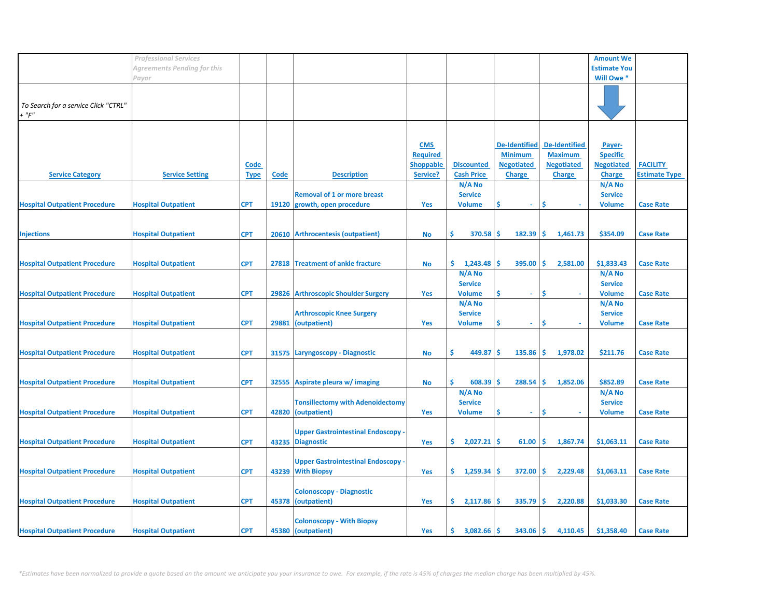|                                               | <b>Professional Services</b> |                            |       |                                                                |                                                               |                                        |                                                                              |                                                                              | <b>Amount We</b>                                                |                                         |
|-----------------------------------------------|------------------------------|----------------------------|-------|----------------------------------------------------------------|---------------------------------------------------------------|----------------------------------------|------------------------------------------------------------------------------|------------------------------------------------------------------------------|-----------------------------------------------------------------|-----------------------------------------|
|                                               | Agreements Pending for this  |                            |       |                                                                |                                                               |                                        |                                                                              |                                                                              | <b>Estimate You</b>                                             |                                         |
|                                               | Payor                        |                            |       |                                                                |                                                               |                                        |                                                                              |                                                                              | Will Owe *                                                      |                                         |
| To Search for a service Click "CTRL"<br>+ "F" |                              |                            |       |                                                                |                                                               |                                        |                                                                              |                                                                              |                                                                 |                                         |
| <b>Service Category</b>                       | <b>Service Setting</b>       | <b>Code</b><br><b>Type</b> | Code  | <b>Description</b>                                             | <b>CMS</b><br><b>Required</b><br><b>Shoppable</b><br>Service? | <b>Discounted</b><br><b>Cash Price</b> | <b>De-Identified</b><br><b>Minimum</b><br><b>Negotiated</b><br><b>Charge</b> | <b>De-Identified</b><br><b>Maximum</b><br><b>Negotiated</b><br><b>Charge</b> | Payer-<br><b>Specific</b><br><b>Negotiated</b><br><b>Charge</b> | <b>FACILITY</b><br><b>Estimate Type</b> |
|                                               |                              |                            |       |                                                                |                                                               | N/A No                                 |                                                                              |                                                                              | N/A No                                                          |                                         |
|                                               |                              |                            |       | <b>Removal of 1 or more breast</b>                             |                                                               | <b>Service</b>                         |                                                                              |                                                                              | <b>Service</b>                                                  |                                         |
| <b>Hospital Outpatient Procedure</b>          | <b>Hospital Outpatient</b>   | <b>CPT</b>                 |       | 19120 growth, open procedure                                   | Yes                                                           | <b>Volume</b>                          | Ś<br>$\sim$                                                                  | -\$                                                                          | <b>Volume</b>                                                   | <b>Case Rate</b>                        |
| <b>Injections</b>                             | <b>Hospital Outpatient</b>   | <b>CPT</b>                 |       | 20610 Arthrocentesis (outpatient)                              | No                                                            | $370.58$ \$<br>\$.                     | $182.39$ \$                                                                  | 1,461.73                                                                     | \$354.09                                                        | <b>Case Rate</b>                        |
| <b>Hospital Outpatient Procedure</b>          | <b>Hospital Outpatient</b>   | <b>CPT</b>                 | 27818 | <b>Treatment of ankle fracture</b>                             | <b>No</b>                                                     | \$.<br>1,243.48                        | ۱Ś<br>395.00                                                                 | ١Ś<br>2,581.00                                                               | \$1,833.43                                                      | <b>Case Rate</b>                        |
|                                               |                              |                            |       |                                                                |                                                               | N/A No                                 |                                                                              |                                                                              | N/A No                                                          |                                         |
|                                               | <b>Hospital Outpatient</b>   | <b>CPT</b>                 | 29826 |                                                                |                                                               | <b>Service</b><br><b>Volume</b>        | \$                                                                           | \$.                                                                          | <b>Service</b><br><b>Volume</b>                                 | <b>Case Rate</b>                        |
| <b>Hospital Outpatient Procedure</b>          |                              |                            |       | <b>Arthroscopic Shoulder Surgery</b>                           | Yes                                                           | N/A No                                 |                                                                              |                                                                              | N/A No                                                          |                                         |
|                                               |                              |                            |       | <b>Arthroscopic Knee Surgery</b>                               |                                                               | <b>Service</b>                         |                                                                              |                                                                              | <b>Service</b>                                                  |                                         |
| <b>Hospital Outpatient Procedure</b>          | <b>Hospital Outpatient</b>   | <b>CPT</b>                 | 29881 | (outpatient)                                                   | <b>Yes</b>                                                    | <b>Volume</b>                          | \$<br>$\sim$                                                                 | \$                                                                           | <b>Volume</b>                                                   | <b>Case Rate</b>                        |
|                                               |                              |                            |       |                                                                |                                                               |                                        |                                                                              |                                                                              |                                                                 |                                         |
| <b>Hospital Outpatient Procedure</b>          | <b>Hospital Outpatient</b>   | <b>CPT</b>                 | 31575 | Laryngoscopy - Diagnostic                                      | No                                                            | \$<br>449.87                           | -S<br>135.86                                                                 | ۱Ś<br>1,978.02                                                               | \$211.76                                                        | <b>Case Rate</b>                        |
|                                               |                              |                            |       |                                                                |                                                               |                                        |                                                                              |                                                                              |                                                                 |                                         |
| <b>Hospital Outpatient Procedure</b>          | <b>Hospital Outpatient</b>   | <b>CPT</b>                 | 32555 | Aspirate pleura w/ imaging                                     | No                                                            | \$<br>608.39<br>N/A No                 | 288.54<br>۱\$                                                                | \$.<br>1,852.06                                                              | \$852.89<br>N/A No                                              | <b>Case Rate</b>                        |
|                                               |                              |                            |       | <b>Tonsillectomy with Adenoidectomy</b>                        |                                                               | <b>Service</b>                         |                                                                              |                                                                              | <b>Service</b>                                                  |                                         |
| <b>Hospital Outpatient Procedure</b>          | <b>Hospital Outpatient</b>   | <b>CPT</b>                 | 42820 | (outpatient)                                                   | Yes                                                           | <b>Volume</b>                          | Ś<br>$\sim$                                                                  | \$                                                                           | <b>Volume</b>                                                   | <b>Case Rate</b>                        |
|                                               |                              | <b>CPT</b>                 |       | <b>Upper Gastrointestinal Endoscopy -</b>                      | Yes                                                           | \$.<br>$2,027.21$ \$                   | $61.00$   \$                                                                 | 1,867.74                                                                     | \$1,063.11                                                      | <b>Case Rate</b>                        |
| <b>Hospital Outpatient Procedure</b>          | <b>Hospital Outpatient</b>   |                            |       | 43235 Diagnostic                                               |                                                               |                                        |                                                                              |                                                                              |                                                                 |                                         |
| <b>Hospital Outpatient Procedure</b>          | <b>Hospital Outpatient</b>   | <b>CPT</b>                 |       | <b>Upper Gastrointestinal Endoscopy -</b><br>43239 With Biopsy | Yes                                                           | \$1,259.34                             | $372.00$ \$                                                                  | 2,229.48                                                                     | \$1,063.11                                                      | <b>Case Rate</b>                        |
| <b>Hospital Outpatient Procedure</b>          | <b>Hospital Outpatient</b>   | <b>CPT</b>                 | 45378 | <b>Colonoscopy - Diagnostic</b><br>(outpatient)                | Yes                                                           | \$.<br>$2,117.86$ \$                   | $335.79$ \$                                                                  | 2,220.88                                                                     | \$1,033.30                                                      | <b>Case Rate</b>                        |
| <b>Hospital Outpatient Procedure</b>          | <b>Hospital Outpatient</b>   | <b>CPT</b>                 |       | <b>Colonoscopy - With Biopsy</b><br>45380 (outpatient)         | Yes                                                           | S.<br>$3,082.66$ \$                    | $343.06$ \$                                                                  | 4,110.45                                                                     | \$1,358.40                                                      | <b>Case Rate</b>                        |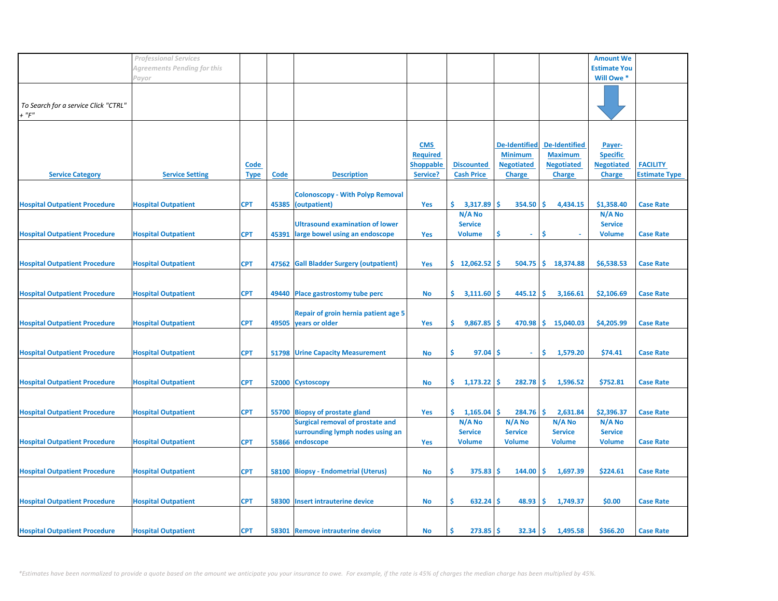|                                      | <b>Professional Services</b> |             |             |                                         |                  |                   |                      |                      | <b>Amount We</b>    |                      |
|--------------------------------------|------------------------------|-------------|-------------|-----------------------------------------|------------------|-------------------|----------------------|----------------------|---------------------|----------------------|
|                                      | Agreements Pending for this  |             |             |                                         |                  |                   |                      |                      | <b>Estimate You</b> |                      |
|                                      | Payor                        |             |             |                                         |                  |                   |                      |                      | Will Owe *          |                      |
|                                      |                              |             |             |                                         |                  |                   |                      |                      |                     |                      |
| To Search for a service Click "CTRL" |                              |             |             |                                         |                  |                   |                      |                      |                     |                      |
| $+$ " $F$ "                          |                              |             |             |                                         |                  |                   |                      |                      |                     |                      |
|                                      |                              |             |             |                                         |                  |                   |                      |                      |                     |                      |
|                                      |                              |             |             |                                         |                  |                   |                      |                      |                     |                      |
|                                      |                              |             |             |                                         | <b>CMS</b>       |                   | <b>De-Identified</b> | <b>De-Identified</b> | Payer-              |                      |
|                                      |                              |             |             |                                         | <b>Required</b>  |                   | <b>Minimum</b>       | <b>Maximum</b>       | <b>Specific</b>     |                      |
|                                      |                              | <b>Code</b> |             |                                         | <b>Shoppable</b> | <b>Discounted</b> | <b>Negotiated</b>    | <b>Negotiated</b>    | <b>Negotiated</b>   | <b>FACILITY</b>      |
| <b>Service Category</b>              | <b>Service Setting</b>       | <b>Type</b> | <b>Code</b> | <b>Description</b>                      | Service?         | <b>Cash Price</b> | <b>Charge</b>        | <b>Charge</b>        | <b>Charge</b>       | <b>Estimate Type</b> |
|                                      |                              |             |             |                                         |                  |                   |                      |                      |                     |                      |
|                                      |                              |             |             | <b>Colonoscopy - With Polyp Removal</b> |                  |                   |                      |                      |                     |                      |
| <b>Hospital Outpatient Procedure</b> | <b>Hospital Outpatient</b>   | <b>CPT</b>  |             | 45385 (outpatient)                      | Yes              | \$.<br>3,317.89   | \$.<br>354.50        | Ŝ.<br>4,434.15       | \$1,358.40          | <b>Case Rate</b>     |
|                                      |                              |             |             |                                         |                  | N/A No            |                      |                      | N/A No              |                      |
|                                      |                              |             |             | <b>Ultrasound examination of lower</b>  |                  | <b>Service</b>    |                      |                      | <b>Service</b>      |                      |
| <b>Hospital Outpatient Procedure</b> | <b>Hospital Outpatient</b>   | <b>CPT</b>  | 45391       | large bowel using an endoscope          | Yes              | <b>Volume</b>     | \$<br>$\blacksquare$ | \$                   | <b>Volume</b>       | <b>Case Rate</b>     |
|                                      |                              |             |             |                                         |                  |                   |                      |                      |                     |                      |
| <b>Hospital Outpatient Procedure</b> | <b>Hospital Outpatient</b>   | <b>CPT</b>  |             | 47562 Gall Bladder Surgery (outpatient) | Yes              | \$12,062.52       | 504.75<br>-S         | \$<br>18,374.88      | \$6,538.53          | <b>Case Rate</b>     |
|                                      |                              |             |             |                                         |                  |                   |                      |                      |                     |                      |
|                                      |                              |             |             |                                         |                  |                   |                      |                      |                     |                      |
| <b>Hospital Outpatient Procedure</b> | <b>Hospital Outpatient</b>   | <b>CPT</b>  |             | 49440 Place gastrostomy tube perc       | No               | \$.<br>3,111.60   | '\$<br>445.12        | -\$<br>3,166.61      | \$2,106.69          | <b>Case Rate</b>     |
|                                      |                              |             |             |                                         |                  |                   |                      |                      |                     |                      |
|                                      |                              |             |             | Repair of groin hernia patient age 5    |                  |                   |                      |                      |                     |                      |
| <b>Hospital Outpatient Procedure</b> | <b>Hospital Outpatient</b>   | <b>CPT</b>  |             | 49505 years or older                    | Yes              | \$<br>9,867.85    | $470.98$ \$<br>\$.   | 15,040.03            | \$4,205.99          | <b>Case Rate</b>     |
|                                      |                              |             |             |                                         |                  |                   |                      |                      |                     |                      |
|                                      |                              |             |             |                                         |                  |                   |                      |                      |                     |                      |
| <b>Hospital Outpatient Procedure</b> | <b>Hospital Outpatient</b>   | <b>CPT</b>  |             | 51798 Urine Capacity Measurement        | No               | \$<br>97.04       | -S<br>$\omega$       | \$<br>1,579.20       | \$74.41             | <b>Case Rate</b>     |
|                                      |                              |             |             |                                         |                  |                   |                      |                      |                     |                      |
|                                      |                              |             |             |                                         |                  |                   |                      |                      |                     |                      |
| <b>Hospital Outpatient Procedure</b> | <b>Hospital Outpatient</b>   | <b>CPT</b>  |             | 52000 Cystoscopy                        | No               | \$.<br>1,173.22   | 282.78<br>s          | -\$<br>1,596.52      | \$752.81            | <b>Case Rate</b>     |
|                                      |                              |             |             |                                         |                  |                   |                      |                      |                     |                      |
| <b>Hospital Outpatient Procedure</b> | <b>Hospital Outpatient</b>   | <b>CPT</b>  |             | 55700 Biopsy of prostate gland          | Yes              | \$.<br>1,165.04   | \$<br>284.76         | -\$<br>2,631.84      | \$2,396.37          | <b>Case Rate</b>     |
|                                      |                              |             |             | Surgical removal of prostate and        |                  | N/A No            | $N/A$ No             | N/A No               | N/A No              |                      |
|                                      |                              |             |             | surrounding lymph nodes using an        |                  | <b>Service</b>    | <b>Service</b>       | <b>Service</b>       | <b>Service</b>      |                      |
| <b>Hospital Outpatient Procedure</b> | <b>Hospital Outpatient</b>   | <b>CPT</b>  | 55866       | endoscope                               | Yes              | <b>Volume</b>     | <b>Volume</b>        | <b>Volume</b>        | <b>Volume</b>       | <b>Case Rate</b>     |
|                                      |                              |             |             |                                         |                  |                   |                      |                      |                     |                      |
|                                      |                              |             |             |                                         |                  |                   |                      |                      |                     |                      |
| <b>Hospital Outpatient Procedure</b> | <b>Hospital Outpatient</b>   | <b>CPT</b>  |             | 58100 Biopsy - Endometrial (Uterus)     | No               | \$.<br>375.83     | 144.00<br>-S         | -\$<br>1,697.39      | \$224.61            | <b>Case Rate</b>     |
|                                      |                              |             |             |                                         |                  |                   |                      |                      |                     |                      |
|                                      |                              |             |             |                                         |                  |                   |                      |                      |                     |                      |
| <b>Hospital Outpatient Procedure</b> | <b>Hospital Outpatient</b>   | <b>CPT</b>  |             | 58300 Insert intrauterine device        | <b>No</b>        | 632.24<br>\$.     | 48.93<br>'\$         | -\$<br>1,749.37      | \$0.00              | <b>Case Rate</b>     |
|                                      |                              |             |             |                                         |                  |                   |                      |                      |                     |                      |
|                                      |                              |             |             |                                         |                  |                   |                      |                      |                     |                      |
| <b>Hospital Outpatient Procedure</b> | <b>Hospital Outpatient</b>   | <b>CPT</b>  |             | 58301 Remove intrauterine device        | No               | 273.85            | .S<br>32.34          | ∣\$<br>1,495.58      | \$366.20            | <b>Case Rate</b>     |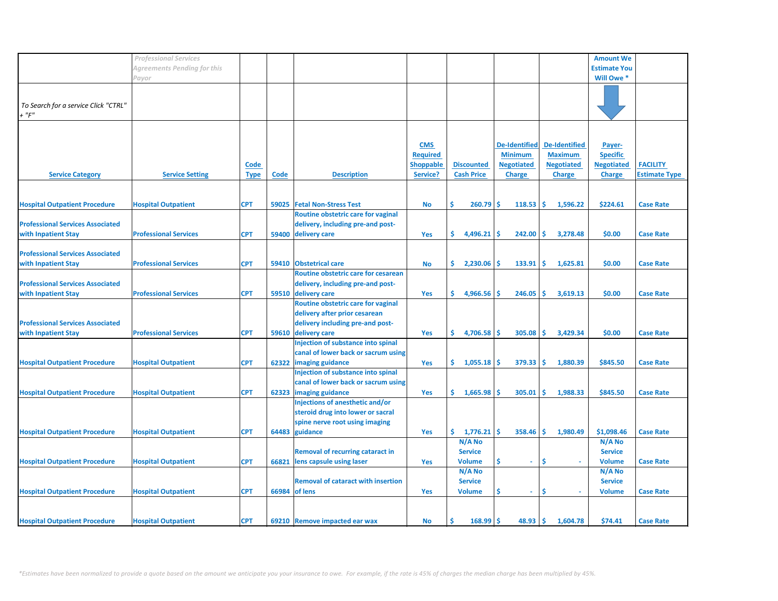|                                         | <b>Professional Services</b> |             |       |                                           |                  |                   |                      |                      | <b>Amount We</b>    |                      |
|-----------------------------------------|------------------------------|-------------|-------|-------------------------------------------|------------------|-------------------|----------------------|----------------------|---------------------|----------------------|
|                                         |                              |             |       |                                           |                  |                   |                      |                      |                     |                      |
|                                         | Agreements Pending for this  |             |       |                                           |                  |                   |                      |                      | <b>Estimate You</b> |                      |
|                                         | Payor                        |             |       |                                           |                  |                   |                      |                      | Will Owe *          |                      |
|                                         |                              |             |       |                                           |                  |                   |                      |                      |                     |                      |
|                                         |                              |             |       |                                           |                  |                   |                      |                      |                     |                      |
| To Search for a service Click "CTRL"    |                              |             |       |                                           |                  |                   |                      |                      |                     |                      |
| + "F"                                   |                              |             |       |                                           |                  |                   |                      |                      |                     |                      |
|                                         |                              |             |       |                                           |                  |                   |                      |                      |                     |                      |
|                                         |                              |             |       |                                           |                  |                   |                      |                      |                     |                      |
|                                         |                              |             |       |                                           | <b>CMS</b>       |                   | <b>De-Identified</b> | <b>De-Identified</b> | Payer-              |                      |
|                                         |                              |             |       |                                           | <b>Required</b>  |                   | <b>Minimum</b>       | <b>Maximum</b>       | <b>Specific</b>     |                      |
|                                         |                              | <b>Code</b> |       |                                           | <b>Shoppable</b> | <b>Discounted</b> | <b>Negotiated</b>    | <b>Negotiated</b>    | <b>Negotiated</b>   | <b>FACILITY</b>      |
| <b>Service Category</b>                 | <b>Service Setting</b>       | <b>Type</b> | Code  | <b>Description</b>                        | Service?         | <b>Cash Price</b> | <b>Charge</b>        | <b>Charge</b>        | <b>Charge</b>       | <b>Estimate Type</b> |
|                                         |                              |             |       |                                           |                  |                   |                      |                      |                     |                      |
|                                         |                              |             |       |                                           |                  |                   |                      |                      |                     |                      |
|                                         |                              |             |       |                                           |                  |                   |                      |                      |                     |                      |
| <b>Hospital Outpatient Procedure</b>    | <b>Hospital Outpatient</b>   | <b>CPT</b>  | 59025 | <b>Fetal Non-Stress Test</b>              | <b>No</b>        | \$<br>260.79      | Ŝ<br>118.53          | l\$<br>1,596.22      | \$224.61            | <b>Case Rate</b>     |
|                                         |                              |             |       | Routine obstetric care for vaginal        |                  |                   |                      |                      |                     |                      |
| <b>Professional Services Associated</b> |                              |             |       | delivery, including pre-and post-         |                  |                   |                      |                      |                     |                      |
| with Inpatient Stay                     | <b>Professional Services</b> | <b>CPT</b>  |       | 59400 delivery care                       | <b>Yes</b>       | \$.<br>4,496.21   | 242.00<br>-S         | -Ś.<br>3,278.48      | \$0.00              | <b>Case Rate</b>     |
|                                         |                              |             |       |                                           |                  |                   |                      |                      |                     |                      |
| <b>Professional Services Associated</b> |                              |             |       |                                           |                  |                   |                      |                      |                     |                      |
| with Inpatient Stay                     | <b>Professional Services</b> | <b>CPT</b>  |       | 59410 Obstetrical care                    | No               | \$.<br>2,230.06   | -S<br>133.91         | -\$<br>1,625.81      | \$0.00              | <b>Case Rate</b>     |
|                                         |                              |             |       | Routine obstetric care for cesarean       |                  |                   |                      |                      |                     |                      |
| <b>Professional Services Associated</b> |                              |             |       | delivery, including pre-and post-         |                  |                   |                      |                      |                     |                      |
|                                         |                              |             |       |                                           |                  |                   | Š.                   |                      |                     |                      |
| with Inpatient Stay                     | <b>Professional Services</b> | <b>CPT</b>  |       | 59510 delivery care                       | Yes              | \$<br>4,966.56    | 246.05               | \$<br>3,619.13       | \$0.00              | <b>Case Rate</b>     |
|                                         |                              |             |       | Routine obstetric care for vaginal        |                  |                   |                      |                      |                     |                      |
|                                         |                              |             |       | delivery after prior cesarean             |                  |                   |                      |                      |                     |                      |
| <b>Professional Services Associated</b> |                              |             |       | delivery including pre-and post-          |                  |                   |                      |                      |                     |                      |
| with Inpatient Stay                     | <b>Professional Services</b> | <b>CPT</b>  |       | 59610 delivery care                       | Yes              | \$.<br>4,706.58   | Ŝ<br>305.08          | Ŝ.<br>3,429.34       | \$0.00              | <b>Case Rate</b>     |
|                                         |                              |             |       | Injection of substance into spinal        |                  |                   |                      |                      |                     |                      |
|                                         |                              |             |       | canal of lower back or sacrum using       |                  |                   |                      |                      |                     |                      |
| <b>Hospital Outpatient Procedure</b>    | <b>Hospital Outpatient</b>   | <b>CPT</b>  |       | 62322 imaging guidance                    | Yes              | \$.<br>1,055.18   | 379.33<br>-Ś         | ۱Ś<br>1,880.39       | \$845.50            | <b>Case Rate</b>     |
|                                         |                              |             |       | Injection of substance into spinal        |                  |                   |                      |                      |                     |                      |
|                                         |                              |             |       |                                           |                  |                   |                      |                      |                     |                      |
|                                         |                              |             |       | canal of lower back or sacrum using       |                  |                   |                      |                      |                     |                      |
| <b>Hospital Outpatient Procedure</b>    | <b>Hospital Outpatient</b>   | <b>CPT</b>  |       | 62323 imaging guidance                    | Yes              | 1,665.98<br>\$.   | 305.01<br>-Ś         | Ŝ.<br>1,988.33       | \$845.50            | <b>Case Rate</b>     |
|                                         |                              |             |       | Injections of anesthetic and/or           |                  |                   |                      |                      |                     |                      |
|                                         |                              |             |       | steroid drug into lower or sacral         |                  |                   |                      |                      |                     |                      |
|                                         |                              |             |       | spine nerve root using imaging            |                  |                   |                      |                      |                     |                      |
| <b>Hospital Outpatient Procedure</b>    | <b>Hospital Outpatient</b>   | <b>CPT</b>  | 64483 | guidance                                  | Yes              | \$.<br>1,776.21   | $358.46$ \$<br>-\$   | 1,980.49             | \$1,098.46          | <b>Case Rate</b>     |
|                                         |                              |             |       |                                           |                  | N/A No            |                      |                      | $N/A$ No            |                      |
|                                         |                              |             |       | <b>Removal of recurring cataract in</b>   |                  | <b>Service</b>    |                      |                      | <b>Service</b>      |                      |
| <b>Hospital Outpatient Procedure</b>    | <b>Hospital Outpatient</b>   | <b>CPT</b>  | 66821 | lens capsule using laser                  | Yes              | <b>Volume</b>     | \$<br>$\omega$       | Ŝ                    | <b>Volume</b>       | <b>Case Rate</b>     |
|                                         |                              |             |       |                                           |                  | N/A No            |                      |                      | $N/A$ No            |                      |
|                                         |                              |             |       | <b>Removal of cataract with insertion</b> |                  | <b>Service</b>    |                      |                      | <b>Service</b>      |                      |
|                                         |                              |             |       |                                           |                  |                   |                      |                      |                     |                      |
| <b>Hospital Outpatient Procedure</b>    | <b>Hospital Outpatient</b>   | <b>CPT</b>  |       | 66984 of lens                             | Yes              | <b>Volume</b>     | Ś<br>$\blacksquare$  | \$                   | <b>Volume</b>       | <b>Case Rate</b>     |
|                                         |                              |             |       |                                           |                  |                   |                      |                      |                     |                      |
|                                         |                              |             |       |                                           |                  |                   |                      |                      |                     |                      |
| <b>Hospital Outpatient Procedure</b>    | <b>Hospital Outpatient</b>   | <b>CPT</b>  |       | 69210 Remove impacted ear wax             | <b>No</b>        | Ś<br>168.99       | Ŝ<br>48.93           | Ŝ.<br>1,604.78       | \$74.41             | <b>Case Rate</b>     |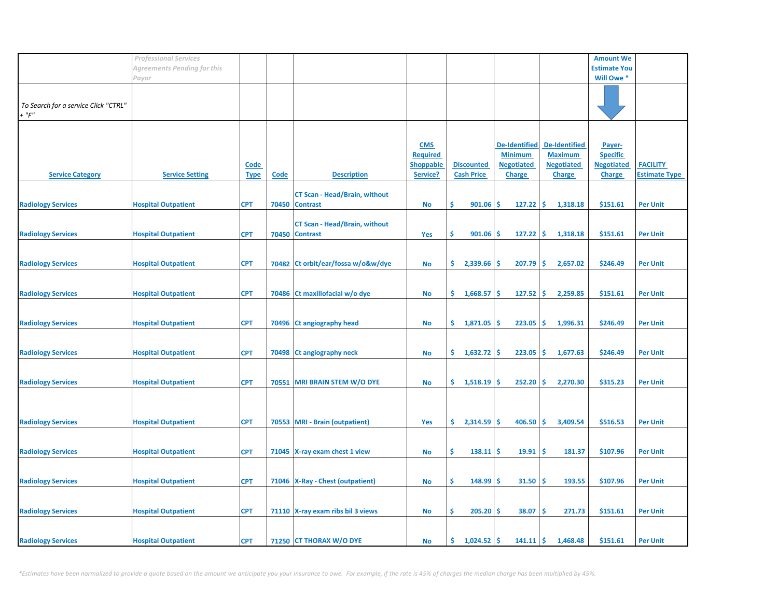|                                      | <b>Professional Services</b> |             |             |                                      |                  |                           |                    |                                 | <b>Amount We</b>    |                      |
|--------------------------------------|------------------------------|-------------|-------------|--------------------------------------|------------------|---------------------------|--------------------|---------------------------------|---------------------|----------------------|
|                                      | Agreements Pending for this  |             |             |                                      |                  |                           |                    |                                 | <b>Estimate You</b> |                      |
|                                      | Payor                        |             |             |                                      |                  |                           |                    |                                 | Will Owe *          |                      |
|                                      |                              |             |             |                                      |                  |                           |                    |                                 |                     |                      |
|                                      |                              |             |             |                                      |                  |                           |                    |                                 |                     |                      |
| To Search for a service Click "CTRL" |                              |             |             |                                      |                  |                           |                    |                                 |                     |                      |
| $+$ " $F$ "                          |                              |             |             |                                      |                  |                           |                    |                                 |                     |                      |
|                                      |                              |             |             |                                      |                  |                           |                    |                                 |                     |                      |
|                                      |                              |             |             |                                      |                  |                           |                    |                                 |                     |                      |
|                                      |                              |             |             |                                      | <b>CMS</b>       |                           | De-Identified      | <b>De-Identified</b>            | Payer-              |                      |
|                                      |                              |             |             |                                      | <b>Required</b>  |                           | <b>Minimum</b>     | <b>Maximum</b>                  | <b>Specific</b>     |                      |
|                                      |                              | <b>Code</b> |             |                                      | <b>Shoppable</b> | <b>Discounted</b>         | <b>Negotiated</b>  | <b>Negotiated</b>               | <b>Negotiated</b>   | <b>FACILITY</b>      |
| <b>Service Category</b>              | <b>Service Setting</b>       | <b>Type</b> | <b>Code</b> | <b>Description</b>                   | Service?         | <b>Cash Price</b>         | <b>Charge</b>      | <b>Charge</b>                   | <b>Charge</b>       | <b>Estimate Type</b> |
|                                      |                              |             |             |                                      |                  |                           |                    |                                 |                     |                      |
|                                      |                              |             |             | <b>CT Scan - Head/Brain, without</b> |                  |                           |                    |                                 |                     |                      |
| <b>Radiology Services</b>            | <b>Hospital Outpatient</b>   | <b>CPT</b>  | 70450       | <b>Contrast</b>                      | No               | \$<br>901.06              | 127.22<br>-\$      | -\$<br>1,318.18                 | \$151.61            | <b>Per Unit</b>      |
|                                      |                              |             |             |                                      |                  |                           |                    |                                 |                     |                      |
|                                      |                              |             |             | <b>CT Scan - Head/Brain, without</b> |                  |                           |                    |                                 |                     |                      |
| <b>Radiology Services</b>            | <b>Hospital Outpatient</b>   | <b>CPT</b>  |             | 70450 Contrast                       | Yes              | \$<br>901.06              | -Ś<br>127.22       | $\ddot{\mathsf{s}}$<br>1,318.18 | \$151.61            | <b>Per Unit</b>      |
|                                      |                              |             |             |                                      |                  |                           |                    |                                 |                     |                      |
|                                      |                              |             |             |                                      |                  |                           |                    |                                 |                     |                      |
| <b>Radiology Services</b>            | <b>Hospital Outpatient</b>   | <b>CPT</b>  |             | 70482 Ct orbit/ear/fossa w/o&w/dye   | No               | \$.<br>2,339.66           | 207.79<br>۱\$      | -\$<br>2,657.02                 | \$246.49            | <b>Per Unit</b>      |
|                                      |                              |             |             |                                      |                  |                           |                    |                                 |                     |                      |
|                                      |                              |             |             |                                      |                  |                           |                    |                                 |                     |                      |
| <b>Radiology Services</b>            | <b>Hospital Outpatient</b>   | <b>CPT</b>  | 70486       | Ct maxillofacial w/o dye             | <b>No</b>        | \$.<br>1,668.57           | -\$<br>127.52      | -\$<br>2,259.85                 | \$151.61            | <b>Per Unit</b>      |
|                                      |                              |             |             |                                      |                  |                           |                    |                                 |                     |                      |
|                                      |                              |             |             |                                      |                  |                           |                    |                                 |                     |                      |
| <b>Radiology Services</b>            | <b>Hospital Outpatient</b>   | <b>CPT</b>  | 70496       | <b>Ct angiography head</b>           | No               | \$.<br>1,871.05           | 223.05<br>-\$      | -\$<br>1,996.31                 | \$246.49            | <b>Per Unit</b>      |
|                                      |                              |             |             |                                      |                  |                           |                    |                                 |                     |                      |
|                                      |                              |             |             |                                      |                  |                           |                    |                                 |                     |                      |
| <b>Radiology Services</b>            | <b>Hospital Outpatient</b>   | <b>CPT</b>  |             | 70498 Ct angiography neck            | No               | $\frac{1}{6}$ 1,632.72 \$ | 223.05             | -\$<br>1,677.63                 | \$246.49            | <b>Per Unit</b>      |
|                                      |                              |             |             |                                      |                  |                           |                    |                                 |                     |                      |
|                                      |                              |             |             |                                      |                  |                           |                    |                                 |                     |                      |
| <b>Radiology Services</b>            | <b>Hospital Outpatient</b>   | <b>CPT</b>  | 70551       | <b>MRI BRAIN STEM W/O DYE</b>        | No               | \$.<br>$1,518.19$ \$      | 252.20             | 2,270.30<br>-\$                 | \$315.23            | <b>Per Unit</b>      |
|                                      |                              |             |             |                                      |                  |                           |                    |                                 |                     |                      |
|                                      |                              |             |             |                                      |                  |                           |                    |                                 |                     |                      |
|                                      |                              |             |             |                                      |                  |                           |                    |                                 |                     |                      |
| <b>Radiology Services</b>            | <b>Hospital Outpatient</b>   | <b>CPT</b>  |             | 70553 MRI - Brain (outpatient)       | Yes              | \$<br>$2,314.59$ \$       | 406.50             | 3,409.54<br>ا\$                 | \$516.53            | <b>Per Unit</b>      |
|                                      |                              |             |             |                                      |                  |                           |                    |                                 |                     |                      |
|                                      |                              |             |             |                                      |                  |                           |                    |                                 |                     |                      |
| <b>Radiology Services</b>            | <b>Hospital Outpatient</b>   | <b>CPT</b>  |             | 71045 X-ray exam chest 1 view        | No               | \$<br>138.11              | ۱\$<br>19.91       | -\$<br>181.37                   | \$107.96            | <b>Per Unit</b>      |
|                                      |                              |             |             |                                      |                  |                           |                    |                                 |                     |                      |
|                                      |                              |             |             |                                      |                  |                           |                    |                                 |                     |                      |
| <b>Radiology Services</b>            | <b>Hospital Outpatient</b>   | <b>CPT</b>  |             | 71046   X-Ray - Chest (outpatient)   | No               | \$<br>$148.99$ \$         | 31.50              | -\$<br>193.55                   | \$107.96            | <b>Per Unit</b>      |
|                                      |                              |             |             |                                      |                  |                           |                    |                                 |                     |                      |
|                                      |                              |             |             |                                      |                  |                           |                    |                                 |                     |                      |
| <b>Radiology Services</b>            | <b>Hospital Outpatient</b>   | <b>CPT</b>  |             | 71110 X-ray exam ribs bil 3 views    | No               | \$<br>$205.20$ \$         | 38.07              | -\$<br>271.73                   | \$151.61            | <b>Per Unit</b>      |
|                                      |                              |             |             |                                      |                  |                           |                    |                                 |                     |                      |
|                                      |                              |             |             |                                      |                  |                           |                    |                                 |                     |                      |
| <b>Radiology Services</b>            | <b>Hospital Outpatient</b>   | <b>CPT</b>  |             | 71250 CT THORAX W/O DYE              | No               | 1,024.52<br>\$.           | -\$<br>$141.11$ \$ | 1,468.48                        | \$151.61            | <b>Per Unit</b>      |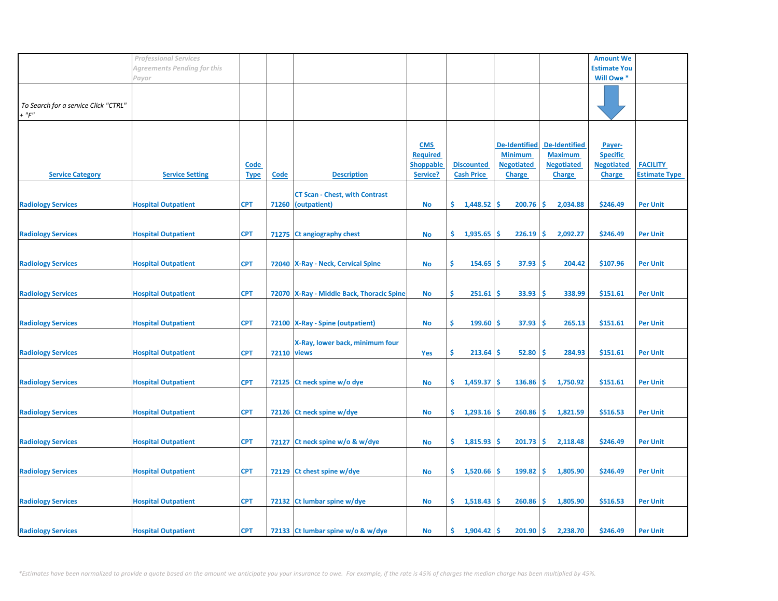|                                                     | <b>Professional Services</b> |                            |                    |                                                       |                                                               |                                        |                                                                              |                                                                              | <b>Amount We</b>                                                |                                         |
|-----------------------------------------------------|------------------------------|----------------------------|--------------------|-------------------------------------------------------|---------------------------------------------------------------|----------------------------------------|------------------------------------------------------------------------------|------------------------------------------------------------------------------|-----------------------------------------------------------------|-----------------------------------------|
|                                                     | Agreements Pending for this  |                            |                    |                                                       |                                                               |                                        |                                                                              |                                                                              | <b>Estimate You</b>                                             |                                         |
|                                                     | Payor                        |                            |                    |                                                       |                                                               |                                        |                                                                              |                                                                              | Will Owe *                                                      |                                         |
| To Search for a service Click "CTRL"<br>$+$ " $F$ " |                              |                            |                    |                                                       |                                                               |                                        |                                                                              |                                                                              |                                                                 |                                         |
| <b>Service Category</b>                             | <b>Service Setting</b>       | <b>Code</b><br><b>Type</b> | <b>Code</b>        | <b>Description</b>                                    | <b>CMS</b><br><b>Required</b><br><b>Shoppable</b><br>Service? | <b>Discounted</b><br><b>Cash Price</b> | <b>De-Identified</b><br><b>Minimum</b><br><b>Negotiated</b><br><b>Charge</b> | <b>De-Identified</b><br><b>Maximum</b><br><b>Negotiated</b><br><b>Charge</b> | Payer-<br><b>Specific</b><br><b>Negotiated</b><br><b>Charge</b> | <b>FACILITY</b><br><b>Estimate Type</b> |
| <b>Radiology Services</b>                           | <b>Hospital Outpatient</b>   | <b>CPT</b>                 | 71260              | <b>CT Scan - Chest, with Contrast</b><br>(outpatient) | No                                                            | \$.<br>1,448.52                        | <b>S</b><br>200.76                                                           | -\$<br>2,034.88                                                              | \$246.49                                                        | <b>Per Unit</b>                         |
| <b>Radiology Services</b>                           | <b>Hospital Outpatient</b>   | <b>CPT</b>                 |                    | 71275 Ct angiography chest                            | <b>No</b>                                                     | \$.<br>1,935.65                        | 226.19<br>Ŝ                                                                  | -\$<br>2,092.27                                                              | \$246.49                                                        | <b>Per Unit</b>                         |
| <b>Radiology Services</b>                           | <b>Hospital Outpatient</b>   | <b>CPT</b>                 |                    | 72040 X-Ray - Neck, Cervical Spine                    | <b>No</b>                                                     | \$<br>154.65                           | 37.93<br>-S                                                                  | -\$<br>204.42                                                                | \$107.96                                                        | <b>Per Unit</b>                         |
| <b>Radiology Services</b>                           | <b>Hospital Outpatient</b>   | <b>CPT</b>                 |                    | 72070   X-Ray - Middle Back, Thoracic Spine           | No                                                            | \$<br>251.61                           | 33.93<br>S                                                                   | -Ś<br>338.99                                                                 | \$151.61                                                        | <b>Per Unit</b>                         |
| <b>Radiology Services</b>                           | <b>Hospital Outpatient</b>   | <b>CPT</b>                 |                    | 72100 X-Ray - Spine (outpatient)                      | <b>No</b>                                                     | \$<br>$199.60$ \$                      | 37.93                                                                        | \$ ا<br>265.13                                                               | \$151.61                                                        | <b>Per Unit</b>                         |
| <b>Radiology Services</b>                           | <b>Hospital Outpatient</b>   | <b>CPT</b>                 | <b>72110 views</b> | X-Ray, lower back, minimum four                       | Yes                                                           | \$<br>213.64                           | 52.80<br>-S                                                                  | -\$<br>284.93                                                                | \$151.61                                                        | <b>Per Unit</b>                         |
| <b>Radiology Services</b>                           | <b>Hospital Outpatient</b>   | <b>CPT</b>                 | 72125              | Ct neck spine w/o dye                                 | No                                                            | \$.<br>1,459.37                        | <b>S</b><br>136.86                                                           | -\$<br>1,750.92                                                              | \$151.61                                                        | <b>Per Unit</b>                         |
| <b>Radiology Services</b>                           | <b>Hospital Outpatient</b>   | <b>CPT</b>                 |                    | 72126 Ct neck spine w/dye                             | <b>No</b>                                                     | \$.<br>1,293.16                        | 260.86<br>\$.                                                                | -\$<br>1,821.59                                                              | \$516.53                                                        | <b>Per Unit</b>                         |
| <b>Radiology Services</b>                           | <b>Hospital Outpatient</b>   | <b>CPT</b>                 | 72127              | Ct neck spine w/o & w/dye                             | No                                                            | \$<br>1,815.93                         | 201.73<br>S                                                                  | \$<br>2,118.48                                                               | \$246.49                                                        | <b>Per Unit</b>                         |
| <b>Radiology Services</b>                           | <b>Hospital Outpatient</b>   | <b>CPT</b>                 |                    | 72129 Ct chest spine w/dye                            | No                                                            | \$.<br>1,520.66                        | 199.82<br>-S                                                                 | -\$<br>1,805.90                                                              | \$246.49                                                        | <b>Per Unit</b>                         |
| <b>Radiology Services</b>                           | <b>Hospital Outpatient</b>   | <b>CPT</b>                 |                    | 72132 Ct lumbar spine w/dye                           | No                                                            | \$.<br>1,518.43                        | $260.86$ \$<br><b>S</b>                                                      | 1,805.90                                                                     | \$516.53                                                        | <b>Per Unit</b>                         |
| <b>Radiology Services</b>                           | <b>Hospital Outpatient</b>   | <b>CPT</b>                 |                    | 72133 Ct lumbar spine w/o & w/dye                     | No                                                            | \$.<br>1,904.42                        | 201.90<br><b>S</b>                                                           | ∣\$<br>2,238.70                                                              | \$246.49                                                        | <b>Per Unit</b>                         |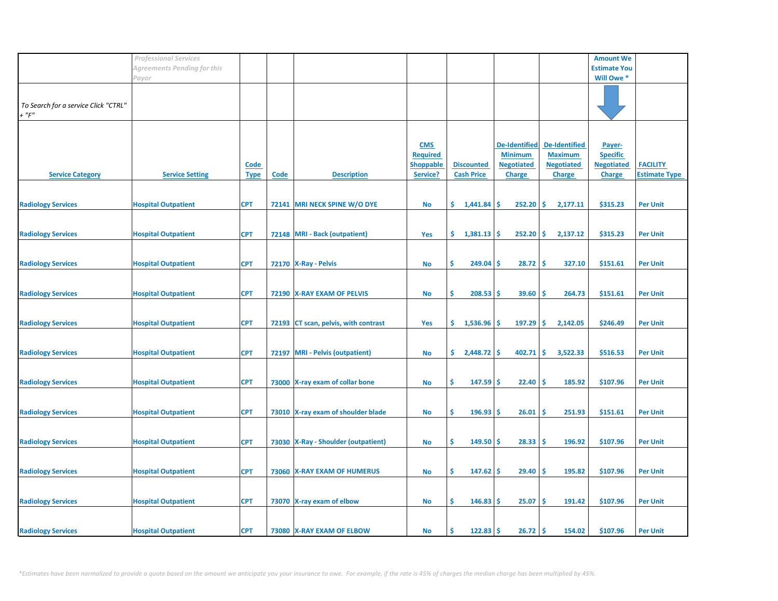|                                      | <b>Professional Services</b> |             |       |                                       |                  |                   |                      |                      | <b>Amount We</b>          |                      |
|--------------------------------------|------------------------------|-------------|-------|---------------------------------------|------------------|-------------------|----------------------|----------------------|---------------------------|----------------------|
|                                      | Agreements Pending for this  |             |       |                                       |                  |                   |                      |                      | <b>Estimate You</b>       |                      |
|                                      | Payor                        |             |       |                                       |                  |                   |                      |                      | Will Owe *                |                      |
|                                      |                              |             |       |                                       |                  |                   |                      |                      |                           |                      |
| To Search for a service Click "CTRL" |                              |             |       |                                       |                  |                   |                      |                      |                           |                      |
| $+$ " $F"$                           |                              |             |       |                                       |                  |                   |                      |                      |                           |                      |
|                                      |                              |             |       |                                       |                  |                   |                      |                      |                           |                      |
|                                      |                              |             |       |                                       | <b>CMS</b>       |                   | <b>De-Identified</b> | <b>De-Identified</b> |                           |                      |
|                                      |                              |             |       |                                       | <b>Required</b>  |                   | <b>Minimum</b>       | <b>Maximum</b>       | Payer-<br><b>Specific</b> |                      |
|                                      |                              | <b>Code</b> |       |                                       | <b>Shoppable</b> | <b>Discounted</b> | <b>Negotiated</b>    | <b>Negotiated</b>    | <b>Negotiated</b>         | <b>FACILITY</b>      |
| <b>Service Category</b>              | <b>Service Setting</b>       | <b>Type</b> | Code  | <b>Description</b>                    | Service?         | <b>Cash Price</b> | <b>Charge</b>        | <b>Charge</b>        | <b>Charge</b>             | <b>Estimate Type</b> |
|                                      |                              |             |       |                                       |                  |                   |                      |                      |                           |                      |
|                                      |                              |             |       |                                       |                  |                   |                      |                      |                           |                      |
| <b>Radiology Services</b>            | <b>Hospital Outpatient</b>   | <b>CPT</b>  | 72141 | MRI NECK SPINE W/O DYE                | <b>No</b>        | \$1,441.84        | 252.20<br>Ŝ.         | ∣\$<br>2,177.11      | \$315.23                  | <b>Per Unit</b>      |
|                                      |                              |             |       |                                       |                  |                   |                      |                      |                           |                      |
| <b>Radiology Services</b>            | <b>Hospital Outpatient</b>   | <b>CPT</b>  | 72148 | <b>MRI</b> - Back (outpatient)        | Yes              | \$.<br>1,381.13   | <b>S</b><br>252.20   | \$<br>2,137.12       | \$315.23                  | <b>Per Unit</b>      |
|                                      |                              |             |       |                                       |                  |                   |                      |                      |                           |                      |
|                                      |                              |             |       |                                       |                  |                   |                      |                      |                           |                      |
| <b>Radiology Services</b>            | <b>Hospital Outpatient</b>   | <b>CPT</b>  |       | 72170 X-Ray - Pelvis                  | <b>No</b>        | \$<br>249.04      | 28.72<br><b>S</b>    | -\$<br>327.10        | \$151.61                  | <b>Per Unit</b>      |
|                                      |                              |             |       |                                       |                  |                   |                      |                      |                           |                      |
| <b>Radiology Services</b>            | <b>Hospital Outpatient</b>   | <b>CPT</b>  |       | 72190 X-RAY EXAM OF PELVIS            | No               | \$<br>208.53      | 39.60<br>'\$         | \$,<br>264.73        | \$151.61                  | <b>Per Unit</b>      |
|                                      |                              |             |       |                                       |                  |                   |                      |                      |                           |                      |
|                                      |                              |             |       |                                       |                  |                   |                      |                      |                           |                      |
| <b>Radiology Services</b>            | <b>Hospital Outpatient</b>   | <b>CPT</b>  |       | 72193 CT scan, pelvis, with contrast  | Yes              | \$.<br>1,536.96   | $197.29$ \$<br>-S    | 2,142.05             | \$246.49                  | <b>Per Unit</b>      |
|                                      |                              |             |       |                                       |                  |                   |                      |                      |                           |                      |
| <b>Radiology Services</b>            | <b>Hospital Outpatient</b>   | <b>CPT</b>  | 72197 | <b>MRI</b> - Pelvis (outpatient)      | No               | \$.<br>2,448.72   | 402.71<br><b>S</b>   | I\$.<br>3,522.33     | \$516.53                  | <b>Per Unit</b>      |
|                                      |                              |             |       |                                       |                  |                   |                      |                      |                           |                      |
|                                      |                              |             |       |                                       |                  |                   |                      |                      |                           |                      |
| <b>Radiology Services</b>            | <b>Hospital Outpatient</b>   | <b>CPT</b>  |       | 73000 X-ray exam of collar bone       | <b>No</b>        | \$.<br>147.59     | \$.<br>22.40         | -\$<br>185.92        | \$107.96                  | <b>Per Unit</b>      |
|                                      |                              |             |       |                                       |                  |                   |                      |                      |                           |                      |
| <b>Radiology Services</b>            | <b>Hospital Outpatient</b>   | <b>CPT</b>  |       | 73010 X-ray exam of shoulder blade    | <b>No</b>        | \$<br>196.93      | 26.01<br>\$.         | \$<br>251.93         | \$151.61                  | <b>Per Unit</b>      |
|                                      |                              |             |       |                                       |                  |                   |                      |                      |                           |                      |
|                                      |                              |             |       |                                       |                  |                   |                      |                      |                           |                      |
| <b>Radiology Services</b>            | <b>Hospital Outpatient</b>   | <b>CPT</b>  |       | 73030   X-Ray - Shoulder (outpatient) | No               | \$<br>149.50      | 28.33<br>.S          | \$,<br>196.92        | \$107.96                  | <b>Per Unit</b>      |
|                                      |                              |             |       |                                       |                  |                   |                      |                      |                           |                      |
| <b>Radiology Services</b>            | <b>Hospital Outpatient</b>   | <b>CPT</b>  |       | 73060 X-RAY EXAM OF HUMERUS           | <b>No</b>        | \$<br>147.62      | 29.40<br>-S          | -\$<br>195.82        | \$107.96                  | <b>Per Unit</b>      |
|                                      |                              |             |       |                                       |                  |                   |                      |                      |                           |                      |
|                                      |                              |             |       |                                       |                  |                   |                      |                      |                           |                      |
| <b>Radiology Services</b>            | <b>Hospital Outpatient</b>   | <b>CPT</b>  |       | 73070 X-ray exam of elbow             | <b>No</b>        | \$<br>146.83      | 25.07<br><b>S</b>    | -\$<br>191.42        | \$107.96                  | <b>Per Unit</b>      |
|                                      |                              |             |       |                                       |                  |                   |                      |                      |                           |                      |
| <b>Radiology Services</b>            | <b>Hospital Outpatient</b>   | <b>CPT</b>  |       | 73080 X-RAY EXAM OF ELBOW             | No               | 122.83<br>Ś       | $26.72$ \$<br>.S     | 154.02               | \$107.96                  | <b>Per Unit</b>      |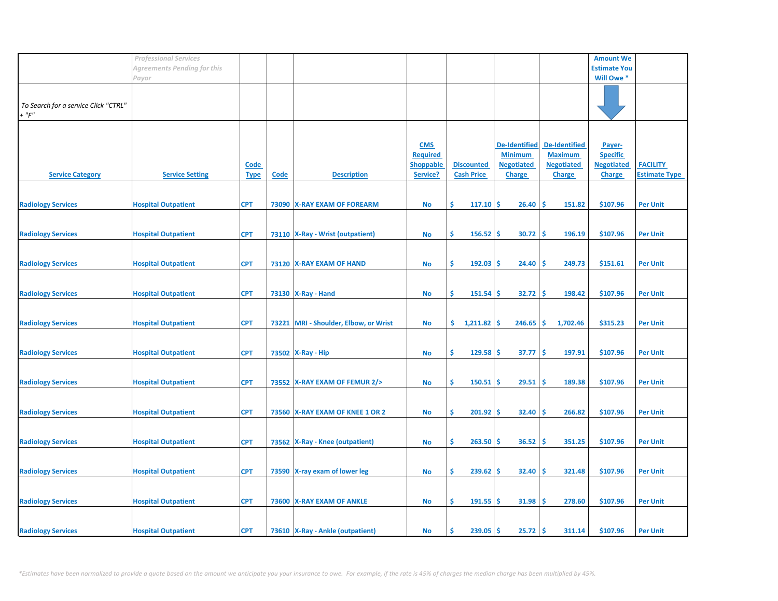|                                                     | <b>Professional Services</b> |                            |             |                                    |                                                               |                                        |                                                                              |                                                                              | <b>Amount We</b>                                                |                                         |
|-----------------------------------------------------|------------------------------|----------------------------|-------------|------------------------------------|---------------------------------------------------------------|----------------------------------------|------------------------------------------------------------------------------|------------------------------------------------------------------------------|-----------------------------------------------------------------|-----------------------------------------|
|                                                     | Agreements Pending for this  |                            |             |                                    |                                                               |                                        |                                                                              |                                                                              | <b>Estimate You</b>                                             |                                         |
|                                                     | Payor                        |                            |             |                                    |                                                               |                                        |                                                                              |                                                                              | Will Owe *                                                      |                                         |
| To Search for a service Click "CTRL"<br>$+$ " $F$ " |                              |                            |             |                                    |                                                               |                                        |                                                                              |                                                                              |                                                                 |                                         |
| <b>Service Category</b>                             | <b>Service Setting</b>       | <b>Code</b><br><b>Type</b> | <b>Code</b> | <b>Description</b>                 | <b>CMS</b><br><b>Required</b><br><b>Shoppable</b><br>Service? | <b>Discounted</b><br><b>Cash Price</b> | <b>De-Identified</b><br><b>Minimum</b><br><b>Negotiated</b><br><b>Charge</b> | <b>De-Identified</b><br><b>Maximum</b><br><b>Negotiated</b><br><b>Charge</b> | Payer-<br><b>Specific</b><br><b>Negotiated</b><br><b>Charge</b> | <b>FACILITY</b><br><b>Estimate Type</b> |
| <b>Radiology Services</b>                           | <b>Hospital Outpatient</b>   | <b>CPT</b>                 |             | 73090 X-RAY EXAM OF FOREARM        | No                                                            | \$.<br>117.10                          | <b>S</b><br>26.40                                                            | -\$<br>151.82                                                                | \$107.96                                                        | <b>Per Unit</b>                         |
| <b>Radiology Services</b>                           | <b>Hospital Outpatient</b>   | <b>CPT</b>                 |             | 73110   X-Ray - Wrist (outpatient) | <b>No</b>                                                     | \$<br>156.52                           | 30.72<br>\$.                                                                 | -\$<br>196.19                                                                | \$107.96                                                        | <b>Per Unit</b>                         |
| <b>Radiology Services</b>                           | <b>Hospital Outpatient</b>   | <b>CPT</b>                 |             | 73120 X-RAY EXAM OF HAND           | <b>No</b>                                                     | \$<br>192.03                           | 24.40<br>-S                                                                  | \$,<br>249.73                                                                | \$151.61                                                        | <b>Per Unit</b>                         |
| <b>Radiology Services</b>                           | <b>Hospital Outpatient</b>   | <b>CPT</b>                 |             | 73130   X-Ray - Hand               | No                                                            | \$<br>151.54                           | 32.72<br>.S                                                                  | \$,<br>198.42                                                                | \$107.96                                                        | <b>Per Unit</b>                         |
| <b>Radiology Services</b>                           | <b>Hospital Outpatient</b>   | <b>CPT</b>                 | 73221       | MRI - Shoulder, Elbow, or Wrist    | No                                                            | \$.<br>$1,211.82$ \$                   | $246.65$ \$                                                                  | 1,702.46                                                                     | \$315.23                                                        | <b>Per Unit</b>                         |
| <b>Radiology Services</b>                           | <b>Hospital Outpatient</b>   | <b>CPT</b>                 |             | 73502 X-Ray - Hip                  | <b>No</b>                                                     | \$<br>129.58                           | Ŝ.<br>37.77                                                                  | -\$<br>197.91                                                                | \$107.96                                                        | <b>Per Unit</b>                         |
| <b>Radiology Services</b>                           | <b>Hospital Outpatient</b>   | <b>CPT</b>                 |             | 73552 X-RAY EXAM OF FEMUR 2/>      | No                                                            | Ŝ.<br>150.51                           | 29.51<br><b>S</b>                                                            | -\$<br>189.38                                                                | \$107.96                                                        | <b>Per Unit</b>                         |
| <b>Radiology Services</b>                           | <b>Hospital Outpatient</b>   | <b>CPT</b>                 |             | 73560 X-RAY EXAM OF KNEE 1 OR 2    | <b>No</b>                                                     | \$<br>201.92                           | 32.40<br>\$.                                                                 | \$<br>266.82                                                                 | \$107.96                                                        | <b>Per Unit</b>                         |
| <b>Radiology Services</b>                           | <b>Hospital Outpatient</b>   | <b>CPT</b>                 |             | 73562 X-Ray - Knee (outpatient)    | No                                                            | \$<br>263.50                           | 36.52<br>-S                                                                  | \$,<br>351.25                                                                | \$107.96                                                        | <b>Per Unit</b>                         |
| <b>Radiology Services</b>                           | <b>Hospital Outpatient</b>   | <b>CPT</b>                 |             | 73590 X-ray exam of lower leg      | No                                                            | \$<br>239.62                           | 32.40<br>-S                                                                  | -\$<br>321.48                                                                | \$107.96                                                        | <b>Per Unit</b>                         |
| <b>Radiology Services</b>                           | <b>Hospital Outpatient</b>   | <b>CPT</b>                 |             | 73600 X-RAY EXAM OF ANKLE          | <b>No</b>                                                     | \$<br>191.55                           | 31.98<br>-\$                                                                 | -\$<br>278.60                                                                | \$107.96                                                        | <b>Per Unit</b>                         |
| <b>Radiology Services</b>                           | <b>Hospital Outpatient</b>   | <b>CPT</b>                 |             | 73610 X-Ray - Ankle (outpatient)   | No                                                            | 239.05<br>Ś                            | $25.72$ \$<br>'\$                                                            | 311.14                                                                       | \$107.96                                                        | <b>Per Unit</b>                         |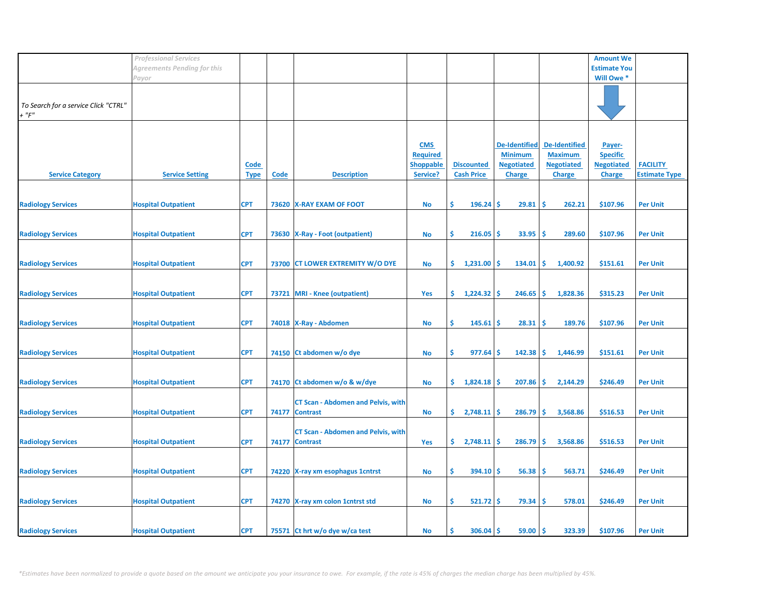|                                                     | <b>Professional Services</b> |                            |             |                                                              |                                                               |                                        |                                                                              |                                                                              | <b>Amount We</b>                                                |                                         |
|-----------------------------------------------------|------------------------------|----------------------------|-------------|--------------------------------------------------------------|---------------------------------------------------------------|----------------------------------------|------------------------------------------------------------------------------|------------------------------------------------------------------------------|-----------------------------------------------------------------|-----------------------------------------|
|                                                     | Agreements Pending for this  |                            |             |                                                              |                                                               |                                        |                                                                              |                                                                              | <b>Estimate You</b>                                             |                                         |
|                                                     | Payor                        |                            |             |                                                              |                                                               |                                        |                                                                              |                                                                              | Will Owe *                                                      |                                         |
| To Search for a service Click "CTRL"<br>$+$ " $F$ " |                              |                            |             |                                                              |                                                               |                                        |                                                                              |                                                                              |                                                                 |                                         |
| <b>Service Category</b>                             | <b>Service Setting</b>       | <b>Code</b><br><b>Type</b> | <b>Code</b> | <b>Description</b>                                           | <b>CMS</b><br><b>Required</b><br><b>Shoppable</b><br>Service? | <b>Discounted</b><br><b>Cash Price</b> | <b>De-Identified</b><br><b>Minimum</b><br><b>Negotiated</b><br><b>Charge</b> | <b>De-Identified</b><br><b>Maximum</b><br><b>Negotiated</b><br><b>Charge</b> | Payer-<br><b>Specific</b><br><b>Negotiated</b><br><b>Charge</b> | <b>FACILITY</b><br><b>Estimate Type</b> |
| <b>Radiology Services</b>                           | <b>Hospital Outpatient</b>   | <b>CPT</b>                 |             | 73620 X-RAY EXAM OF FOOT                                     | No                                                            | \$.<br>196.24                          | 29.81<br>.S                                                                  | -\$<br>262.21                                                                | \$107.96                                                        | <b>Per Unit</b>                         |
| <b>Radiology Services</b>                           | <b>Hospital Outpatient</b>   | <b>CPT</b>                 | 73630       | <b>X-Ray - Foot (outpatient)</b>                             | <b>No</b>                                                     | \$<br>216.05                           | 33.95<br>'\$                                                                 | \$,<br>289.60                                                                | \$107.96                                                        | <b>Per Unit</b>                         |
| <b>Radiology Services</b>                           | <b>Hospital Outpatient</b>   | <b>CPT</b>                 |             | 73700 CT LOWER EXTREMITY W/O DYE                             | No                                                            | \$.<br>1,231.00                        | 134.01<br>-S                                                                 | -\$<br>1,400.92                                                              | \$151.61                                                        | <b>Per Unit</b>                         |
| <b>Radiology Services</b>                           | <b>Hospital Outpatient</b>   | <b>CPT</b>                 |             | 73721 MRI - Knee (outpatient)                                | Yes                                                           | \$.<br>1,224.32                        | 246.65<br>S                                                                  | \$<br>1,828.36                                                               | \$315.23                                                        | <b>Per Unit</b>                         |
| <b>Radiology Services</b>                           | <b>Hospital Outpatient</b>   | <b>CPT</b>                 |             | 74018   X-Ray - Abdomen                                      | No                                                            | \$<br>145.61                           | 28.31<br>\$.                                                                 | -\$<br>189.76                                                                | \$107.96                                                        | <b>Per Unit</b>                         |
| <b>Radiology Services</b>                           | <b>Hospital Outpatient</b>   | <b>CPT</b>                 |             | 74150 Ct abdomen w/o dye                                     | <b>No</b>                                                     | \$<br>977.64                           | Ś<br>142.38                                                                  | l\$<br>1,446.99                                                              | \$151.61                                                        | <b>Per Unit</b>                         |
| <b>Radiology Services</b>                           | <b>Hospital Outpatient</b>   | <b>CPT</b>                 |             | 74170 Ct abdomen w/o & w/dye                                 | No                                                            | \$.<br>1,824.18                        | <b>S</b><br>207.86                                                           | -\$<br>2,144.29                                                              | \$246.49                                                        | <b>Per Unit</b>                         |
| <b>Radiology Services</b>                           | <b>Hospital Outpatient</b>   | <b>CPT</b>                 | 74177       | <b>CT Scan - Abdomen and Pelvis, with</b><br><b>Contrast</b> | No                                                            | \$.<br>2,748.11                        | 286.79<br>\$.                                                                | -\$<br>3,568.86                                                              | \$516.53                                                        | <b>Per Unit</b>                         |
| <b>Radiology Services</b>                           | <b>Hospital Outpatient</b>   | <b>CPT</b>                 | 74177       | <b>CT Scan - Abdomen and Pelvis, with</b><br><b>Contrast</b> | Yes                                                           | \$<br>2,748.11                         | 286.79<br>.S                                                                 | -\$<br>3,568.86                                                              | \$516.53                                                        | <b>Per Unit</b>                         |
| <b>Radiology Services</b>                           | <b>Hospital Outpatient</b>   | <b>CPT</b>                 |             | 74220 X-ray xm esophagus 1 cntrst                            | No                                                            | \$<br>394.10                           | 56.38<br>-S                                                                  | -\$<br>563.71                                                                | \$246.49                                                        | <b>Per Unit</b>                         |
|                                                     |                              |                            |             |                                                              |                                                               |                                        |                                                                              |                                                                              |                                                                 |                                         |
| <b>Radiology Services</b>                           | <b>Hospital Outpatient</b>   | <b>CPT</b>                 |             | 74270 X-ray xm colon 1 cntrst std                            | <b>No</b>                                                     | \$<br>521.72                           | 79.34<br>\$.                                                                 | -\$<br>578.01                                                                | \$246.49                                                        | <b>Per Unit</b>                         |
| <b>Radiology Services</b>                           | <b>Hospital Outpatient</b>   | <b>CPT</b>                 |             | 75571 Ct hrt w/o dye w/ca test                               | No                                                            | 306.04<br>Ś                            | 59.00<br>.S                                                                  | -Ś<br>323.39                                                                 | \$107.96                                                        | <b>Per Unit</b>                         |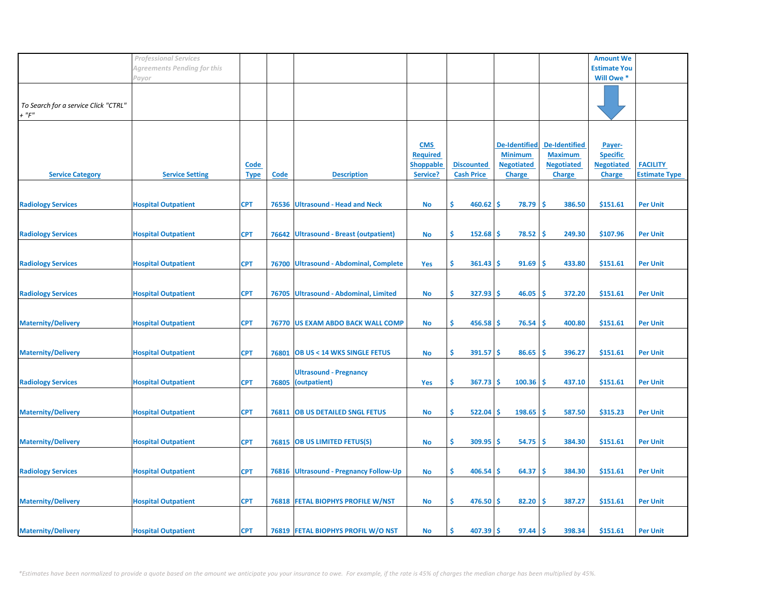|                                                     | <b>Professional Services</b> |                            |             |                                               |                                                               |                                        |                                                                              |                                                                              | <b>Amount We</b>                                                |                                         |
|-----------------------------------------------------|------------------------------|----------------------------|-------------|-----------------------------------------------|---------------------------------------------------------------|----------------------------------------|------------------------------------------------------------------------------|------------------------------------------------------------------------------|-----------------------------------------------------------------|-----------------------------------------|
|                                                     | Agreements Pending for this  |                            |             |                                               |                                                               |                                        |                                                                              |                                                                              | <b>Estimate You</b>                                             |                                         |
|                                                     | Payor                        |                            |             |                                               |                                                               |                                        |                                                                              |                                                                              | Will Owe *                                                      |                                         |
| To Search for a service Click "CTRL"<br>$+$ " $F$ " |                              |                            |             |                                               |                                                               |                                        |                                                                              |                                                                              |                                                                 |                                         |
| <b>Service Category</b>                             | <b>Service Setting</b>       | <b>Code</b><br><b>Type</b> | <b>Code</b> | <b>Description</b>                            | <b>CMS</b><br><b>Required</b><br><b>Shoppable</b><br>Service? | <b>Discounted</b><br><b>Cash Price</b> | <b>De-Identified</b><br><b>Minimum</b><br><b>Negotiated</b><br><b>Charge</b> | <b>De-Identified</b><br><b>Maximum</b><br><b>Negotiated</b><br><b>Charge</b> | Payer-<br><b>Specific</b><br><b>Negotiated</b><br><b>Charge</b> | <b>FACILITY</b><br><b>Estimate Type</b> |
| <b>Radiology Services</b>                           | <b>Hospital Outpatient</b>   | <b>CPT</b>                 |             | 76536 Ultrasound - Head and Neck              | No                                                            | \$.<br>460.62                          | 78.79<br><b>S</b>                                                            | -\$<br>386.50                                                                | \$151.61                                                        | <b>Per Unit</b>                         |
| <b>Radiology Services</b>                           | <b>Hospital Outpatient</b>   | <b>CPT</b>                 |             | 76642 Ultrasound - Breast (outpatient)        | <b>No</b>                                                     | \$<br>152.68                           | 78.52<br>Ŝ                                                                   | -\$<br>249.30                                                                | \$107.96                                                        | <b>Per Unit</b>                         |
| <b>Radiology Services</b>                           | <b>Hospital Outpatient</b>   | <b>CPT</b>                 |             | 76700 Ultrasound - Abdominal, Complete        | Yes                                                           | \$<br>361.43                           | 91.69<br>-S                                                                  | -\$<br>433.80                                                                | \$151.61                                                        | <b>Per Unit</b>                         |
| <b>Radiology Services</b>                           | <b>Hospital Outpatient</b>   | <b>CPT</b>                 |             | 76705 Ultrasound - Abdominal, Limited         | <b>No</b>                                                     | \$<br>327.93                           | '\$<br>46.05                                                                 | -\$<br>372.20                                                                | \$151.61                                                        | <b>Per Unit</b>                         |
| <b>Maternity/Delivery</b>                           | <b>Hospital Outpatient</b>   | <b>CPT</b>                 |             | 76770 US EXAM ABDO BACK WALL COMP             | No                                                            | \$<br>456.58                           | 76.54<br>\$.                                                                 | -\$<br>400.80                                                                | \$151.61                                                        | <b>Per Unit</b>                         |
| <b>Maternity/Delivery</b>                           | <b>Hospital Outpatient</b>   | <b>CPT</b>                 | 76801       | <b>OB US &lt; 14 WKS SINGLE FETUS</b>         | <b>No</b>                                                     | \$<br>391.57                           | Ŝ.<br>86.65                                                                  | -\$<br>396.27                                                                | \$151.61                                                        | <b>Per Unit</b>                         |
| <b>Radiology Services</b>                           | <b>Hospital Outpatient</b>   | <b>CPT</b>                 | 76805       | <b>Ultrasound - Pregnancy</b><br>(outpatient) | Yes                                                           | \$<br>367.73                           | <b>S</b><br>100.36                                                           | -Ś<br>437.10                                                                 | \$151.61                                                        | <b>Per Unit</b>                         |
| <b>Maternity/Delivery</b>                           | <b>Hospital Outpatient</b>   | <b>CPT</b>                 |             | 76811 OB US DETAILED SNGL FETUS               | <b>No</b>                                                     | \$<br>522.04                           | 198.65<br>\$.                                                                | -\$<br>587.50                                                                | \$315.23                                                        | <b>Per Unit</b>                         |
| <b>Maternity/Delivery</b>                           | <b>Hospital Outpatient</b>   | <b>CPT</b>                 |             | 76815 OB US LIMITED FETUS(S)                  | No                                                            | \$<br>309.95                           | Ŝ<br>54.75                                                                   | \$,<br>384.30                                                                | \$151.61                                                        | <b>Per Unit</b>                         |
| <b>Radiology Services</b>                           | <b>Hospital Outpatient</b>   | <b>CPT</b>                 |             | 76816 Ultrasound - Pregnancy Follow-Up        | No                                                            | \$<br>406.54                           | 64.37<br>S                                                                   | \$,<br>384.30                                                                | \$151.61                                                        | <b>Per Unit</b>                         |
| <b>Maternity/Delivery</b>                           | <b>Hospital Outpatient</b>   | <b>CPT</b>                 |             | <b>76818 FETAL BIOPHYS PROFILE W/NST</b>      | <b>No</b>                                                     | \$<br>476.50                           | 82.20<br>'\$                                                                 | -\$<br>387.27                                                                | \$151.61                                                        | <b>Per Unit</b>                         |
| <b>Maternity/Delivery</b>                           | <b>Hospital Outpatient</b>   | <b>CPT</b>                 |             | 76819 FETAL BIOPHYS PROFIL W/O NST            | No                                                            | 407.39<br>Ś                            | $97.44$ \$<br>.S                                                             | 398.34                                                                       | \$151.61                                                        | <b>Per Unit</b>                         |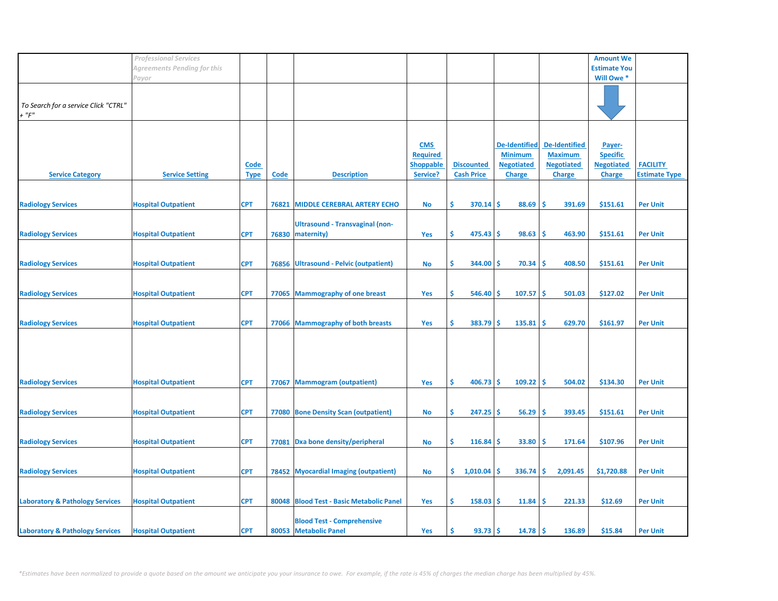|                                            | <b>Professional Services</b> |             |       |                                          |                  |     |                   |                      |                      | <b>Amount We</b>    |                      |
|--------------------------------------------|------------------------------|-------------|-------|------------------------------------------|------------------|-----|-------------------|----------------------|----------------------|---------------------|----------------------|
|                                            | Agreements Pending for this  |             |       |                                          |                  |     |                   |                      |                      | <b>Estimate You</b> |                      |
|                                            | Payor                        |             |       |                                          |                  |     |                   |                      |                      | Will Owe *          |                      |
|                                            |                              |             |       |                                          |                  |     |                   |                      |                      |                     |                      |
|                                            |                              |             |       |                                          |                  |     |                   |                      |                      |                     |                      |
| To Search for a service Click "CTRL"       |                              |             |       |                                          |                  |     |                   |                      |                      |                     |                      |
| $+$ " $F$ "                                |                              |             |       |                                          |                  |     |                   |                      |                      |                     |                      |
|                                            |                              |             |       |                                          |                  |     |                   |                      |                      |                     |                      |
|                                            |                              |             |       |                                          |                  |     |                   |                      |                      |                     |                      |
|                                            |                              |             |       |                                          |                  |     |                   | <b>De-Identified</b> | <b>De-Identified</b> |                     |                      |
|                                            |                              |             |       |                                          | <b>CMS</b>       |     |                   |                      |                      | Payer-              |                      |
|                                            |                              |             |       |                                          | <b>Required</b>  |     |                   | <b>Minimum</b>       | <b>Maximum</b>       | <b>Specific</b>     |                      |
|                                            |                              | <b>Code</b> |       |                                          | <b>Shoppable</b> |     | <b>Discounted</b> | <b>Negotiated</b>    | <b>Negotiated</b>    | <b>Negotiated</b>   | <b>FACILITY</b>      |
| <b>Service Category</b>                    | <b>Service Setting</b>       | <b>Type</b> | Code  | <b>Description</b>                       | Service?         |     | <b>Cash Price</b> | <b>Charge</b>        | <b>Charge</b>        | <b>Charge</b>       | <b>Estimate Type</b> |
|                                            |                              |             |       |                                          |                  |     |                   |                      |                      |                     |                      |
|                                            |                              |             |       |                                          |                  |     |                   |                      |                      |                     |                      |
| <b>Radiology Services</b>                  | <b>Hospital Outpatient</b>   | <b>CPT</b>  | 76821 | <b>MIDDLE CEREBRAL ARTERY ECHO</b>       | <b>No</b>        | Ŝ.  | 370.14            | 88.69<br>\$          | Ŝ<br>391.69          | \$151.61            | <b>Per Unit</b>      |
|                                            |                              |             |       |                                          |                  |     |                   |                      |                      |                     |                      |
|                                            |                              |             |       | <b>Ultrasound - Transvaginal (non-</b>   |                  |     |                   |                      |                      |                     |                      |
| <b>Radiology Services</b>                  | <b>Hospital Outpatient</b>   | <b>CPT</b>  | 76830 | maternity)                               | Yes              | \$  | 475.43            | \$<br>98.63          | \$.<br>463.90        | \$151.61            | <b>Per Unit</b>      |
|                                            |                              |             |       |                                          |                  |     |                   |                      |                      |                     |                      |
|                                            |                              |             |       |                                          |                  |     |                   |                      |                      |                     |                      |
| <b>Radiology Services</b>                  | <b>Hospital Outpatient</b>   | <b>CPT</b>  |       | 76856 Ultrasound - Pelvic (outpatient)   | <b>No</b>        | \$  | 344.00            | 70.34<br>\$.         | \$.<br>408.50        | \$151.61            | <b>Per Unit</b>      |
|                                            |                              |             |       |                                          |                  |     |                   |                      |                      |                     |                      |
|                                            |                              |             |       |                                          |                  |     |                   |                      |                      |                     |                      |
|                                            |                              |             |       |                                          |                  | Ŝ.  |                   | 107.57<br>\$         | \$.                  | \$127.02            |                      |
| <b>Radiology Services</b>                  | <b>Hospital Outpatient</b>   | <b>CPT</b>  |       | 77065 Mammography of one breast          | Yes              |     | 546.40            |                      | 501.03               |                     | <b>Per Unit</b>      |
|                                            |                              |             |       |                                          |                  |     |                   |                      |                      |                     |                      |
|                                            |                              |             |       |                                          |                  |     |                   |                      |                      |                     |                      |
| <b>Radiology Services</b>                  | <b>Hospital Outpatient</b>   | <b>CPT</b>  |       | 77066 Mammography of both breasts        | Yes              | \$  | 383.79            | \$.<br>135.81        | <b>S</b><br>629.70   | \$161.97            | <b>Per Unit</b>      |
|                                            |                              |             |       |                                          |                  |     |                   |                      |                      |                     |                      |
|                                            |                              |             |       |                                          |                  |     |                   |                      |                      |                     |                      |
|                                            |                              |             |       |                                          |                  |     |                   |                      |                      |                     |                      |
|                                            |                              |             |       |                                          |                  |     |                   |                      |                      |                     |                      |
|                                            |                              |             |       |                                          |                  |     |                   |                      |                      |                     |                      |
| <b>Radiology Services</b>                  | <b>Hospital Outpatient</b>   | <b>CPT</b>  | 77067 | <b>Mammogram (outpatient)</b>            | Yes              | Ŝ.  | 406.73            | -\$<br>109.22        | <b>S</b><br>504.02   | \$134.30            | <b>Per Unit</b>      |
|                                            |                              |             |       |                                          |                  |     |                   |                      |                      |                     |                      |
|                                            |                              |             |       |                                          |                  |     |                   |                      |                      |                     |                      |
| <b>Radiology Services</b>                  | <b>Hospital Outpatient</b>   | <b>CPT</b>  |       | 77080 Bone Density Scan (outpatient)     | <b>No</b>        | \$. | 247.25            | \$.<br>56.29         | <b>S</b><br>393.45   | \$151.61            | <b>Per Unit</b>      |
|                                            |                              |             |       |                                          |                  |     |                   |                      |                      |                     |                      |
|                                            |                              |             |       |                                          |                  |     |                   |                      |                      |                     |                      |
| <b>Radiology Services</b>                  | <b>Hospital Outpatient</b>   | <b>CPT</b>  | 77081 | Dxa bone density/peripheral              | <b>No</b>        | \$  | 116.84            | 33.80<br>\$          | \$<br>171.64         | \$107.96            | <b>Per Unit</b>      |
|                                            |                              |             |       |                                          |                  |     |                   |                      |                      |                     |                      |
|                                            |                              |             |       |                                          |                  |     |                   |                      |                      |                     |                      |
| <b>Radiology Services</b>                  | <b>Hospital Outpatient</b>   | <b>CPT</b>  |       | 78452 Myocardial Imaging (outpatient)    | <b>No</b>        | \$. | 1,010.04          | 336.74<br>S          | \$.<br>2,091.45      | \$1,720.88          | <b>Per Unit</b>      |
|                                            |                              |             |       |                                          |                  |     |                   |                      |                      |                     |                      |
|                                            |                              |             |       |                                          |                  |     |                   |                      |                      |                     |                      |
|                                            |                              |             |       |                                          |                  |     |                   |                      |                      |                     |                      |
| <b>Laboratory &amp; Pathology Services</b> | <b>Hospital Outpatient</b>   | <b>CPT</b>  |       | 80048 Blood Test - Basic Metabolic Panel | Yes              | Ŝ.  | 158.03            | \$.<br>11.84         | Ŝ<br>221.33          | \$12.69             | <b>Per Unit</b>      |
|                                            |                              |             |       |                                          |                  |     |                   |                      |                      |                     |                      |
|                                            |                              |             |       | <b>Blood Test - Comprehensive</b>        |                  |     |                   |                      |                      |                     |                      |
| <b>Laboratory &amp; Pathology Services</b> | <b>Hospital Outpatient</b>   | <b>CPT</b>  |       | 80053 Metabolic Panel                    | Yes              | Ŝ.  | 93.73             | $14.78$ \$<br>-\$    | 136.89               | \$15.84             | <b>Per Unit</b>      |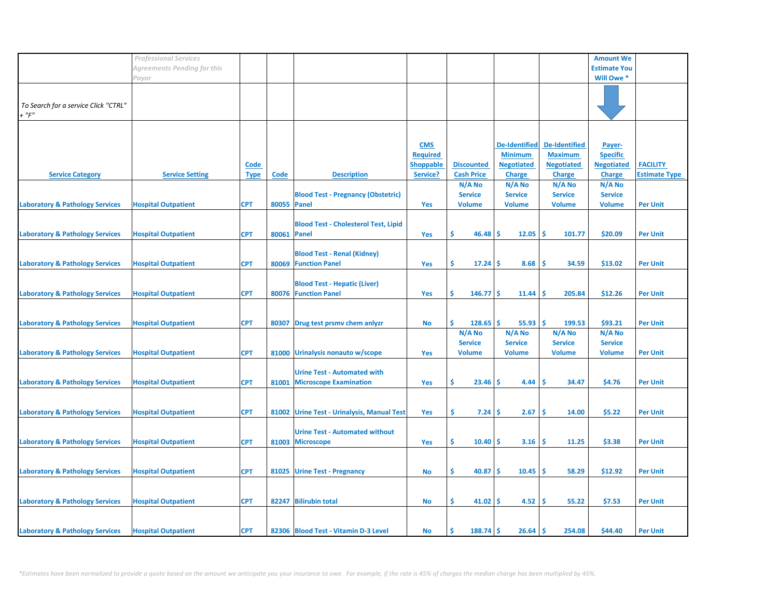|                                                 | <b>Professional Services</b> |                            |                    |                                                                     |                                                               |                                        |                                                                              |                                                                              | <b>Amount We</b>                                                |                                         |
|-------------------------------------------------|------------------------------|----------------------------|--------------------|---------------------------------------------------------------------|---------------------------------------------------------------|----------------------------------------|------------------------------------------------------------------------------|------------------------------------------------------------------------------|-----------------------------------------------------------------|-----------------------------------------|
|                                                 | Agreements Pending for this  |                            |                    |                                                                     |                                                               |                                        |                                                                              |                                                                              | <b>Estimate You</b>                                             |                                         |
|                                                 | Payor                        |                            |                    |                                                                     |                                                               |                                        |                                                                              |                                                                              | Will Owe *                                                      |                                         |
| To Search for a service Click "CTRL"<br>$+$ "F" |                              |                            |                    |                                                                     |                                                               |                                        |                                                                              |                                                                              |                                                                 |                                         |
| <b>Service Category</b>                         | <b>Service Setting</b>       | <b>Code</b><br><b>Type</b> | Code               | <b>Description</b>                                                  | <b>CMS</b><br><b>Required</b><br><b>Shoppable</b><br>Service? | <b>Discounted</b><br><b>Cash Price</b> | <b>De-Identified</b><br><b>Minimum</b><br><b>Negotiated</b><br><b>Charge</b> | <b>De-Identified</b><br><b>Maximum</b><br><b>Negotiated</b><br><b>Charge</b> | Payer-<br><b>Specific</b><br><b>Negotiated</b><br><b>Charge</b> | <b>FACILITY</b><br><b>Estimate Type</b> |
|                                                 |                              |                            |                    |                                                                     |                                                               | N/A No                                 | N/A No                                                                       | $N/A$ No                                                                     | N/A No                                                          |                                         |
| <b>Laboratory &amp; Pathology Services</b>      | <b>Hospital Outpatient</b>   | <b>CPT</b>                 | 80055 Panel        | <b>Blood Test - Pregnancy (Obstetric)</b>                           | Yes                                                           | <b>Service</b><br><b>Volume</b>        | <b>Service</b><br><b>Volume</b>                                              | <b>Service</b><br><b>Volume</b>                                              | <b>Service</b><br><b>Volume</b>                                 | <b>Per Unit</b>                         |
| <b>Laboratory &amp; Pathology Services</b>      | <b>Hospital Outpatient</b>   | <b>CPT</b>                 | <b>80061 Panel</b> | <b>Blood Test - Cholesterol Test, Lipid</b>                         | Yes                                                           | \$<br>46.48                            | ۱Ś<br>12.05                                                                  | 1\$<br>101.77                                                                | \$20.09                                                         | <b>Per Unit</b>                         |
| <b>Laboratory &amp; Pathology Services</b>      | <b>Hospital Outpatient</b>   | <b>CPT</b>                 | 80069              | <b>Blood Test - Renal (Kidney)</b><br><b>Function Panel</b>         | Yes                                                           | \$<br>$17.24$   \$                     | 8.68                                                                         | -Ś<br>34.59                                                                  | \$13.02                                                         | <b>Per Unit</b>                         |
| <b>Laboratory &amp; Pathology Services</b>      | <b>Hospital Outpatient</b>   | <b>CPT</b>                 | 80076              | <b>Blood Test - Hepatic (Liver)</b><br><b>Function Panel</b>        | Yes                                                           | \$<br>$146.77$ \$                      | 11.44                                                                        | ١\$<br>205.84                                                                | \$12.26                                                         | <b>Per Unit</b>                         |
| <b>Laboratory &amp; Pathology Services</b>      | <b>Hospital Outpatient</b>   | <b>CPT</b>                 |                    | 80307 Drug test prsmv chem anlyzr                                   | No                                                            | \$<br>128.65<br>N/A No                 | ۱\$<br>55.93<br>N/A No                                                       | ١\$<br>199.53<br>N/A No                                                      | \$93.21<br>N/A No                                               | <b>Per Unit</b>                         |
| <b>Laboratory &amp; Pathology Services</b>      | <b>Hospital Outpatient</b>   | <b>CPT</b>                 |                    | 81000 Urinalysis nonauto w/scope                                    | <b>Yes</b>                                                    | <b>Service</b><br><b>Volume</b>        | <b>Service</b><br><b>Volume</b>                                              | <b>Service</b><br><b>Volume</b>                                              | <b>Service</b><br><b>Volume</b>                                 | <b>Per Unit</b>                         |
| <b>Laboratory &amp; Pathology Services</b>      | <b>Hospital Outpatient</b>   | <b>CPT</b>                 | 81001              | <b>Urine Test - Automated with</b><br><b>Microscope Examination</b> | Yes                                                           | \$<br>23.46                            | 4.44<br>-S                                                                   | 34.47<br>s                                                                   | \$4.76                                                          | <b>Per Unit</b>                         |
| <b>Laboratory &amp; Pathology Services</b>      | <b>Hospital Outpatient</b>   | <b>CPT</b>                 |                    | 81002 Urine Test - Urinalysis, Manual Test                          | Yes                                                           | \$<br>7.24                             | 2.67<br>۱S                                                                   | -Ś<br>14.00                                                                  | \$5.22                                                          | <b>Per Unit</b>                         |
| <b>Laboratory &amp; Pathology Services</b>      | <b>Hospital Outpatient</b>   | <b>CPT</b>                 | 81003              | <b>Urine Test - Automated without</b><br><b>Microscope</b>          | Yes                                                           | \$<br>$10.40$ \$                       | 3.16                                                                         | - \$<br>11.25                                                                | \$3.38                                                          | <b>Per Unit</b>                         |
| <b>Laboratory &amp; Pathology Services</b>      | <b>Hospital Outpatient</b>   | <b>CPT</b>                 |                    | 81025 Urine Test - Pregnancy                                        | No                                                            | \$<br>$40.87$ \$                       | $10.45$ \$                                                                   | 58.29                                                                        | \$12.92                                                         | <b>Per Unit</b>                         |
| <b>Laboratory &amp; Pathology Services</b>      | <b>Hospital Outpatient</b>   | <b>CPT</b>                 |                    | 82247 Bilirubin total                                               | No                                                            | \$<br>$41.02$   \$                     | 4.52                                                                         | ۱\$<br>55.22                                                                 | \$7.53                                                          | <b>Per Unit</b>                         |
| <b>Laboratory &amp; Pathology Services</b>      | <b>Hospital Outpatient</b>   | <b>CPT</b>                 |                    | 82306 Blood Test - Vitamin D-3 Level                                | No                                                            | \$.<br>$188.74$ \$                     | 26.64                                                                        | ۱Ś<br>254.08                                                                 | \$44.40                                                         | <b>Per Unit</b>                         |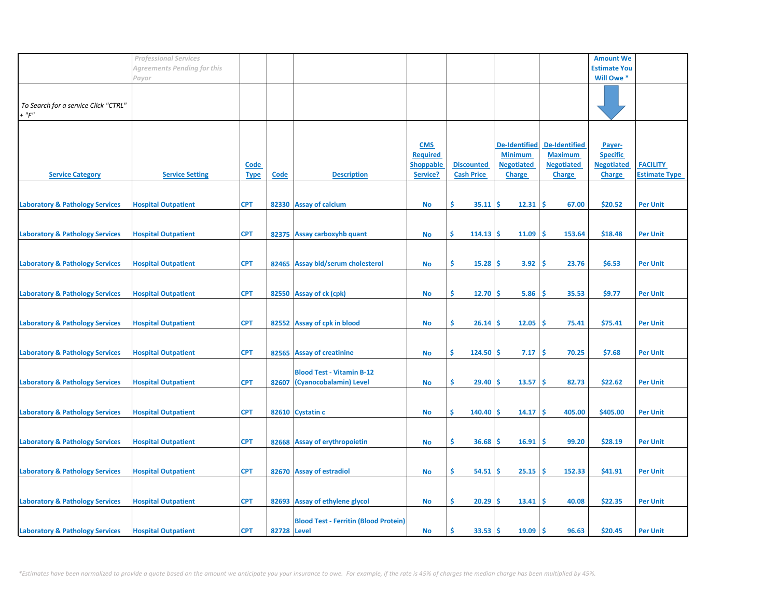|                                            | <b>Professional Services</b> |             |             |                                              |                  |                   |                      |                      | <b>Amount We</b>    |                      |
|--------------------------------------------|------------------------------|-------------|-------------|----------------------------------------------|------------------|-------------------|----------------------|----------------------|---------------------|----------------------|
|                                            | Agreements Pending for this  |             |             |                                              |                  |                   |                      |                      | <b>Estimate You</b> |                      |
|                                            | Payor                        |             |             |                                              |                  |                   |                      |                      | Will Owe *          |                      |
|                                            |                              |             |             |                                              |                  |                   |                      |                      |                     |                      |
|                                            |                              |             |             |                                              |                  |                   |                      |                      |                     |                      |
| To Search for a service Click "CTRL"       |                              |             |             |                                              |                  |                   |                      |                      |                     |                      |
| $+$ " $F$ "                                |                              |             |             |                                              |                  |                   |                      |                      |                     |                      |
|                                            |                              |             |             |                                              |                  |                   |                      |                      |                     |                      |
|                                            |                              |             |             |                                              |                  |                   |                      |                      |                     |                      |
|                                            |                              |             |             |                                              |                  |                   |                      |                      |                     |                      |
|                                            |                              |             |             |                                              | <b>CMS</b>       |                   | <b>De-Identified</b> | <b>De-Identified</b> | Payer-              |                      |
|                                            |                              |             |             |                                              | <b>Required</b>  |                   | <b>Minimum</b>       | <b>Maximum</b>       | <b>Specific</b>     |                      |
|                                            |                              | <u>Code</u> |             |                                              | <b>Shoppable</b> | <b>Discounted</b> | <b>Negotiated</b>    | <b>Negotiated</b>    | <b>Negotiated</b>   | <b>FACILITY</b>      |
| <b>Service Category</b>                    | <b>Service Setting</b>       | <b>Type</b> | <b>Code</b> | <b>Description</b>                           | Service?         | <b>Cash Price</b> | <b>Charge</b>        | <b>Charge</b>        | <b>Charge</b>       | <b>Estimate Type</b> |
|                                            |                              |             |             |                                              |                  |                   |                      |                      |                     |                      |
|                                            |                              |             |             |                                              |                  |                   |                      |                      |                     |                      |
| <b>Laboratory &amp; Pathology Services</b> | <b>Hospital Outpatient</b>   | <b>CPT</b>  |             | 82330 Assay of calcium                       | No               | \$.<br>35.11      | \$.<br>12.31         | -Ś<br>67.00          | \$20.52             | <b>Per Unit</b>      |
|                                            |                              |             |             |                                              |                  |                   |                      |                      |                     |                      |
|                                            |                              |             |             |                                              |                  |                   |                      |                      |                     |                      |
| <b>Laboratory &amp; Pathology Services</b> | <b>Hospital Outpatient</b>   | <b>CPT</b>  |             | 82375 Assay carboxyhb quant                  | <b>No</b>        | \$<br>$114.13$ \$ | 11.09                | \$<br>153.64         | \$18.48             | <b>Per Unit</b>      |
|                                            |                              |             |             |                                              |                  |                   |                      |                      |                     |                      |
|                                            |                              |             |             |                                              |                  |                   |                      |                      |                     |                      |
| <b>Laboratory &amp; Pathology Services</b> | <b>Hospital Outpatient</b>   | <b>CPT</b>  |             | 82465 Assay bld/serum cholesterol            | <b>No</b>        | \$<br>15.28       | 3.92<br>-S           | \$.<br>23.76         | \$6.53              | <b>Per Unit</b>      |
|                                            |                              |             |             |                                              |                  |                   |                      |                      |                     |                      |
|                                            |                              |             |             |                                              |                  |                   |                      |                      |                     |                      |
|                                            |                              |             |             |                                              |                  | \$.<br>12.70      |                      | Ŝ                    | \$9.77              |                      |
| <b>Laboratory &amp; Pathology Services</b> | <b>Hospital Outpatient</b>   | <b>CPT</b>  |             | 82550 Assay of ck (cpk)                      | <b>No</b>        |                   | 5.86<br>-S           | 35.53                |                     | <b>Per Unit</b>      |
|                                            |                              |             |             |                                              |                  |                   |                      |                      |                     |                      |
|                                            |                              |             |             |                                              |                  |                   |                      |                      |                     |                      |
| <b>Laboratory &amp; Pathology Services</b> | <b>Hospital Outpatient</b>   | <b>CPT</b>  |             | 82552 Assay of cpk in blood                  | No               | \$<br>$26.14$ \$  | 12.05                | -\$<br>75.41         | \$75.41             | <b>Per Unit</b>      |
|                                            |                              |             |             |                                              |                  |                   |                      |                      |                     |                      |
|                                            |                              |             |             |                                              |                  |                   |                      |                      |                     |                      |
| <b>Laboratory &amp; Pathology Services</b> | <b>Hospital Outpatient</b>   | <b>CPT</b>  |             | 82565 Assay of creatinine                    | <b>No</b>        | Ŝ.<br>$124.50$ \$ | 7.17                 | -\$<br>70.25         | \$7.68              | <b>Per Unit</b>      |
|                                            |                              |             |             |                                              |                  |                   |                      |                      |                     |                      |
|                                            |                              |             |             | <b>Blood Test - Vitamin B-12</b>             |                  |                   |                      |                      |                     |                      |
| <b>Laboratory &amp; Pathology Services</b> | <b>Hospital Outpatient</b>   | <b>CPT</b>  | 82607       | (Cyanocobalamin) Level                       | <b>No</b>        | Ŝ.<br>29.40       | -S<br>13.57          | -Ś<br>82.73          | \$22.62             | <b>Per Unit</b>      |
|                                            |                              |             |             |                                              |                  |                   |                      |                      |                     |                      |
|                                            |                              |             |             |                                              |                  |                   |                      |                      |                     |                      |
| <b>Laboratory &amp; Pathology Services</b> | <b>Hospital Outpatient</b>   | <b>CPT</b>  |             | 82610 Cystatin c                             | <b>No</b>        | \$<br>140.40      | 14.17<br><b>S</b>    | -\$<br>405.00        | \$405.00            | <b>Per Unit</b>      |
|                                            |                              |             |             |                                              |                  |                   |                      |                      |                     |                      |
|                                            |                              |             |             |                                              |                  |                   |                      |                      |                     |                      |
| <b>Laboratory &amp; Pathology Services</b> | <b>Hospital Outpatient</b>   | <b>CPT</b>  |             | 82668 Assay of erythropoietin                | No               | \$<br>36.68       | 16.91<br>-S          | \$.<br>99.20         | \$28.19             | <b>Per Unit</b>      |
|                                            |                              |             |             |                                              |                  |                   |                      |                      |                     |                      |
|                                            |                              |             |             |                                              |                  |                   |                      |                      |                     |                      |
| <b>Laboratory &amp; Pathology Services</b> | <b>Hospital Outpatient</b>   | <b>CPT</b>  |             | 82670 Assay of estradiol                     | <b>No</b>        | \$.<br>54.51      | 25.15<br>-S          | \$.<br>152.33        | \$41.91             | <b>Per Unit</b>      |
|                                            |                              |             |             |                                              |                  |                   |                      |                      |                     |                      |
|                                            |                              |             |             |                                              |                  |                   |                      |                      |                     |                      |
|                                            |                              |             |             |                                              |                  |                   |                      |                      |                     |                      |
| <b>Laboratory &amp; Pathology Services</b> | <b>Hospital Outpatient</b>   | <b>CPT</b>  |             | 82693 Assay of ethylene glycol               | No               | \$.<br>20.29      | 13.41<br>-\$         | -\$<br>40.08         | \$22.35             | <b>Per Unit</b>      |
|                                            |                              |             |             |                                              |                  |                   |                      |                      |                     |                      |
|                                            |                              |             |             | <b>Blood Test - Ferritin (Blood Protein)</b> |                  |                   |                      |                      |                     |                      |
| <b>Laboratory &amp; Pathology Services</b> | <b>Hospital Outpatient</b>   | <b>CPT</b>  | 82728 Level |                                              | <b>No</b>        | \$<br>33.53       | 19.09<br>-S          | <b>S</b><br>96.63    | \$20.45             | <b>Per Unit</b>      |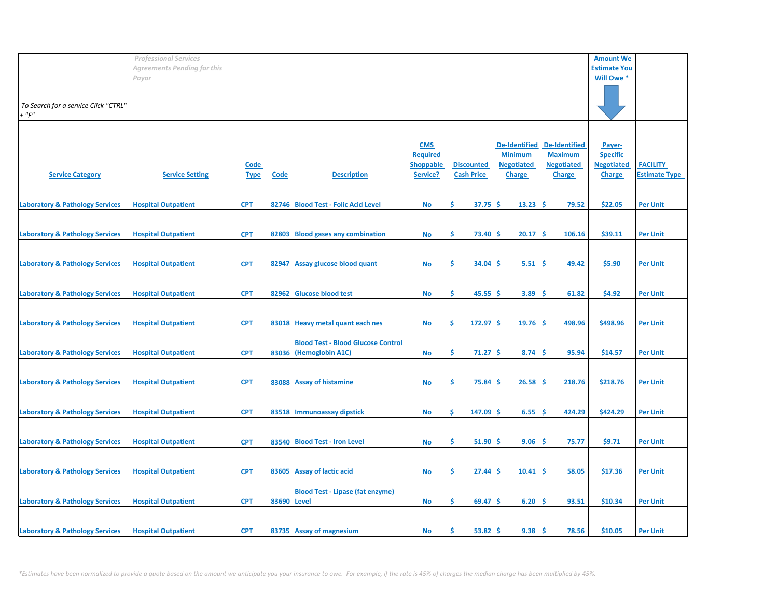|                                            | <b>Professional Services</b> |             |             |                                           |                  |                   |                      |                      | <b>Amount We</b>    |                      |
|--------------------------------------------|------------------------------|-------------|-------------|-------------------------------------------|------------------|-------------------|----------------------|----------------------|---------------------|----------------------|
|                                            | Agreements Pending for this  |             |             |                                           |                  |                   |                      |                      | <b>Estimate You</b> |                      |
|                                            | Payor                        |             |             |                                           |                  |                   |                      |                      | Will Owe *          |                      |
|                                            |                              |             |             |                                           |                  |                   |                      |                      |                     |                      |
|                                            |                              |             |             |                                           |                  |                   |                      |                      |                     |                      |
| To Search for a service Click "CTRL"       |                              |             |             |                                           |                  |                   |                      |                      |                     |                      |
| $+$ " $F$ "                                |                              |             |             |                                           |                  |                   |                      |                      |                     |                      |
|                                            |                              |             |             |                                           |                  |                   |                      |                      |                     |                      |
|                                            |                              |             |             |                                           |                  |                   |                      |                      |                     |                      |
|                                            |                              |             |             |                                           |                  |                   |                      |                      |                     |                      |
|                                            |                              |             |             |                                           | <b>CMS</b>       |                   | <b>De-Identified</b> | <b>De-Identified</b> | Payer-              |                      |
|                                            |                              |             |             |                                           | <b>Required</b>  |                   | <b>Minimum</b>       | <b>Maximum</b>       | <b>Specific</b>     |                      |
|                                            |                              | <u>Code</u> |             |                                           | <b>Shoppable</b> | <b>Discounted</b> | <b>Negotiated</b>    | <b>Negotiated</b>    | <b>Negotiated</b>   | <b>FACILITY</b>      |
| <b>Service Category</b>                    | <b>Service Setting</b>       | <b>Type</b> | Code        | <b>Description</b>                        | Service?         | <b>Cash Price</b> | <b>Charge</b>        | <b>Charge</b>        | <b>Charge</b>       | <b>Estimate Type</b> |
|                                            |                              |             |             |                                           |                  |                   |                      |                      |                     |                      |
|                                            |                              |             |             |                                           |                  |                   |                      |                      |                     |                      |
| <b>Laboratory &amp; Pathology Services</b> | <b>Hospital Outpatient</b>   | <b>CPT</b>  |             | 82746 Blood Test - Folic Acid Level       | No               | \$.<br>37.75      | \$.<br>13.23         | -Ś<br>79.52          | \$22.05             | <b>Per Unit</b>      |
|                                            |                              |             |             |                                           |                  |                   |                      |                      |                     |                      |
|                                            |                              |             |             |                                           |                  |                   |                      |                      |                     |                      |
| <b>Laboratory &amp; Pathology Services</b> | <b>Hospital Outpatient</b>   | <b>CPT</b>  | 82803       | <b>Blood gases any combination</b>        | <b>No</b>        | \$.<br>73.40      | 20.17<br>-\$         | -\$<br>106.16        | \$39.11             | <b>Per Unit</b>      |
|                                            |                              |             |             |                                           |                  |                   |                      |                      |                     |                      |
|                                            |                              |             |             |                                           |                  |                   |                      |                      |                     |                      |
| <b>Laboratory &amp; Pathology Services</b> | <b>Hospital Outpatient</b>   | <b>CPT</b>  |             | 82947 Assay glucose blood quant           | <b>No</b>        | \$<br>34.04       | 5.51<br>-S           | \$<br>49.42          | \$5.90              | <b>Per Unit</b>      |
|                                            |                              |             |             |                                           |                  |                   |                      |                      |                     |                      |
|                                            |                              |             |             |                                           |                  |                   |                      |                      |                     |                      |
|                                            |                              |             |             |                                           |                  |                   |                      |                      |                     |                      |
| <b>Laboratory &amp; Pathology Services</b> | <b>Hospital Outpatient</b>   | <b>CPT</b>  | 82962       | <b>Glucose blood test</b>                 | <b>No</b>        | \$<br>45.55       | 3.89<br>-S           | Ŝ<br>61.82           | \$4.92              | <b>Per Unit</b>      |
|                                            |                              |             |             |                                           |                  |                   |                      |                      |                     |                      |
|                                            |                              |             |             |                                           |                  |                   |                      |                      |                     |                      |
| <b>Laboratory &amp; Pathology Services</b> | <b>Hospital Outpatient</b>   | <b>CPT</b>  |             | 83018 Heavy metal quant each nes          | No               | \$<br>$172.97$ \$ | 19.76                | -\$<br>498.96        | \$498.96            | <b>Per Unit</b>      |
|                                            |                              |             |             |                                           |                  |                   |                      |                      |                     |                      |
|                                            |                              |             |             | <b>Blood Test - Blood Glucose Control</b> |                  |                   |                      |                      |                     |                      |
| <b>Laboratory &amp; Pathology Services</b> | <b>Hospital Outpatient</b>   | <b>CPT</b>  |             | 83036 (Hemoglobin A1C)                    | <b>No</b>        | \$<br>71.27       | -Ś<br>8.74           | -Ś<br>95.94          | \$14.57             | <b>Per Unit</b>      |
|                                            |                              |             |             |                                           |                  |                   |                      |                      |                     |                      |
|                                            |                              |             |             |                                           |                  |                   |                      |                      |                     |                      |
| <b>Laboratory &amp; Pathology Services</b> | <b>Hospital Outpatient</b>   | <b>CPT</b>  |             | 83088 Assay of histamine                  | <b>No</b>        | \$<br>75.84       | -S<br>26.58          | \$.<br>218.76        | \$218.76            | <b>Per Unit</b>      |
|                                            |                              |             |             |                                           |                  |                   |                      |                      |                     |                      |
|                                            |                              |             |             |                                           |                  |                   |                      |                      |                     |                      |
|                                            |                              |             |             |                                           |                  |                   |                      |                      |                     |                      |
| <b>Laboratory &amp; Pathology Services</b> | <b>Hospital Outpatient</b>   | <b>CPT</b>  |             | 83518 Immunoassay dipstick                | <b>No</b>        | \$<br>147.09      | 6.55<br>\$.          | \$<br>424.29         | \$424.29            | <b>Per Unit</b>      |
|                                            |                              |             |             |                                           |                  |                   |                      |                      |                     |                      |
|                                            |                              |             |             |                                           |                  |                   |                      |                      |                     |                      |
| <b>Laboratory &amp; Pathology Services</b> | <b>Hospital Outpatient</b>   | <b>CPT</b>  |             | 83540 Blood Test - Iron Level             | No               | \$<br>51.90       | -\$<br>9.06          | \$.<br>75.77         | \$9.71              | <b>Per Unit</b>      |
|                                            |                              |             |             |                                           |                  |                   |                      |                      |                     |                      |
|                                            |                              |             |             |                                           |                  |                   |                      |                      |                     |                      |
| <b>Laboratory &amp; Pathology Services</b> | <b>Hospital Outpatient</b>   | <b>CPT</b>  |             | 83605 Assay of lactic acid                | <b>No</b>        | \$.<br>27.44      | 10.41<br>-S          | \$.<br>58.05         | \$17.36             | <b>Per Unit</b>      |
|                                            |                              |             |             |                                           |                  |                   |                      |                      |                     |                      |
|                                            |                              |             |             | <b>Blood Test - Lipase (fat enzyme)</b>   |                  |                   |                      |                      |                     |                      |
| <b>Laboratory &amp; Pathology Services</b> | <b>Hospital Outpatient</b>   | <b>CPT</b>  | 83690 Level |                                           | No               | \$.<br>$69.47$ \$ | 6.20                 | -\$<br>93.51         | \$10.34             | <b>Per Unit</b>      |
|                                            |                              |             |             |                                           |                  |                   |                      |                      |                     |                      |
|                                            |                              |             |             |                                           |                  |                   |                      |                      |                     |                      |
| <b>Laboratory &amp; Pathology Services</b> | <b>Hospital Outpatient</b>   | <b>CPT</b>  |             | 83735 Assay of magnesium                  | No               | Ś.<br>53.82       | 9.38<br>-S           | <b>S</b><br>78.56    | \$10.05             | <b>Per Unit</b>      |
|                                            |                              |             |             |                                           |                  |                   |                      |                      |                     |                      |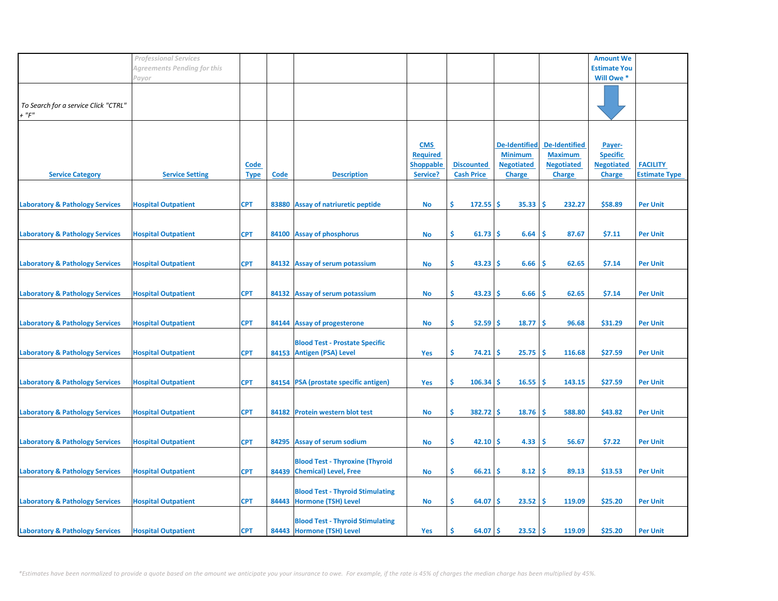|                                                     | <b>Professional Services</b> |                            |       |                                                                       |                                                               |                                        |                                                                              |                                                                              | <b>Amount We</b>                                                |                                         |
|-----------------------------------------------------|------------------------------|----------------------------|-------|-----------------------------------------------------------------------|---------------------------------------------------------------|----------------------------------------|------------------------------------------------------------------------------|------------------------------------------------------------------------------|-----------------------------------------------------------------|-----------------------------------------|
|                                                     | Agreements Pending for this  |                            |       |                                                                       |                                                               |                                        |                                                                              |                                                                              | <b>Estimate You</b>                                             |                                         |
|                                                     | Payor                        |                            |       |                                                                       |                                                               |                                        |                                                                              |                                                                              | Will Owe *                                                      |                                         |
| To Search for a service Click "CTRL"<br>$+$ " $F$ " |                              |                            |       |                                                                       |                                                               |                                        |                                                                              |                                                                              |                                                                 |                                         |
| <b>Service Category</b>                             | <b>Service Setting</b>       | <b>Code</b><br><b>Type</b> | Code  | <b>Description</b>                                                    | <b>CMS</b><br><b>Required</b><br><b>Shoppable</b><br>Service? | <b>Discounted</b><br><b>Cash Price</b> | <b>De-Identified</b><br><b>Minimum</b><br><b>Negotiated</b><br><b>Charge</b> | <b>De-Identified</b><br><b>Maximum</b><br><b>Negotiated</b><br><b>Charge</b> | Payer-<br><b>Specific</b><br><b>Negotiated</b><br><b>Charge</b> | <b>FACILITY</b><br><b>Estimate Type</b> |
| <b>Laboratory &amp; Pathology Services</b>          | <b>Hospital Outpatient</b>   | <b>CPT</b>                 |       | 83880 Assay of natriuretic peptide                                    | No                                                            | \$<br>$172.55$ \$                      | $35.33 \mid 5$                                                               | 232.27                                                                       | \$58.89                                                         | <b>Per Unit</b>                         |
| <b>Laboratory &amp; Pathology Services</b>          | <b>Hospital Outpatient</b>   | <b>CPT</b>                 |       | 84100 Assay of phosphorus                                             | No                                                            | \$<br>$61.73$ \$                       | 6.64                                                                         | ١\$<br>87.67                                                                 | \$7.11                                                          | <b>Per Unit</b>                         |
| <b>Laboratory &amp; Pathology Services</b>          | <b>Hospital Outpatient</b>   | <b>CPT</b>                 |       | 84132 Assay of serum potassium                                        | No                                                            | \$<br>$43.23$ \$                       | 6.66                                                                         | ١\$<br>62.65                                                                 | \$7.14                                                          | <b>Per Unit</b>                         |
| <b>Laboratory &amp; Pathology Services</b>          | <b>Hospital Outpatient</b>   | <b>CPT</b>                 |       | 84132 Assay of serum potassium                                        | <b>No</b>                                                     | \$<br>43.23                            | 6.66<br>۱S                                                                   | -Ś<br>62.65                                                                  | \$7.14                                                          | <b>Per Unit</b>                         |
| <b>Laboratory &amp; Pathology Services</b>          | <b>Hospital Outpatient</b>   | <b>CPT</b>                 |       | 84144 Assay of progesterone                                           | No                                                            | \$<br>52.59                            | 18.77<br>۱\$                                                                 | $\sqrt{5}$<br>96.68                                                          | \$31.29                                                         | <b>Per Unit</b>                         |
| <b>Laboratory &amp; Pathology Services</b>          | <b>Hospital Outpatient</b>   | <b>CPT</b>                 | 84153 | <b>Blood Test - Prostate Specific</b><br><b>Antigen (PSA) Level</b>   | Yes                                                           | \$<br>74.21                            | 25.75<br>l \$                                                                | ١\$<br>116.68                                                                | \$27.59                                                         | <b>Per Unit</b>                         |
| <b>Laboratory &amp; Pathology Services</b>          | <b>Hospital Outpatient</b>   | <b>CPT</b>                 |       | 84154 PSA (prostate specific antigen)                                 | Yes                                                           | \$<br>106.34                           | 16.55<br>۱S                                                                  | 143.15<br>-Ś                                                                 | \$27.59                                                         | <b>Per Unit</b>                         |
| <b>Laboratory &amp; Pathology Services</b>          | <b>Hospital Outpatient</b>   | <b>CPT</b>                 |       | 84182 Protein western blot test                                       | No                                                            | \$<br>$382.72$ \$                      | $18.76$ \$                                                                   | 588.80                                                                       | \$43.82                                                         | <b>Per Unit</b>                         |
| <b>Laboratory &amp; Pathology Services</b>          | <b>Hospital Outpatient</b>   | <b>CPT</b>                 |       | 84295 Assay of serum sodium                                           | No                                                            | \$<br>$42.10$ \$                       | 4.33                                                                         | 56.67<br>۱\$                                                                 | \$7.22                                                          | <b>Per Unit</b>                         |
| <b>Laboratory &amp; Pathology Services</b>          | <b>Hospital Outpatient</b>   | <b>CPT</b>                 |       | <b>Blood Test - Thyroxine (Thyroid</b><br>84439 Chemical) Level, Free | No                                                            | \$<br>$66.21$ \$                       | $8.12$ \$                                                                    | 89.13                                                                        | \$13.53                                                         | <b>Per Unit</b>                         |
| <b>Laboratory &amp; Pathology Services</b>          | <b>Hospital Outpatient</b>   | <b>CPT</b>                 |       | <b>Blood Test - Thyroid Stimulating</b><br>84443 Hormone (TSH) Level  | No                                                            | \$<br>64.07                            | $23.52 \mid S$<br>۱S                                                         | 119.09                                                                       | \$25.20                                                         | <b>Per Unit</b>                         |
| <b>Laboratory &amp; Pathology Services</b>          | <b>Hospital Outpatient</b>   | <b>CPT</b>                 |       | <b>Blood Test - Thyroid Stimulating</b><br>84443 Hormone (TSH) Level  | Yes                                                           | 64.07<br>S                             | ۱Ś<br>23.52                                                                  | ۱Ś<br>119.09                                                                 | \$25.20                                                         | <b>Per Unit</b>                         |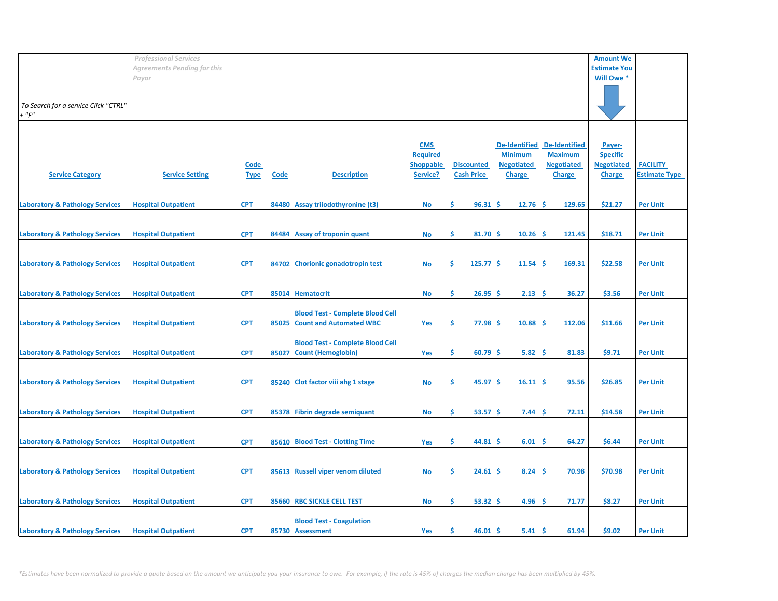|                                            | <b>Professional Services</b> |             |       |                                         |                  |                   |                      |                      | <b>Amount We</b>    |                      |
|--------------------------------------------|------------------------------|-------------|-------|-----------------------------------------|------------------|-------------------|----------------------|----------------------|---------------------|----------------------|
|                                            | Agreements Pending for this  |             |       |                                         |                  |                   |                      |                      | <b>Estimate You</b> |                      |
|                                            | Payor                        |             |       |                                         |                  |                   |                      |                      | Will Owe *          |                      |
|                                            |                              |             |       |                                         |                  |                   |                      |                      |                     |                      |
|                                            |                              |             |       |                                         |                  |                   |                      |                      |                     |                      |
| To Search for a service Click "CTRL"       |                              |             |       |                                         |                  |                   |                      |                      |                     |                      |
| $+$ " $F$ "                                |                              |             |       |                                         |                  |                   |                      |                      |                     |                      |
|                                            |                              |             |       |                                         |                  |                   |                      |                      |                     |                      |
|                                            |                              |             |       |                                         |                  |                   |                      |                      |                     |                      |
|                                            |                              |             |       |                                         | <b>CMS</b>       |                   | <b>De-Identified</b> | <b>De-Identified</b> | Payer-              |                      |
|                                            |                              |             |       |                                         | <b>Required</b>  |                   | <b>Minimum</b>       | <b>Maximum</b>       | <b>Specific</b>     |                      |
|                                            |                              | <u>Code</u> |       |                                         | <b>Shoppable</b> | <b>Discounted</b> | <b>Negotiated</b>    | <b>Negotiated</b>    | <b>Negotiated</b>   | <b>FACILITY</b>      |
| <b>Service Category</b>                    | <b>Service Setting</b>       | <b>Type</b> | Code  | <b>Description</b>                      | Service?         | <b>Cash Price</b> | <b>Charge</b>        | <b>Charge</b>        | <b>Charge</b>       | <b>Estimate Type</b> |
|                                            |                              |             |       |                                         |                  |                   |                      |                      |                     |                      |
|                                            |                              |             |       |                                         |                  |                   |                      |                      |                     |                      |
| <b>Laboratory &amp; Pathology Services</b> | <b>Hospital Outpatient</b>   | <b>CPT</b>  |       | 84480 Assay triiodothyronine (t3)       | No               | \$.<br>96.31      | \$.<br>12.76         | -Ś<br>129.65         | \$21.27             | <b>Per Unit</b>      |
|                                            |                              |             |       |                                         |                  |                   |                      |                      |                     |                      |
|                                            |                              |             |       |                                         |                  |                   |                      |                      |                     |                      |
| <b>Laboratory &amp; Pathology Services</b> | <b>Hospital Outpatient</b>   | <b>CPT</b>  |       | 84484 Assay of troponin quant           | <b>No</b>        | \$.<br>81.70      | 10.26<br>-\$         | \$<br>121.45         | \$18.71             | <b>Per Unit</b>      |
|                                            |                              |             |       |                                         |                  |                   |                      |                      |                     |                      |
|                                            |                              |             |       |                                         |                  |                   |                      |                      |                     |                      |
| <b>Laboratory &amp; Pathology Services</b> | <b>Hospital Outpatient</b>   | <b>CPT</b>  |       | 84702 Chorionic gonadotropin test       |                  | \$<br>$125.77$ \$ | 11.54                | \$.<br>169.31        | \$22.58             | <b>Per Unit</b>      |
|                                            |                              |             |       |                                         | <b>No</b>        |                   |                      |                      |                     |                      |
|                                            |                              |             |       |                                         |                  |                   |                      |                      |                     |                      |
|                                            |                              |             |       |                                         |                  |                   |                      |                      |                     |                      |
| <b>Laboratory &amp; Pathology Services</b> | <b>Hospital Outpatient</b>   | <b>CPT</b>  |       | 85014 Hematocrit                        | <b>No</b>        | \$<br>26.95       | 2.13<br>-S           | \$.<br>36.27         | \$3.56              | <b>Per Unit</b>      |
|                                            |                              |             |       |                                         |                  |                   |                      |                      |                     |                      |
|                                            |                              |             |       | <b>Blood Test - Complete Blood Cell</b> |                  |                   |                      |                      |                     |                      |
| <b>Laboratory &amp; Pathology Services</b> | <b>Hospital Outpatient</b>   | <b>CPT</b>  |       | 85025 Count and Automated WBC           | Yes              | \$<br>$77.98$ \$  | 10.88                | -\$<br>112.06        | \$11.66             | <b>Per Unit</b>      |
|                                            |                              |             |       |                                         |                  |                   |                      |                      |                     |                      |
|                                            |                              |             |       | <b>Blood Test - Complete Blood Cell</b> |                  |                   |                      |                      |                     |                      |
| <b>Laboratory &amp; Pathology Services</b> | <b>Hospital Outpatient</b>   | <b>CPT</b>  | 85027 | <b>Count (Hemoglobin)</b>               | Yes              | \$<br>60.79       | 5.82<br>-S           | -Ś<br>81.83          | \$9.71              | <b>Per Unit</b>      |
|                                            |                              |             |       |                                         |                  |                   |                      |                      |                     |                      |
|                                            |                              |             |       |                                         |                  |                   |                      |                      |                     |                      |
| <b>Laboratory &amp; Pathology Services</b> | <b>Hospital Outpatient</b>   | <b>CPT</b>  |       | 85240 Clot factor viii ahg 1 stage      | <b>No</b>        | \$<br>45.97       | -S<br>16.11          | -Ś<br>95.56          | \$26.85             | <b>Per Unit</b>      |
|                                            |                              |             |       |                                         |                  |                   |                      |                      |                     |                      |
|                                            |                              |             |       |                                         |                  |                   |                      |                      |                     |                      |
| <b>Laboratory &amp; Pathology Services</b> | <b>Hospital Outpatient</b>   | <b>CPT</b>  |       | 85378 Fibrin degrade semiquant          | <b>No</b>        | \$.<br>53.57      | -\$<br>7.44          | \$<br>72.11          | \$14.58             | <b>Per Unit</b>      |
|                                            |                              |             |       |                                         |                  |                   |                      |                      |                     |                      |
|                                            |                              |             |       |                                         |                  |                   |                      |                      |                     |                      |
| <b>Laboratory &amp; Pathology Services</b> | <b>Hospital Outpatient</b>   | <b>CPT</b>  |       | 85610 Blood Test - Clotting Time        | Yes              | \$<br>44.81       | 6.01<br>-S           | \$.<br>64.27         | \$6.44              | <b>Per Unit</b>      |
|                                            |                              |             |       |                                         |                  |                   |                      |                      |                     |                      |
|                                            |                              |             |       |                                         |                  |                   |                      |                      |                     |                      |
| <b>Laboratory &amp; Pathology Services</b> | <b>Hospital Outpatient</b>   | <b>CPT</b>  |       | 85613 Russell viper venom diluted       | <b>No</b>        | \$.<br>24.61      | 8.24<br>-S           | <b>S</b><br>70.98    | \$70.98             | <b>Per Unit</b>      |
|                                            |                              |             |       |                                         |                  |                   |                      |                      |                     |                      |
|                                            |                              |             |       |                                         |                  |                   |                      |                      |                     |                      |
| <b>Laboratory &amp; Pathology Services</b> | <b>Hospital Outpatient</b>   | <b>CPT</b>  |       | 85660 RBC SICKLE CELL TEST              | <b>No</b>        | \$.<br>53.32      | 4.96<br>-\$          | \$<br>71.77          | \$8.27              | <b>Per Unit</b>      |
|                                            |                              |             |       |                                         |                  |                   |                      |                      |                     |                      |
|                                            |                              |             |       | <b>Blood Test - Coagulation</b>         |                  |                   |                      |                      |                     |                      |
| <b>Laboratory &amp; Pathology Services</b> | <b>Hospital Outpatient</b>   | <b>CPT</b>  |       | 85730 Assessment                        | Yes              | 46.01<br>Ś.       | Ŝ<br>5.41            | <b>S</b><br>61.94    | \$9.02              | <b>Per Unit</b>      |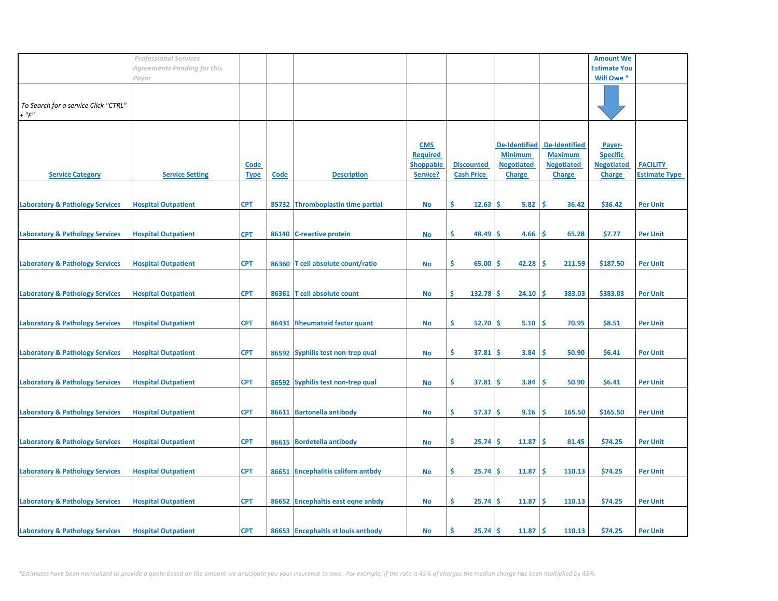|                                                     | <b>Professional Services</b> |                            |             |                                    |                                                               |                                        |                                                                              |                                                                              | <b>Amount We</b>                                                |                                         |
|-----------------------------------------------------|------------------------------|----------------------------|-------------|------------------------------------|---------------------------------------------------------------|----------------------------------------|------------------------------------------------------------------------------|------------------------------------------------------------------------------|-----------------------------------------------------------------|-----------------------------------------|
|                                                     | Agreements Pending for this  |                            |             |                                    |                                                               |                                        |                                                                              |                                                                              | <b>Estimate You</b>                                             |                                         |
|                                                     | Payor                        |                            |             |                                    |                                                               |                                        |                                                                              |                                                                              | Will Owe *                                                      |                                         |
| To Search for a service Click "CTRL"<br>$+$ " $F$ " |                              |                            |             |                                    |                                                               |                                        |                                                                              |                                                                              |                                                                 |                                         |
| <b>Service Category</b>                             | <b>Service Setting</b>       | <b>Code</b><br><b>Type</b> | <b>Code</b> | <b>Description</b>                 | <b>CMS</b><br><b>Required</b><br><b>Shoppable</b><br>Service? | <b>Discounted</b><br><b>Cash Price</b> | <b>De-Identified</b><br><b>Minimum</b><br><b>Negotiated</b><br><b>Charge</b> | <b>De-Identified</b><br><b>Maximum</b><br><b>Negotiated</b><br><b>Charge</b> | Payer-<br><b>Specific</b><br><b>Negotiated</b><br><b>Charge</b> | <b>FACILITY</b><br><b>Estimate Type</b> |
| <b>Laboratory &amp; Pathology Services</b>          | <b>Hospital Outpatient</b>   | <b>CPT</b>                 |             | 85732 Thromboplastin time partial  | No                                                            | \$.<br>12.63                           | Ŝ.<br>5.82                                                                   | -\$<br>36.42                                                                 | \$36.42                                                         | <b>Per Unit</b>                         |
| <b>Laboratory &amp; Pathology Services</b>          | <b>Hospital Outpatient</b>   | <b>CPT</b>                 | 86140       | <b>C-reactive protein</b>          | <b>No</b>                                                     | \$<br>48.49                            | 4.66<br>Ŝ                                                                    | -\$<br>65.28                                                                 | \$7.77                                                          | <b>Per Unit</b>                         |
| <b>Laboratory &amp; Pathology Services</b>          | <b>Hospital Outpatient</b>   | <b>CPT</b>                 |             | 86360 T cell absolute count/ratio  | No                                                            | \$.<br>65.00                           | 42.28<br>S                                                                   | -\$<br>211.59                                                                | \$187.50                                                        | <b>Per Unit</b>                         |
| <b>Laboratory &amp; Pathology Services</b>          | <b>Hospital Outpatient</b>   | <b>CPT</b>                 | 86361       | <b>T</b> cell absolute count       | <b>No</b>                                                     | \$<br>132.78                           | .S<br>24.10                                                                  | \$,<br>383.03                                                                | \$383.03                                                        | <b>Per Unit</b>                         |
| <b>Laboratory &amp; Pathology Services</b>          | <b>Hospital Outpatient</b>   | <b>CPT</b>                 |             | 86431 Rheumatoid factor quant      | <b>No</b>                                                     | \$<br>52.70                            | 5.10<br>-\$                                                                  | \$ ا<br>70.95                                                                | \$8.51                                                          | <b>Per Unit</b>                         |
| <b>Laboratory &amp; Pathology Services</b>          | <b>Hospital Outpatient</b>   | <b>CPT</b>                 |             | 86592 Syphilis test non-trep qual  | No                                                            | \$.<br>37.81                           | 3.84<br>S                                                                    | -\$<br>50.90                                                                 | \$6.41                                                          | <b>Per Unit</b>                         |
| <b>Laboratory &amp; Pathology Services</b>          | <b>Hospital Outpatient</b>   | <b>CPT</b>                 |             | 86592 Syphilis test non-trep qual  | No                                                            | \$.<br>37.81                           | '\$<br>3.84                                                                  | -Ś<br>50.90                                                                  | \$6.41                                                          | <b>Per Unit</b>                         |
| <b>Laboratory &amp; Pathology Services</b>          | <b>Hospital Outpatient</b>   | <b>CPT</b>                 |             | 86611 Bartonella antibody          | <b>No</b>                                                     | \$.<br>57.37                           | '\$<br>9.16                                                                  | -\$<br>165.50                                                                | \$165.50                                                        | <b>Per Unit</b>                         |
| <b>Laboratory &amp; Pathology Services</b>          | <b>Hospital Outpatient</b>   | <b>CPT</b>                 |             | 86615 Bordetella antibody          | No                                                            | \$.<br>25.74                           | 11.87<br>Ŝ                                                                   | -\$<br>81.45                                                                 | \$74.25                                                         | <b>Per Unit</b>                         |
| <b>Laboratory &amp; Pathology Services</b>          | <b>Hospital Outpatient</b>   | <b>CPT</b>                 |             | 86651 Encephalitis californ antbdy | No                                                            | \$.<br>25.74                           | 11.87<br>-S                                                                  | -\$<br>110.13                                                                | \$74.25                                                         | <b>Per Unit</b>                         |
| <b>Laboratory &amp; Pathology Services</b>          | <b>Hospital Outpatient</b>   | <b>CPT</b>                 |             | 86652 Encephaltis east eqne anbdy  | No                                                            | \$.<br>25.74                           | 11.87<br>\$.                                                                 | -\$<br>110.13                                                                | \$74.25                                                         | <b>Per Unit</b>                         |
| <b>Laboratory &amp; Pathology Services</b>          | <b>Hospital Outpatient</b>   | <b>CPT</b>                 |             | 86653 Encephaltis st louis antbody | No                                                            | 25.74<br>Ś                             | 11.87<br>Ŝ.                                                                  | l\$<br>110.13                                                                | \$74.25                                                         | <b>Per Unit</b>                         |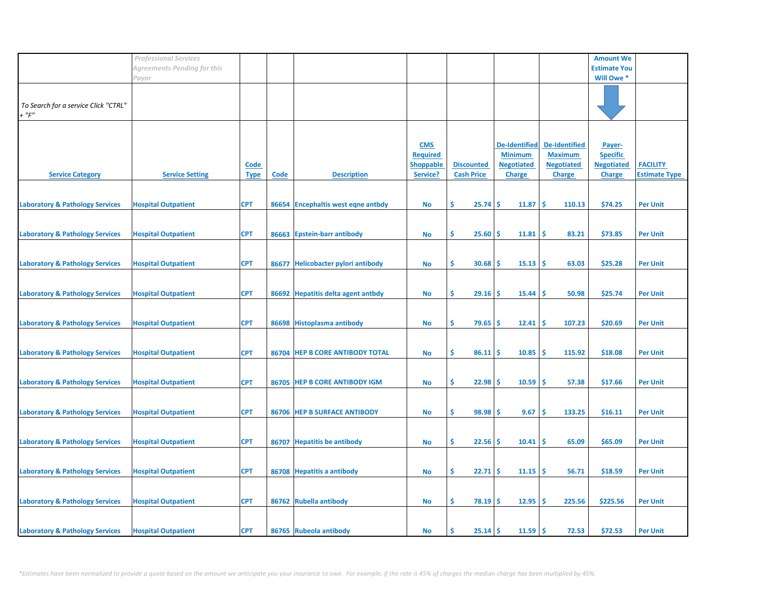|                                            | <b>Professional Services</b> |             |             |                                    |                  |                                        |                      |                      | <b>Amount We</b>    |                      |
|--------------------------------------------|------------------------------|-------------|-------------|------------------------------------|------------------|----------------------------------------|----------------------|----------------------|---------------------|----------------------|
|                                            | Agreements Pending for this  |             |             |                                    |                  |                                        |                      |                      | <b>Estimate You</b> |                      |
|                                            | Payor                        |             |             |                                    |                  |                                        |                      |                      | Will Owe *          |                      |
|                                            |                              |             |             |                                    |                  |                                        |                      |                      |                     |                      |
|                                            |                              |             |             |                                    |                  |                                        |                      |                      |                     |                      |
| To Search for a service Click "CTRL"       |                              |             |             |                                    |                  |                                        |                      |                      |                     |                      |
| $+$ " $F$ "                                |                              |             |             |                                    |                  |                                        |                      |                      |                     |                      |
|                                            |                              |             |             |                                    |                  |                                        |                      |                      |                     |                      |
|                                            |                              |             |             |                                    |                  |                                        |                      |                      |                     |                      |
|                                            |                              |             |             |                                    | <b>CMS</b>       |                                        | <b>De-Identified</b> | <b>De-Identified</b> | Payer-              |                      |
|                                            |                              |             |             |                                    | <b>Required</b>  |                                        | <b>Minimum</b>       | <b>Maximum</b>       | <b>Specific</b>     |                      |
|                                            |                              | <u>Code</u> |             |                                    | <b>Shoppable</b> | <b>Discounted</b><br><b>Cash Price</b> | <b>Negotiated</b>    | <b>Negotiated</b>    | <b>Negotiated</b>   | <b>FACILITY</b>      |
| <b>Service Category</b>                    | <b>Service Setting</b>       | <b>Type</b> | <b>Code</b> | <b>Description</b>                 | Service?         |                                        | <b>Charge</b>        | <b>Charge</b>        | <b>Charge</b>       | <b>Estimate Type</b> |
|                                            |                              |             |             |                                    |                  |                                        |                      |                      |                     |                      |
| <b>Laboratory &amp; Pathology Services</b> | <b>Hospital Outpatient</b>   | <b>CPT</b>  |             | 86654 Encephaltis west eqne antbdy | No               | Ŝ.<br>25.74                            | \$.<br>11.87         | Ŝ.<br>110.13         | \$74.25             | <b>Per Unit</b>      |
|                                            |                              |             |             |                                    |                  |                                        |                      |                      |                     |                      |
|                                            |                              |             |             |                                    |                  |                                        |                      |                      |                     |                      |
| <b>Laboratory &amp; Pathology Services</b> | <b>Hospital Outpatient</b>   | <b>CPT</b>  | 86663       | <b>Epstein-barr antibody</b>       | <b>No</b>        | \$.<br>25.60                           | 11.81<br>\$.         | \$<br>83.21          | \$73.85             | <b>Per Unit</b>      |
|                                            |                              |             |             |                                    |                  |                                        |                      |                      |                     |                      |
|                                            |                              |             |             |                                    |                  |                                        |                      |                      |                     |                      |
| <b>Laboratory &amp; Pathology Services</b> | <b>Hospital Outpatient</b>   | <b>CPT</b>  |             | 86677 Helicobacter pylori antibody | <b>No</b>        | \$<br>30.68                            | 15.13<br>-S          | -Ś<br>63.03          | \$25.28             | <b>Per Unit</b>      |
|                                            |                              |             |             |                                    |                  |                                        |                      |                      |                     |                      |
|                                            |                              |             |             |                                    |                  |                                        |                      |                      |                     |                      |
| <b>Laboratory &amp; Pathology Services</b> | <b>Hospital Outpatient</b>   | <b>CPT</b>  |             | 86692 Hepatitis delta agent antbdy | <b>No</b>        | \$<br>29.16                            | 15.44<br>-S          | Ŝ<br>50.98           | \$25.74             | <b>Per Unit</b>      |
|                                            |                              |             |             |                                    |                  |                                        |                      |                      |                     |                      |
|                                            |                              |             |             |                                    |                  |                                        |                      |                      |                     |                      |
| <b>Laboratory &amp; Pathology Services</b> | <b>Hospital Outpatient</b>   | <b>CPT</b>  |             | 86698 Histoplasma antibody         | No               | \$<br>79.65                            | -\$<br>12.41         | -\$<br>107.23        | \$20.69             | <b>Per Unit</b>      |
|                                            |                              |             |             |                                    |                  |                                        |                      |                      |                     |                      |
|                                            |                              |             |             |                                    |                  |                                        |                      |                      |                     |                      |
| <b>Laboratory &amp; Pathology Services</b> | <b>Hospital Outpatient</b>   | <b>CPT</b>  |             | 86704 HEP B CORE ANTIBODY TOTAL    | <b>No</b>        | \$<br>86.11                            | -Ś<br>10.85          | Ś<br>115.92          | \$18.08             | <b>Per Unit</b>      |
|                                            |                              |             |             |                                    |                  |                                        |                      |                      |                     |                      |
|                                            |                              |             |             |                                    |                  |                                        |                      |                      |                     |                      |
| <b>Laboratory &amp; Pathology Services</b> | <b>Hospital Outpatient</b>   | <b>CPT</b>  |             | 86705 HEP B CORE ANTIBODY IGM      | <b>No</b>        | \$<br>22.98                            | -S<br>10.59          | \$.<br>57.38         | \$17.66             | <b>Per Unit</b>      |
|                                            |                              |             |             |                                    |                  |                                        |                      |                      |                     |                      |
|                                            |                              |             |             |                                    |                  |                                        |                      |                      |                     |                      |
| <b>Laboratory &amp; Pathology Services</b> | <b>Hospital Outpatient</b>   | <b>CPT</b>  |             | 86706 HEP B SURFACE ANTIBODY       | <b>No</b>        | \$.<br>98.98                           | 9.67<br>\$.          | \$<br>133.25         | \$16.11             | <b>Per Unit</b>      |
|                                            |                              |             |             |                                    |                  |                                        |                      |                      |                     |                      |
|                                            |                              |             |             |                                    |                  |                                        |                      | Ś                    |                     |                      |
| <b>Laboratory &amp; Pathology Services</b> | <b>Hospital Outpatient</b>   | <b>CPT</b>  |             | 86707 Hepatitis be antibody        | No               | \$<br>22.56                            | \$<br>10.41          | 65.09                | \$65.09             | <b>Per Unit</b>      |
|                                            |                              |             |             |                                    |                  |                                        |                      |                      |                     |                      |
| <b>Laboratory &amp; Pathology Services</b> | <b>Hospital Outpatient</b>   | <b>CPT</b>  |             | 86708 Hepatitis a antibody         | <b>No</b>        | \$.<br>22.71                           | 11.15<br>-S          | \$.<br>56.71         | \$18.59             | <b>Per Unit</b>      |
|                                            |                              |             |             |                                    |                  |                                        |                      |                      |                     |                      |
|                                            |                              |             |             |                                    |                  |                                        |                      |                      |                     |                      |
| <b>Laboratory &amp; Pathology Services</b> | <b>Hospital Outpatient</b>   | <b>CPT</b>  |             | 86762 Rubella antibody             | <b>No</b>        | \$.<br>78.19                           | 12.95<br>-\$         | -\$<br>225.56        | \$225.56            | <b>Per Unit</b>      |
|                                            |                              |             |             |                                    |                  |                                        |                      |                      |                     |                      |
|                                            |                              |             |             |                                    |                  |                                        |                      |                      |                     |                      |
| <b>Laboratory &amp; Pathology Services</b> | <b>Hospital Outpatient</b>   | <b>CPT</b>  |             | 86765 Rubeola antibody             | No               | Ś<br>$25.14$ \$                        | 11.59                | -\$<br>72.53         | \$72.53             | <b>Per Unit</b>      |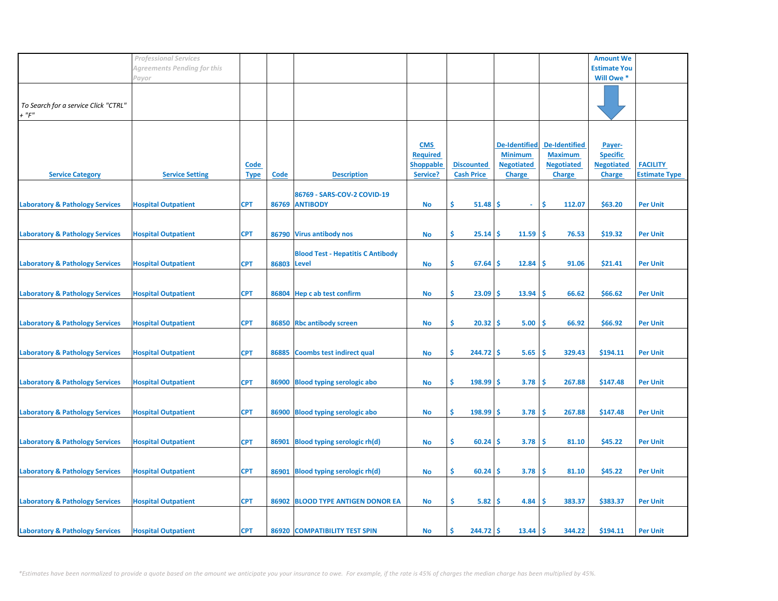|                                            | <b>Professional Services</b> |             |             |                                          |                  |                    |                      |                      | <b>Amount We</b>    |                      |
|--------------------------------------------|------------------------------|-------------|-------------|------------------------------------------|------------------|--------------------|----------------------|----------------------|---------------------|----------------------|
|                                            | Agreements Pending for this  |             |             |                                          |                  |                    |                      |                      | <b>Estimate You</b> |                      |
|                                            | Payor                        |             |             |                                          |                  |                    |                      |                      | Will Owe *          |                      |
|                                            |                              |             |             |                                          |                  |                    |                      |                      |                     |                      |
|                                            |                              |             |             |                                          |                  |                    |                      |                      |                     |                      |
| To Search for a service Click "CTRL"       |                              |             |             |                                          |                  |                    |                      |                      |                     |                      |
| $+$ " $F$ "                                |                              |             |             |                                          |                  |                    |                      |                      |                     |                      |
|                                            |                              |             |             |                                          |                  |                    |                      |                      |                     |                      |
|                                            |                              |             |             |                                          |                  |                    |                      |                      |                     |                      |
|                                            |                              |             |             |                                          | <b>CMS</b>       |                    | <b>De-Identified</b> | <b>De-Identified</b> | Payer-              |                      |
|                                            |                              |             |             |                                          | <b>Required</b>  |                    | <b>Minimum</b>       | <b>Maximum</b>       | <b>Specific</b>     |                      |
|                                            |                              | <u>Code</u> |             |                                          | <b>Shoppable</b> | <b>Discounted</b>  | <b>Negotiated</b>    | <b>Negotiated</b>    | <b>Negotiated</b>   | <b>FACILITY</b>      |
| <b>Service Category</b>                    | <b>Service Setting</b>       | <b>Type</b> | <b>Code</b> | <b>Description</b>                       | Service?         | <b>Cash Price</b>  | <b>Charge</b>        | <b>Charge</b>        | <b>Charge</b>       | <b>Estimate Type</b> |
|                                            |                              |             |             |                                          |                  |                    |                      |                      |                     |                      |
|                                            |                              |             |             | 86769 - SARS-COV-2 COVID-19              |                  |                    |                      |                      |                     |                      |
| <b>Laboratory &amp; Pathology Services</b> | <b>Hospital Outpatient</b>   | <b>CPT</b>  |             | 86769 ANTIBODY                           | No               | \$.<br>51.48       | -S<br>$\omega$ .     | Ŝ.<br>112.07         | \$63.20             | <b>Per Unit</b>      |
|                                            |                              |             |             |                                          |                  |                    |                      |                      |                     |                      |
|                                            |                              |             |             |                                          |                  |                    |                      |                      |                     |                      |
|                                            |                              |             |             |                                          |                  |                    |                      |                      |                     |                      |
| <b>Laboratory &amp; Pathology Services</b> | <b>Hospital Outpatient</b>   | <b>CPT</b>  |             | 86790 Virus antibody nos                 | <b>No</b>        | \$.<br>25.14       | 11.59<br>\$.         | -\$<br>76.53         | \$19.32             | <b>Per Unit</b>      |
|                                            |                              |             |             |                                          |                  |                    |                      |                      |                     |                      |
|                                            |                              |             |             | <b>Blood Test - Hepatitis C Antibody</b> |                  |                    |                      |                      |                     |                      |
| <b>Laboratory &amp; Pathology Services</b> | <b>Hospital Outpatient</b>   | <b>CPT</b>  | 86803 Level |                                          | No               | \$.<br>67.64       | 12.84<br>-S          | \$.<br>91.06         | \$21.41             | <b>Per Unit</b>      |
|                                            |                              |             |             |                                          |                  |                    |                      |                      |                     |                      |
|                                            |                              |             |             |                                          |                  |                    |                      |                      |                     |                      |
| <b>Laboratory &amp; Pathology Services</b> | <b>Hospital Outpatient</b>   | <b>CPT</b>  |             | 86804 Hep c ab test confirm              | <b>No</b>        | \$<br>23.09        | 13.94<br>-S          | Ŝ<br>66.62           | \$66.62             | <b>Per Unit</b>      |
|                                            |                              |             |             |                                          |                  |                    |                      |                      |                     |                      |
|                                            |                              |             |             |                                          |                  |                    |                      |                      |                     |                      |
| <b>Laboratory &amp; Pathology Services</b> | <b>Hospital Outpatient</b>   | <b>CPT</b>  |             | 86850 Rbc antibody screen                | No               | \$<br>$20.32$ \$   | 5.00                 | -\$<br>66.92         | \$66.92             | <b>Per Unit</b>      |
|                                            |                              |             |             |                                          |                  |                    |                      |                      |                     |                      |
|                                            |                              |             |             |                                          |                  |                    |                      |                      |                     |                      |
| <b>Laboratory &amp; Pathology Services</b> | <b>Hospital Outpatient</b>   | <b>CPT</b>  | 86885       | Coombs test indirect qual                | <b>No</b>        | \$.<br>$244.72$ \$ | 5.65                 | \$.<br>329.43        | \$194.11            | <b>Per Unit</b>      |
|                                            |                              |             |             |                                          |                  |                    |                      |                      |                     |                      |
|                                            |                              |             |             |                                          |                  |                    |                      |                      |                     |                      |
| <b>Laboratory &amp; Pathology Services</b> | <b>Hospital Outpatient</b>   | <b>CPT</b>  | 86900       | <b>Blood typing serologic abo</b>        | <b>No</b>        | Ŝ.<br>198.99       | 3.78<br>-S           | \$.<br>267.88        | \$147.48            | <b>Per Unit</b>      |
|                                            |                              |             |             |                                          |                  |                    |                      |                      |                     |                      |
|                                            |                              |             |             |                                          |                  |                    |                      |                      |                     |                      |
| <b>Laboratory &amp; Pathology Services</b> | <b>Hospital Outpatient</b>   | <b>CPT</b>  |             | 86900 Blood typing serologic abo         | <b>No</b>        | \$<br>198.99       | -\$<br>3.78          | \$<br>267.88         | \$147.48            | <b>Per Unit</b>      |
|                                            |                              |             |             |                                          |                  |                    |                      |                      |                     |                      |
|                                            |                              |             |             |                                          |                  |                    |                      |                      |                     |                      |
| <b>Laboratory &amp; Pathology Services</b> | <b>Hospital Outpatient</b>   | <b>CPT</b>  | 86901       | <b>Blood typing serologic rh(d)</b>      | No               | \$<br>60.24        | 3.78<br>-S           | \$.<br>81.10         | \$45.22             | <b>Per Unit</b>      |
|                                            |                              |             |             |                                          |                  |                    |                      |                      |                     |                      |
|                                            |                              |             |             |                                          |                  |                    |                      |                      |                     |                      |
| <b>Laboratory &amp; Pathology Services</b> | <b>Hospital Outpatient</b>   | <b>CPT</b>  |             | 86901 Blood typing serologic rh(d)       | <b>No</b>        | \$.<br>60.24       | 3.78<br>-S           | \$.<br>81.10         | \$45.22             | <b>Per Unit</b>      |
|                                            |                              |             |             |                                          |                  |                    |                      |                      |                     |                      |
|                                            |                              |             |             |                                          |                  |                    |                      |                      |                     |                      |
|                                            |                              | <b>CPT</b>  |             | 86902 BLOOD TYPE ANTIGEN DONOR EA        | No               | \$.<br>5.82        | 4.84<br>-\$          | \$<br>383.37         | \$383.37            |                      |
| <b>Laboratory &amp; Pathology Services</b> | <b>Hospital Outpatient</b>   |             |             |                                          |                  |                    |                      |                      |                     | <b>Per Unit</b>      |
|                                            |                              |             |             |                                          |                  |                    |                      |                      |                     |                      |
|                                            |                              |             |             |                                          |                  |                    |                      |                      |                     |                      |
| <b>Laboratory &amp; Pathology Services</b> | <b>Hospital Outpatient</b>   | <b>CPT</b>  |             | 86920 COMPATIBILITY TEST SPIN            | No               | Ś<br>$244.72$ \$   | 13.44                | <b>S</b><br>344.22   | \$194.11            | <b>Per Unit</b>      |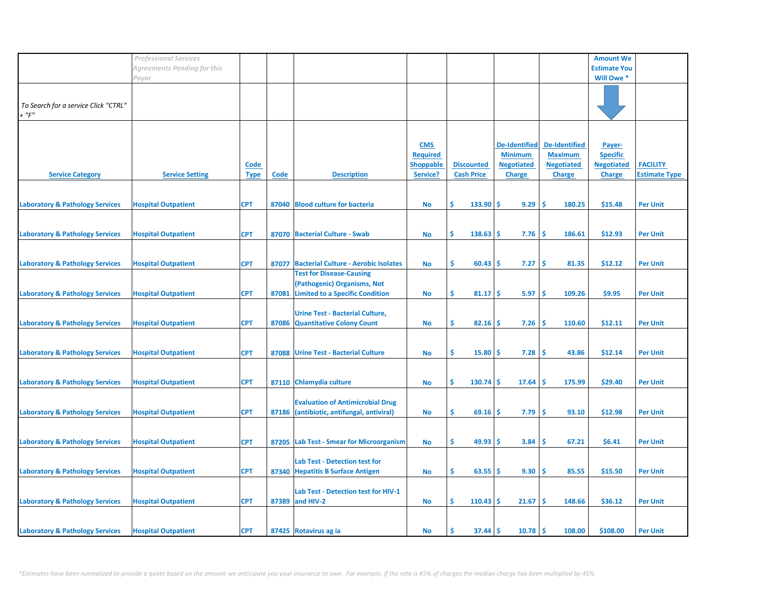|                                                     | <b>Professional Services</b> |                            |       |                                                                                                          |                                                               |                                        |                                                                              |                                                                              | <b>Amount We</b>                                                |                                         |
|-----------------------------------------------------|------------------------------|----------------------------|-------|----------------------------------------------------------------------------------------------------------|---------------------------------------------------------------|----------------------------------------|------------------------------------------------------------------------------|------------------------------------------------------------------------------|-----------------------------------------------------------------|-----------------------------------------|
|                                                     | Agreements Pending for this  |                            |       |                                                                                                          |                                                               |                                        |                                                                              |                                                                              | <b>Estimate You</b>                                             |                                         |
|                                                     | Payor                        |                            |       |                                                                                                          |                                                               |                                        |                                                                              |                                                                              | Will Owe *                                                      |                                         |
| To Search for a service Click "CTRL"<br>$+$ " $F$ " |                              |                            |       |                                                                                                          |                                                               |                                        |                                                                              |                                                                              |                                                                 |                                         |
| <b>Service Category</b>                             | <b>Service Setting</b>       | <b>Code</b><br><b>Type</b> | Code  | <b>Description</b>                                                                                       | <b>CMS</b><br><b>Required</b><br><b>Shoppable</b><br>Service? | <b>Discounted</b><br><b>Cash Price</b> | <b>De-Identified</b><br><b>Minimum</b><br><b>Negotiated</b><br><b>Charge</b> | <b>De-Identified</b><br><b>Maximum</b><br><b>Negotiated</b><br><b>Charge</b> | Payer-<br><b>Specific</b><br><b>Negotiated</b><br><b>Charge</b> | <b>FACILITY</b><br><b>Estimate Type</b> |
|                                                     |                              | <b>CPT</b>                 |       | 87040 Blood culture for bacteria                                                                         |                                                               | \$<br>$133.90$ \$                      | 9.29                                                                         | 1\$<br>180.25                                                                | \$15.48                                                         | <b>Per Unit</b>                         |
| <b>Laboratory &amp; Pathology Services</b>          | <b>Hospital Outpatient</b>   |                            |       |                                                                                                          | No                                                            |                                        |                                                                              |                                                                              |                                                                 |                                         |
| <b>Laboratory &amp; Pathology Services</b>          | <b>Hospital Outpatient</b>   | <b>CPT</b>                 |       | 87070 Bacterial Culture - Swab                                                                           | <b>No</b>                                                     | \$<br>$138.63$ \$                      | 7.76                                                                         | ١Ś<br>186.61                                                                 | \$12.93                                                         | <b>Per Unit</b>                         |
| <b>Laboratory &amp; Pathology Services</b>          | <b>Hospital Outpatient</b>   | <b>CPT</b>                 | 87077 | <b>Bacterial Culture - Aerobic Isolates</b>                                                              | <b>No</b>                                                     | \$<br>$60.43$   \$                     | 7.27                                                                         | <b>S</b><br>81.35                                                            | \$12.12                                                         | <b>Per Unit</b>                         |
| <b>Laboratory &amp; Pathology Services</b>          | <b>Hospital Outpatient</b>   | <b>CPT</b>                 | 87081 | <b>Test for Disease-Causing</b><br>(Pathogenic) Organisms, Not<br><b>Limited to a Specific Condition</b> | <b>No</b>                                                     | \$<br>81.17                            | 5.97<br>۱Ś                                                                   | -Ś<br>109.26                                                                 | \$9.95                                                          | <b>Per Unit</b>                         |
| <b>Laboratory &amp; Pathology Services</b>          | <b>Hospital Outpatient</b>   | <b>CPT</b>                 |       | <b>Urine Test - Bacterial Culture,</b><br>87086 Quantitative Colony Count                                | No                                                            | \$<br>$82.16$ \$                       | 7.26                                                                         | 110.60<br>-\$                                                                | \$12.11                                                         | <b>Per Unit</b>                         |
|                                                     |                              |                            |       |                                                                                                          |                                                               |                                        |                                                                              |                                                                              |                                                                 |                                         |
| <b>Laboratory &amp; Pathology Services</b>          | <b>Hospital Outpatient</b>   | <b>CPT</b>                 | 87088 | <b>Urine Test - Bacterial Culture</b>                                                                    | No                                                            | \$<br>15.80                            | 7.28<br>-S                                                                   | 43.86<br>-S                                                                  | \$12.14                                                         | <b>Per Unit</b>                         |
| <b>Laboratory &amp; Pathology Services</b>          | <b>Hospital Outpatient</b>   | <b>CPT</b>                 |       | 87110 Chlamydia culture                                                                                  | <b>No</b>                                                     | \$<br>130.74                           | 17.64<br>۱S                                                                  | 175.99<br>-S                                                                 | \$29.40                                                         | <b>Per Unit</b>                         |
| <b>Laboratory &amp; Pathology Services</b>          | <b>Hospital Outpatient</b>   | <b>CPT</b>                 | 87186 | <b>Evaluation of Antimicrobial Drug</b><br>(antibiotic, antifungal, antiviral)                           | No                                                            | \$<br>69.16                            | 7.79<br>۱S                                                                   | -Ś<br>93.10                                                                  | \$12.98                                                         | <b>Per Unit</b>                         |
|                                                     |                              |                            |       |                                                                                                          |                                                               |                                        |                                                                              |                                                                              |                                                                 |                                         |
| <b>Laboratory &amp; Pathology Services</b>          | <b>Hospital Outpatient</b>   | <b>CPT</b>                 |       | 87205 Lab Test - Smear for Microorganism                                                                 | No                                                            | \$<br>$49.93$ \$                       | 3.84                                                                         | -\$<br>67.21                                                                 | \$6.41                                                          | <b>Per Unit</b>                         |
| <b>Laboratory &amp; Pathology Services</b>          | <b>Hospital Outpatient</b>   | <b>CPT</b>                 |       | Lab Test - Detection test for<br>87340 Hepatitis B Surface Antigen                                       | No                                                            | \$<br>$63.55$ \$                       | 9.30                                                                         | ۱\$<br>85.55                                                                 | \$15.50                                                         | <b>Per Unit</b>                         |
| <b>Laboratory &amp; Pathology Services</b>          | <b>Hospital Outpatient</b>   | <b>CPT</b>                 |       | Lab Test - Detection test for HIV-1<br>87389 and HIV-2                                                   | <b>No</b>                                                     | \$<br>$110.43$ \$                      | 21.67                                                                        | ١Ś<br>148.66                                                                 | \$36.12                                                         | <b>Per Unit</b>                         |
| <b>Laboratory &amp; Pathology Services</b>          | <b>Hospital Outpatient</b>   | <b>CPT</b>                 |       | 87425 Rotavirus ag ia                                                                                    | <b>No</b>                                                     | Ŝ.<br>$37.44$   \$                     | 10.78                                                                        | ۱Ś<br>108.00                                                                 | \$108.00                                                        | <b>Per Unit</b>                         |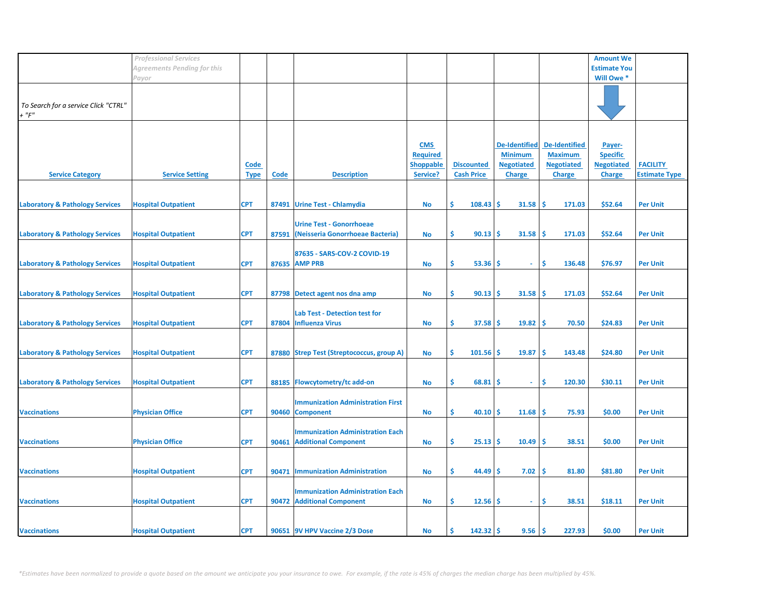|                                                 | <b>Professional Services</b> |                            |             |                                                                        |                                                               |                                        |                                                                              |                                                                              | <b>Amount We</b>                                                |                                         |
|-------------------------------------------------|------------------------------|----------------------------|-------------|------------------------------------------------------------------------|---------------------------------------------------------------|----------------------------------------|------------------------------------------------------------------------------|------------------------------------------------------------------------------|-----------------------------------------------------------------|-----------------------------------------|
|                                                 | Agreements Pending for this  |                            |             |                                                                        |                                                               |                                        |                                                                              |                                                                              | <b>Estimate You</b>                                             |                                         |
|                                                 | Payor                        |                            |             |                                                                        |                                                               |                                        |                                                                              |                                                                              | Will Owe *                                                      |                                         |
| To Search for a service Click "CTRL"<br>$+$ "F" |                              |                            |             |                                                                        |                                                               |                                        |                                                                              |                                                                              |                                                                 |                                         |
| <b>Service Category</b>                         | <b>Service Setting</b>       | <b>Code</b><br><b>Type</b> | <b>Code</b> | <b>Description</b>                                                     | <b>CMS</b><br><b>Required</b><br><b>Shoppable</b><br>Service? | <b>Discounted</b><br><b>Cash Price</b> | <b>De-Identified</b><br><b>Minimum</b><br><b>Negotiated</b><br><b>Charge</b> | <b>De-Identified</b><br><b>Maximum</b><br><b>Negotiated</b><br><b>Charge</b> | Payer-<br><b>Specific</b><br><b>Negotiated</b><br><b>Charge</b> | <b>FACILITY</b><br><b>Estimate Type</b> |
|                                                 |                              |                            |             |                                                                        |                                                               |                                        |                                                                              |                                                                              |                                                                 |                                         |
| <b>Laboratory &amp; Pathology Services</b>      | <b>Hospital Outpatient</b>   | <b>CPT</b>                 |             | 87491 Urine Test - Chlamydia                                           | No                                                            | \$<br>$108.43$ \$                      | $31.58$ \$                                                                   | 171.03                                                                       | \$52.64                                                         | <b>Per Unit</b>                         |
| <b>Laboratory &amp; Pathology Services</b>      | <b>Hospital Outpatient</b>   | <b>CPT</b>                 | 87591       | <b>Urine Test - Gonorrhoeae</b><br>(Neisseria Gonorrhoeae Bacteria)    | <b>No</b>                                                     | \$<br>$90.13$ \$                       | 31.58                                                                        | ۱\$<br>171.03                                                                | \$52.64                                                         | <b>Per Unit</b>                         |
| <b>Laboratory &amp; Pathology Services</b>      | <b>Hospital Outpatient</b>   | <b>CPT</b>                 |             | 87635 - SARS-COV-2 COVID-19<br>87635 AMP PRB                           | <b>No</b>                                                     | \$<br>$53.36$   \$                     | $\sim$                                                                       | Ŝ.<br>136.48                                                                 | \$76.97                                                         | <b>Per Unit</b>                         |
|                                                 |                              |                            |             |                                                                        |                                                               |                                        |                                                                              |                                                                              |                                                                 |                                         |
| <b>Laboratory &amp; Pathology Services</b>      | <b>Hospital Outpatient</b>   | <b>CPT</b>                 |             | 87798 Detect agent nos dna amp                                         | <b>No</b>                                                     | \$<br>90.13                            | 31.58<br>۱Ś                                                                  | ١\$<br>171.03                                                                | \$52.64                                                         | <b>Per Unit</b>                         |
| <b>Laboratory &amp; Pathology Services</b>      | <b>Hospital Outpatient</b>   | <b>CPT</b>                 | 87804       | <b>Lab Test - Detection test for</b><br><b>Influenza Virus</b>         | No                                                            | \$<br>37.58                            | 19.82<br>l \$                                                                | 70.50<br>١\$                                                                 | \$24.83                                                         | <b>Per Unit</b>                         |
|                                                 |                              |                            |             |                                                                        |                                                               |                                        |                                                                              |                                                                              |                                                                 |                                         |
| <b>Laboratory &amp; Pathology Services</b>      | <b>Hospital Outpatient</b>   | <b>CPT</b>                 |             | 87880 Strep Test (Streptococcus, group A)                              | No                                                            | \$<br>101.56                           | 19.87<br>۱\$                                                                 | 143.48<br>-Ś                                                                 | \$24.80                                                         | <b>Per Unit</b>                         |
| <b>Laboratory &amp; Pathology Services</b>      | <b>Hospital Outpatient</b>   | <b>CPT</b>                 |             | 88185 Flowcytometry/tc add-on                                          | <b>No</b>                                                     | \$<br>68.81                            | -S<br>٠                                                                      | \$<br>120.30                                                                 | \$30.11                                                         | <b>Per Unit</b>                         |
|                                                 |                              |                            |             |                                                                        |                                                               |                                        |                                                                              |                                                                              |                                                                 |                                         |
| <b>Vaccinations</b>                             | <b>Physician Office</b>      | <b>CPT</b>                 |             | <b>Immunization Administration First</b><br>90460 Component            | No                                                            | \$<br>40.10                            | $11.68$ \$<br>۱S                                                             | 75.93                                                                        | \$0.00                                                          | <b>Per Unit</b>                         |
|                                                 |                              |                            |             |                                                                        |                                                               |                                        |                                                                              |                                                                              |                                                                 |                                         |
| <b>Vaccinations</b>                             | <b>Physician Office</b>      | <b>CPT</b>                 | 90461       | <b>Immunization Administration Each</b><br><b>Additional Component</b> | No                                                            | \$<br>$25.13$ \$                       | $10.49$ \$                                                                   | 38.51                                                                        | \$0.00                                                          | <b>Per Unit</b>                         |
|                                                 |                              |                            |             |                                                                        |                                                               |                                        |                                                                              |                                                                              |                                                                 |                                         |
| <b>Vaccinations</b>                             | <b>Hospital Outpatient</b>   | <b>CPT</b>                 | 90471       | <b>Immunization Administration</b>                                     | No                                                            | \$<br>$44.49$ \$                       | 7.02                                                                         | 1\$<br>81.80                                                                 | \$81.80                                                         | <b>Per Unit</b>                         |
| <b>Vaccinations</b>                             | <b>Hospital Outpatient</b>   | <b>CPT</b>                 |             | <b>Immunization Administration Each</b><br>90472 Additional Component  | <b>No</b>                                                     | \$<br>$12.56$ \$                       | $\sim$                                                                       | \$<br>38.51                                                                  | \$18.11                                                         | <b>Per Unit</b>                         |
|                                                 |                              |                            |             |                                                                        |                                                               |                                        |                                                                              |                                                                              |                                                                 |                                         |
| <b>Vaccinations</b>                             | <b>Hospital Outpatient</b>   | <b>CPT</b>                 |             | 90651 9V HPV Vaccine 2/3 Dose                                          | <b>No</b>                                                     | Ŝ.<br>$142.32$   \$                    | 9.56                                                                         | l \$<br>227.93                                                               | \$0.00                                                          | <b>Per Unit</b>                         |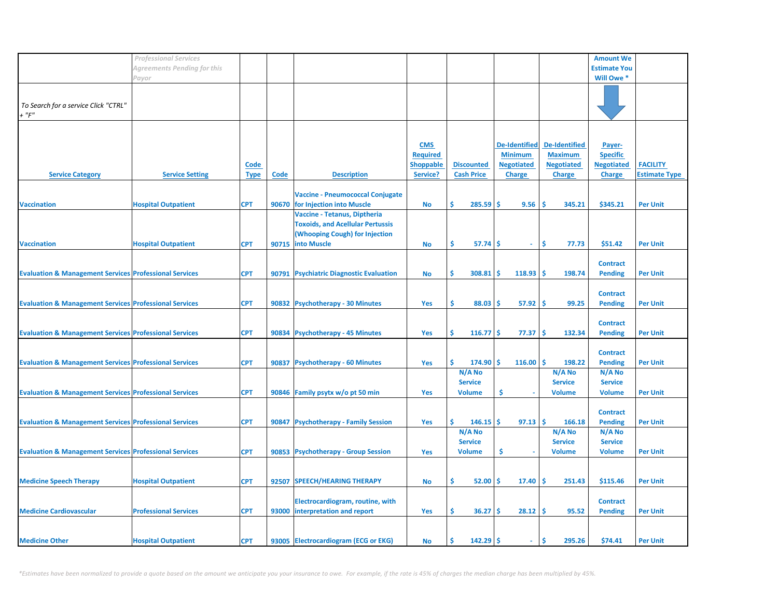|                                                                   | <b>Professional Services</b> |             |       |                                         |                  |                   |                      |                      | <b>Amount We</b>    |                      |
|-------------------------------------------------------------------|------------------------------|-------------|-------|-----------------------------------------|------------------|-------------------|----------------------|----------------------|---------------------|----------------------|
|                                                                   |                              |             |       |                                         |                  |                   |                      |                      |                     |                      |
|                                                                   | Agreements Pending for this  |             |       |                                         |                  |                   |                      |                      | <b>Estimate You</b> |                      |
|                                                                   | Payor                        |             |       |                                         |                  |                   |                      |                      | Will Owe *          |                      |
|                                                                   |                              |             |       |                                         |                  |                   |                      |                      |                     |                      |
|                                                                   |                              |             |       |                                         |                  |                   |                      |                      |                     |                      |
| To Search for a service Click "CTRL"                              |                              |             |       |                                         |                  |                   |                      |                      |                     |                      |
| $+$ " $F$ "                                                       |                              |             |       |                                         |                  |                   |                      |                      |                     |                      |
|                                                                   |                              |             |       |                                         |                  |                   |                      |                      |                     |                      |
|                                                                   |                              |             |       |                                         |                  |                   |                      |                      |                     |                      |
|                                                                   |                              |             |       |                                         |                  |                   |                      |                      |                     |                      |
|                                                                   |                              |             |       |                                         | <b>CMS</b>       |                   | <b>De-Identified</b> | <b>De-Identified</b> | Payer-              |                      |
|                                                                   |                              |             |       |                                         | <b>Required</b>  |                   | <b>Minimum</b>       | <b>Maximum</b>       | <b>Specific</b>     |                      |
|                                                                   |                              | Code        |       |                                         | <b>Shoppable</b> | <b>Discounted</b> | <b>Negotiated</b>    | <b>Negotiated</b>    | <b>Negotiated</b>   | <b>FACILITY</b>      |
|                                                                   |                              |             |       |                                         |                  |                   |                      |                      |                     |                      |
| <b>Service Category</b>                                           | <b>Service Setting</b>       | <b>Type</b> | Code  | <b>Description</b>                      | Service?         | <b>Cash Price</b> | <b>Charge</b>        | <b>Charge</b>        | <b>Charge</b>       | <b>Estimate Type</b> |
|                                                                   |                              |             |       |                                         |                  |                   |                      |                      |                     |                      |
|                                                                   |                              |             |       | <b>Vaccine - Pneumococcal Conjugate</b> |                  |                   |                      |                      |                     |                      |
| <b>Vaccination</b>                                                | <b>Hospital Outpatient</b>   | <b>CPT</b>  | 90670 | for Injection into Muscle               | <b>No</b>        | Ś<br>285.59       | <b>S</b><br>9.56     | Ś<br>345.21          | \$345.21            | <b>Per Unit</b>      |
|                                                                   |                              |             |       | Vaccine - Tetanus, Diptheria            |                  |                   |                      |                      |                     |                      |
|                                                                   |                              |             |       |                                         |                  |                   |                      |                      |                     |                      |
|                                                                   |                              |             |       | <b>Toxoids, and Acellular Pertussis</b> |                  |                   |                      |                      |                     |                      |
|                                                                   |                              |             |       | (Whooping Cough) for Injection          |                  |                   |                      |                      |                     |                      |
| <b>Vaccination</b>                                                | <b>Hospital Outpatient</b>   | <b>CPT</b>  | 90715 | <b>into Muscle</b>                      | <b>No</b>        | \$<br>57.74       | -S<br>÷.             | \$<br>77.73          | \$51.42             | <b>Per Unit</b>      |
|                                                                   |                              |             |       |                                         |                  |                   |                      |                      |                     |                      |
|                                                                   |                              |             |       |                                         |                  |                   |                      |                      | <b>Contract</b>     |                      |
|                                                                   |                              |             |       |                                         |                  |                   |                      |                      |                     |                      |
| <b>Evaluation &amp; Management Services Professional Services</b> |                              | <b>CPT</b>  |       | 90791 Psychiatric Diagnostic Evaluation | <b>No</b>        | Ŝ.<br>308.81      | 118.93<br>s.         | Ŝ<br>198.74          | <b>Pending</b>      | <b>Per Unit</b>      |
|                                                                   |                              |             |       |                                         |                  |                   |                      |                      |                     |                      |
|                                                                   |                              |             |       |                                         |                  |                   |                      |                      | <b>Contract</b>     |                      |
| <b>Evaluation &amp; Management Services Professional Services</b> |                              | <b>CPT</b>  |       | 90832 Psychotherapy - 30 Minutes        | <b>Yes</b>       | \$<br>88.03       | Ŝ<br>57.92           | -Ś<br>99.25          | <b>Pending</b>      | <b>Per Unit</b>      |
|                                                                   |                              |             |       |                                         |                  |                   |                      |                      |                     |                      |
|                                                                   |                              |             |       |                                         |                  |                   |                      |                      |                     |                      |
|                                                                   |                              |             |       |                                         |                  |                   |                      |                      | <b>Contract</b>     |                      |
| <b>Evaluation &amp; Management Services Professional Services</b> |                              | <b>CPT</b>  |       | 90834 Psychotherapy - 45 Minutes        | Yes              | Ŝ<br>$116.77$ \$  | 77.37                | \$.<br>132.34        | <b>Pending</b>      | <b>Per Unit</b>      |
|                                                                   |                              |             |       |                                         |                  |                   |                      |                      |                     |                      |
|                                                                   |                              |             |       |                                         |                  |                   |                      |                      | <b>Contract</b>     |                      |
| <b>Evaluation &amp; Management Services Professional Services</b> |                              | <b>CPT</b>  | 90837 | <b>Psychotherapy - 60 Minutes</b>       | Yes              | Ŝ<br>174.90       | Ŝ.<br>116.00         | <b>S</b><br>198.22   | <b>Pending</b>      | <b>Per Unit</b>      |
|                                                                   |                              |             |       |                                         |                  |                   |                      |                      |                     |                      |
|                                                                   |                              |             |       |                                         |                  | N/A No            |                      | N/A No               | N/A No              |                      |
|                                                                   |                              |             |       |                                         |                  | <b>Service</b>    |                      | <b>Service</b>       | <b>Service</b>      |                      |
| <b>Evaluation &amp; Management Services Professional Services</b> |                              | <b>CPT</b>  |       | 90846 Family psytx w/o pt 50 min        | <b>Yes</b>       | <b>Volume</b>     | \$                   | <b>Volume</b>        | <b>Volume</b>       | <b>Per Unit</b>      |
|                                                                   |                              |             |       |                                         |                  |                   |                      |                      |                     |                      |
|                                                                   |                              |             |       |                                         |                  |                   |                      |                      | <b>Contract</b>     |                      |
|                                                                   |                              | <b>CPT</b>  |       |                                         |                  | Ś.<br>146.15      | Ŝ.                   | Ŝ                    |                     |                      |
| <b>Evaluation &amp; Management Services Professional Services</b> |                              |             | 90847 | <b>Psychotherapy - Family Session</b>   | Yes              |                   | 97.13                | 166.18               | <b>Pending</b>      | <b>Per Unit</b>      |
|                                                                   |                              |             |       |                                         |                  | N/A No            |                      | N/A No               | N/A No              |                      |
|                                                                   |                              |             |       |                                         |                  | <b>Service</b>    |                      | <b>Service</b>       | <b>Service</b>      |                      |
| <b>Evaluation &amp; Management Services Professional Services</b> |                              | <b>CPT</b>  |       | 90853 Psychotherapy - Group Session     | <b>Yes</b>       | <b>Volume</b>     | \$<br>×,             | <b>Volume</b>        | <b>Volume</b>       | <b>Per Unit</b>      |
|                                                                   |                              |             |       |                                         |                  |                   |                      |                      |                     |                      |
|                                                                   |                              |             |       |                                         |                  |                   |                      |                      |                     |                      |
|                                                                   |                              |             |       |                                         |                  |                   |                      |                      |                     |                      |
| <b>Medicine Speech Therapy</b>                                    | <b>Hospital Outpatient</b>   | <b>CPT</b>  | 92507 | <b>SPEECH/HEARING THERAPY</b>           | No               | Ś.<br>52.00       | 17.40<br>S.          | <b>S</b><br>251.43   | \$115.46            | <b>Per Unit</b>      |
|                                                                   |                              |             |       |                                         |                  |                   |                      |                      |                     |                      |
|                                                                   |                              |             |       | Electrocardiogram, routine, with        |                  |                   |                      |                      | <b>Contract</b>     |                      |
| <b>Medicine Cardiovascular</b>                                    | <b>Professional Services</b> | <b>CPT</b>  |       | 93000 interpretation and report         | Yes              | \$.<br>36.27      | 28.12<br>\$.         | -Ś<br>95.52          | <b>Pending</b>      | <b>Per Unit</b>      |
|                                                                   |                              |             |       |                                         |                  |                   |                      |                      |                     |                      |
|                                                                   |                              |             |       |                                         |                  |                   |                      |                      |                     |                      |
|                                                                   |                              |             |       |                                         |                  |                   |                      |                      |                     |                      |
| <b>Medicine Other</b>                                             | <b>Hospital Outpatient</b>   | <b>CPT</b>  |       | 93005 Electrocardiogram (ECG or EKG)    | <b>No</b>        | Ŝ.<br>$142.29$ \$ | $\sim$               | \$.<br>295.26        | \$74.41             | <b>Per Unit</b>      |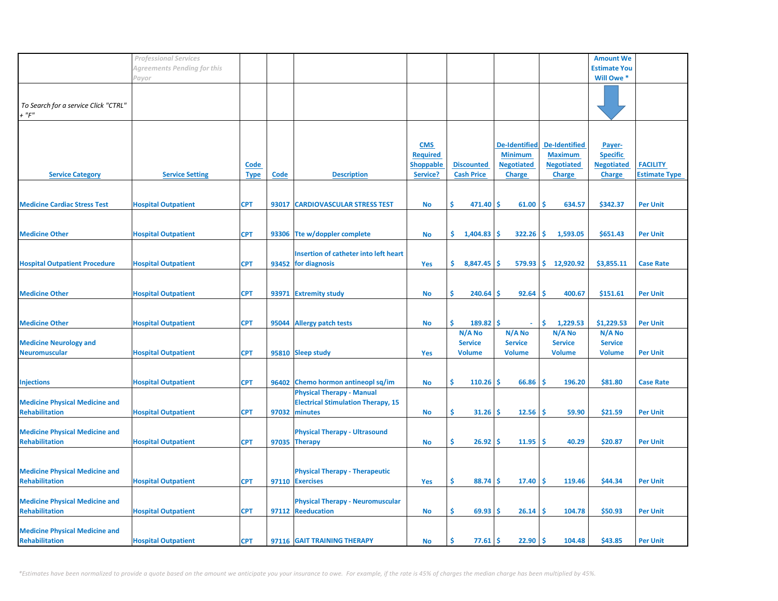|                                       | <b>Professional Services</b> |             |       |                                           |                  |                   |                      |                      | <b>Amount We</b>    |                      |
|---------------------------------------|------------------------------|-------------|-------|-------------------------------------------|------------------|-------------------|----------------------|----------------------|---------------------|----------------------|
|                                       | Agreements Pending for this  |             |       |                                           |                  |                   |                      |                      | <b>Estimate You</b> |                      |
|                                       |                              |             |       |                                           |                  |                   |                      |                      |                     |                      |
|                                       | Payor                        |             |       |                                           |                  |                   |                      |                      | Will Owe *          |                      |
|                                       |                              |             |       |                                           |                  |                   |                      |                      |                     |                      |
| To Search for a service Click "CTRL"  |                              |             |       |                                           |                  |                   |                      |                      |                     |                      |
| $+$ " $F$ "                           |                              |             |       |                                           |                  |                   |                      |                      |                     |                      |
|                                       |                              |             |       |                                           |                  |                   |                      |                      |                     |                      |
|                                       |                              |             |       |                                           |                  |                   |                      |                      |                     |                      |
|                                       |                              |             |       |                                           |                  |                   |                      |                      |                     |                      |
|                                       |                              |             |       |                                           | <b>CMS</b>       |                   | <b>De-Identified</b> | <b>De-Identified</b> | Payer-              |                      |
|                                       |                              |             |       |                                           | <b>Required</b>  |                   | <b>Minimum</b>       | <b>Maximum</b>       | <b>Specific</b>     |                      |
|                                       |                              | Code        |       |                                           | <b>Shoppable</b> | <b>Discounted</b> | <b>Negotiated</b>    | <b>Negotiated</b>    | <b>Negotiated</b>   | <b>FACILITY</b>      |
| <b>Service Category</b>               | <b>Service Setting</b>       | <b>Type</b> | Code  | <b>Description</b>                        | Service?         | <b>Cash Price</b> | <b>Charge</b>        | <b>Charge</b>        | <b>Charge</b>       | <b>Estimate Type</b> |
|                                       |                              |             |       |                                           |                  |                   |                      |                      |                     |                      |
|                                       |                              |             |       |                                           |                  |                   |                      |                      |                     |                      |
| <b>Medicine Cardiac Stress Test</b>   | <b>Hospital Outpatient</b>   | <b>CPT</b>  | 93017 | <b>CARDIOVASCULAR STRESS TEST</b>         | No               | \$.<br>471.40     | -\$<br>61.00         | -\$<br>634.57        | \$342.37            | <b>Per Unit</b>      |
|                                       |                              |             |       |                                           |                  |                   |                      |                      |                     |                      |
|                                       |                              |             |       |                                           |                  |                   |                      |                      |                     |                      |
|                                       |                              |             |       |                                           |                  |                   |                      |                      |                     |                      |
| <b>Medicine Other</b>                 | <b>Hospital Outpatient</b>   | <b>CPT</b>  |       | 93306 Tte w/doppler complete              | <b>No</b>        | \$.<br>1,404.83   | -Ś<br>322.26         | -Ś.<br>1,593.05      | \$651.43            | <b>Per Unit</b>      |
|                                       |                              |             |       |                                           |                  |                   |                      |                      |                     |                      |
|                                       |                              |             |       | Insertion of catheter into left heart     |                  |                   |                      |                      |                     |                      |
| <b>Hospital Outpatient Procedure</b>  | <b>Hospital Outpatient</b>   | <b>CPT</b>  |       | 93452 for diagnosis                       | Yes              | \$.<br>8,847.45   | $579.93$ \$<br>-Ś    | 12,920.92            | \$3,855.11          | <b>Case Rate</b>     |
|                                       |                              |             |       |                                           |                  |                   |                      |                      |                     |                      |
|                                       |                              |             |       |                                           |                  |                   |                      |                      |                     |                      |
| <b>Medicine Other</b>                 | <b>Hospital Outpatient</b>   | <b>CPT</b>  | 93971 | <b>Extremity study</b>                    | <b>No</b>        | \$<br>240.64      | -Ś<br>92.64          | -Ś<br>400.67         | \$151.61            | <b>Per Unit</b>      |
|                                       |                              |             |       |                                           |                  |                   |                      |                      |                     |                      |
|                                       |                              |             |       |                                           |                  |                   |                      |                      |                     |                      |
|                                       |                              |             |       |                                           |                  |                   |                      |                      |                     |                      |
| <b>Medicine Other</b>                 | <b>Hospital Outpatient</b>   | <b>CPT</b>  | 95044 | <b>Allergy patch tests</b>                | No               | \$<br>$189.82$ \$ | $\omega$             | \$<br>1,229.53       | \$1,229.53          | <b>Per Unit</b>      |
|                                       |                              |             |       |                                           |                  | N/A No            | N/A No               | N/A No               | N/A No              |                      |
| <b>Medicine Neurology and</b>         |                              |             |       |                                           |                  | <b>Service</b>    | <b>Service</b>       | <b>Service</b>       | <b>Service</b>      |                      |
| <b>Neuromuscular</b>                  | <b>Hospital Outpatient</b>   | <b>CPT</b>  |       | 95810 Sleep study                         | Yes              | <b>Volume</b>     | <b>Volume</b>        | <b>Volume</b>        | <b>Volume</b>       | <b>Per Unit</b>      |
|                                       |                              |             |       |                                           |                  |                   |                      |                      |                     |                      |
|                                       |                              |             |       |                                           |                  |                   |                      |                      |                     |                      |
| <b>Injections</b>                     | <b>Hospital Outpatient</b>   | <b>CPT</b>  |       | 96402 Chemo hormon antineopl sq/im        | <b>No</b>        | \$<br>110.26      | -Ś<br>66.86          | -Ś<br>196.20         | \$81.80             | <b>Case Rate</b>     |
|                                       |                              |             |       | <b>Physical Therapy - Manual</b>          |                  |                   |                      |                      |                     |                      |
|                                       |                              |             |       |                                           |                  |                   |                      |                      |                     |                      |
| <b>Medicine Physical Medicine and</b> |                              |             |       | <b>Electrical Stimulation Therapy, 15</b> |                  |                   |                      |                      |                     |                      |
| <b>Rehabilitation</b>                 | <b>Hospital Outpatient</b>   | <b>CPT</b>  | 97032 | minutes                                   | No               | \$.<br>31.26      | -Ś<br>12.56          | -Ś<br>59.90          | \$21.59             | <b>Per Unit</b>      |
|                                       |                              |             |       |                                           |                  |                   |                      |                      |                     |                      |
| <b>Medicine Physical Medicine and</b> |                              |             |       | <b>Physical Therapy - Ultrasound</b>      |                  |                   |                      |                      |                     |                      |
| <b>Rehabilitation</b>                 | <b>Hospital Outpatient</b>   | <b>CPT</b>  |       | 97035 Therapy                             | No               | \$<br>26.92       | 11.95<br>-Ś          | \$<br>40.29          | \$20.87             | <b>Per Unit</b>      |
|                                       |                              |             |       |                                           |                  |                   |                      |                      |                     |                      |
|                                       |                              |             |       |                                           |                  |                   |                      |                      |                     |                      |
| <b>Medicine Physical Medicine and</b> |                              |             |       | <b>Physical Therapy - Therapeutic</b>     |                  |                   |                      |                      |                     |                      |
| <b>Rehabilitation</b>                 | <b>Hospital Outpatient</b>   | <b>CPT</b>  |       | 97110 Exercises                           | Yes              | \$<br>88.74       | -S<br>17.40          | l \$<br>119.46       | \$44.34             | <b>Per Unit</b>      |
|                                       |                              |             |       |                                           |                  |                   |                      |                      |                     |                      |
| <b>Medicine Physical Medicine and</b> |                              |             |       | <b>Physical Therapy - Neuromuscular</b>   |                  |                   |                      |                      |                     |                      |
| <b>Rehabilitation</b>                 |                              |             |       |                                           |                  | \$.               |                      |                      |                     |                      |
|                                       | <b>Hospital Outpatient</b>   | <b>CPT</b>  |       | 97112 Reeducation                         | No               | 69.93             | -S<br>26.14          | -Ś<br>104.78         | \$50.93             | <b>Per Unit</b>      |
|                                       |                              |             |       |                                           |                  |                   |                      |                      |                     |                      |
| <b>Medicine Physical Medicine and</b> |                              |             |       |                                           |                  |                   |                      |                      |                     |                      |
| Rehabilitation                        | <b>Hospital Outpatient</b>   | <b>CPT</b>  |       | 97116 GAIT TRAINING THERAPY               | No               | \$<br>77.61       | Ŝ.<br>22.90          | \$<br>104.48         | \$43.85             | <b>Per Unit</b>      |

*\*Estimates have been normalized to provide a quote based on the amount we anticipate you your insurance to owe. For example, if the rate is 45% of charges the median charge has been multiplied by 45%.*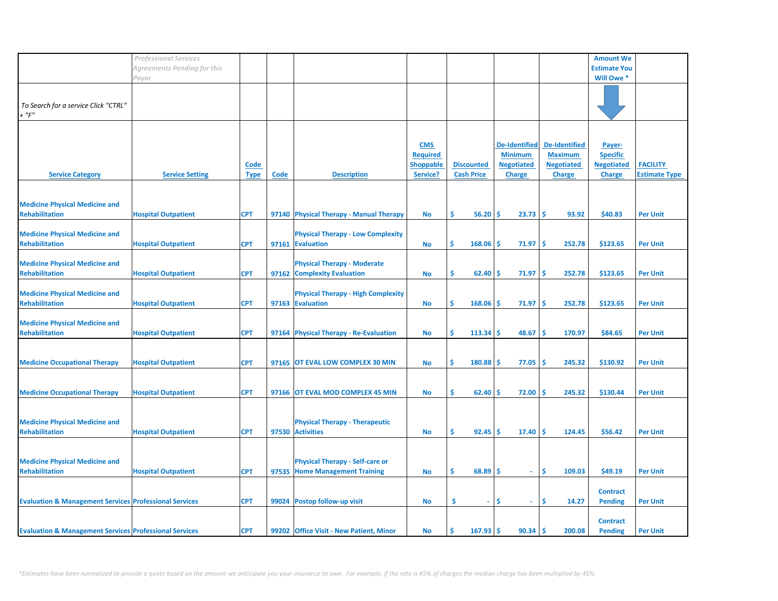|                                                                   | <b>Professional Services</b> |                     |             |                                                                          |                                                               |                                        |                                                                              |                                                                              | <b>Amount We</b>                                                |                                         |
|-------------------------------------------------------------------|------------------------------|---------------------|-------------|--------------------------------------------------------------------------|---------------------------------------------------------------|----------------------------------------|------------------------------------------------------------------------------|------------------------------------------------------------------------------|-----------------------------------------------------------------|-----------------------------------------|
|                                                                   | Agreements Pending for this  |                     |             |                                                                          |                                                               |                                        |                                                                              |                                                                              | <b>Estimate You</b>                                             |                                         |
|                                                                   | Payor                        |                     |             |                                                                          |                                                               |                                        |                                                                              |                                                                              | Will Owe *                                                      |                                         |
| To Search for a service Click "CTRL"<br>$+$ " $F$ "               |                              |                     |             |                                                                          |                                                               |                                        |                                                                              |                                                                              |                                                                 |                                         |
| <b>Service Category</b>                                           | <b>Service Setting</b>       | Code<br><b>Type</b> | <b>Code</b> | <b>Description</b>                                                       | <b>CMS</b><br><b>Required</b><br><b>Shoppable</b><br>Service? | <b>Discounted</b><br><b>Cash Price</b> | <b>De-Identified</b><br><b>Minimum</b><br><b>Negotiated</b><br><b>Charge</b> | <b>De-Identified</b><br><b>Maximum</b><br><b>Negotiated</b><br><b>Charge</b> | Payer-<br><b>Specific</b><br><b>Negotiated</b><br><b>Charge</b> | <b>FACILITY</b><br><b>Estimate Type</b> |
| <b>Medicine Physical Medicine and</b><br><b>Rehabilitation</b>    | <b>Hospital Outpatient</b>   | <b>CPT</b>          |             | 97140 Physical Therapy - Manual Therapy                                  | No                                                            | \$<br>$56.20$ \$                       | $23.73$ \$                                                                   | 93.92                                                                        | \$40.83                                                         | <b>Per Unit</b>                         |
| <b>Medicine Physical Medicine and</b><br><b>Rehabilitation</b>    | <b>Hospital Outpatient</b>   | <b>CPT</b>          |             | <b>Physical Therapy - Low Complexity</b><br>97161 Evaluation             | <b>No</b>                                                     | \$<br>$168.06$ \$                      | 71.97                                                                        | ١\$<br>252.78                                                                | \$123.65                                                        | <b>Per Unit</b>                         |
| <b>Medicine Physical Medicine and</b><br><b>Rehabilitation</b>    | <b>Hospital Outpatient</b>   | <b>CPT</b>          |             | <b>Physical Therapy - Moderate</b><br>97162 Complexity Evaluation        | <b>No</b>                                                     | \$<br>62.40                            | ۱Ś<br>71.97                                                                  | ١\$<br>252.78                                                                | \$123.65                                                        | <b>Per Unit</b>                         |
| <b>Medicine Physical Medicine and</b><br><b>Rehabilitation</b>    | <b>Hospital Outpatient</b>   | <b>CPT</b>          |             | <b>Physical Therapy - High Complexity</b><br>97163 Evaluation            | No                                                            | \$<br>168.06                           | 71.97<br>۱\$                                                                 | ۱Ś<br>252.78                                                                 | \$123.65                                                        | <b>Per Unit</b>                         |
| <b>Medicine Physical Medicine and</b><br><b>Rehabilitation</b>    | <b>Hospital Outpatient</b>   | <b>CPT</b>          |             | 97164 Physical Therapy - Re-Evaluation                                   | <b>No</b>                                                     | \$<br>113.34                           | 48.67<br>l \$                                                                | 170.97<br>-\$                                                                | \$84.65                                                         | <b>Per Unit</b>                         |
| <b>Medicine Occupational Therapy</b>                              | <b>Hospital Outpatient</b>   | <b>CPT</b>          |             | 97165 OT EVAL LOW COMPLEX 30 MIN                                         | <b>No</b>                                                     | \$<br>180.88                           | 77.05<br>۱S                                                                  | 245.32<br>١Ś                                                                 | \$130.92                                                        | <b>Per Unit</b>                         |
| <b>Medicine Occupational Therapy</b>                              | <b>Hospital Outpatient</b>   | <b>CPT</b>          |             | 97166 OT EVAL MOD COMPLEX 45 MIN                                         | <b>No</b>                                                     | \$<br>62.40                            | 72.00<br>-S                                                                  | 245.32<br>$\ddot{\bm{\zeta}}$                                                | \$130.44                                                        | <b>Per Unit</b>                         |
| <b>Medicine Physical Medicine and</b><br><b>Rehabilitation</b>    | <b>Hospital Outpatient</b>   | <b>CPT</b>          |             | <b>Physical Therapy - Therapeutic</b><br>97530 Activities                | <b>No</b>                                                     | \$<br>92.45                            | ۱Ś<br>17.40                                                                  | 124.45<br>١Ś                                                                 | \$56.42                                                         | <b>Per Unit</b>                         |
| <b>Medicine Physical Medicine and</b><br><b>Rehabilitation</b>    | <b>Hospital Outpatient</b>   | <b>CPT</b>          |             | <b>Physical Therapy - Self-care or</b><br>97535 Home Management Training | No                                                            | \$<br>$68.89$ \$                       | $\sim$                                                                       | \$<br>109.03                                                                 | \$49.19                                                         | <b>Per Unit</b>                         |
| <b>Evaluation &amp; Management Services Professional Services</b> |                              | <b>CPT</b>          |             | 99024 Postop follow-up visit                                             | <b>No</b>                                                     | \$<br>$\sim$                           | .S                                                                           | Ś<br>14.27                                                                   | <b>Contract</b><br><b>Pending</b>                               | <b>Per Unit</b>                         |
| <b>Evaluation &amp; Management Services Professional Services</b> |                              | <b>CPT</b>          |             | 99202 Office Visit - New Patient, Minor                                  | No                                                            | \$.<br>$167.93$ \$                     | 90.34                                                                        | ۱Ś<br>200.08                                                                 | <b>Contract</b><br><b>Pending</b>                               | <b>Per Unit</b>                         |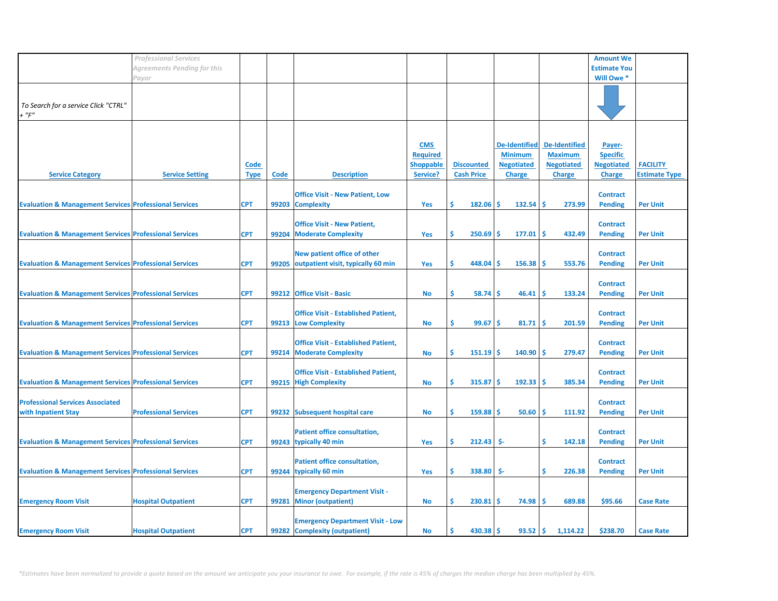|                                                                   | <b>Professional Services</b> |                     |       |                                                                          |                                                               |                                        |                                                                              |                                                                              | <b>Amount We</b>                                                |                                         |
|-------------------------------------------------------------------|------------------------------|---------------------|-------|--------------------------------------------------------------------------|---------------------------------------------------------------|----------------------------------------|------------------------------------------------------------------------------|------------------------------------------------------------------------------|-----------------------------------------------------------------|-----------------------------------------|
|                                                                   | Agreements Pending for this  |                     |       |                                                                          |                                                               |                                        |                                                                              |                                                                              | <b>Estimate You</b>                                             |                                         |
|                                                                   | Payor                        |                     |       |                                                                          |                                                               |                                        |                                                                              |                                                                              | Will Owe *                                                      |                                         |
| To Search for a service Click "CTRL"<br>$+$ " $F$ "               |                              |                     |       |                                                                          |                                                               |                                        |                                                                              |                                                                              |                                                                 |                                         |
| <b>Service Category</b>                                           | <b>Service Setting</b>       | Code<br><b>Type</b> | Code  | <b>Description</b>                                                       | <b>CMS</b><br><b>Required</b><br><b>Shoppable</b><br>Service? | <b>Discounted</b><br><b>Cash Price</b> | <b>De-Identified</b><br><b>Minimum</b><br><b>Negotiated</b><br><b>Charge</b> | <b>De-Identified</b><br><b>Maximum</b><br><b>Negotiated</b><br><b>Charge</b> | Payer-<br><b>Specific</b><br><b>Negotiated</b><br><b>Charge</b> | <b>FACILITY</b><br><b>Estimate Type</b> |
| <b>Evaluation &amp; Management Services Professional Services</b> |                              | <b>CPT</b>          |       | <b>Office Visit - New Patient, Low</b><br>99203 Complexity               | Yes                                                           | \$<br>$182.06$ \$                      | $132.54$ \$                                                                  | 273.99                                                                       | <b>Contract</b><br><b>Pending</b>                               | <b>Per Unit</b>                         |
| <b>Evaluation &amp; Management Services Professional Services</b> |                              | <b>CPT</b>          | 99204 | <b>Office Visit - New Patient,</b><br><b>Moderate Complexity</b>         | Yes                                                           | \$<br>250.69                           | $177.01$ \$<br>۱Ś                                                            | 432.49                                                                       | <b>Contract</b><br><b>Pending</b>                               | <b>Per Unit</b>                         |
| <b>Evaluation &amp; Management Services Professional Services</b> |                              | <b>CPT</b>          | 99205 | New patient office of other<br>outpatient visit, typically 60 min        | Yes                                                           | \$<br>448.04                           | ۱Ś<br>$156.38$   \$                                                          | 553.76                                                                       | <b>Contract</b><br><b>Pending</b>                               | <b>Per Unit</b>                         |
| <b>Evaluation &amp; Management Services Professional Services</b> |                              | <b>CPT</b>          | 99212 | <b>Office Visit - Basic</b>                                              | <b>No</b>                                                     | \$<br>58.74                            | -S<br>46.41                                                                  | -Ś<br>133.24                                                                 | <b>Contract</b><br><b>Pending</b>                               | <b>Per Unit</b>                         |
| <b>Evaluation &amp; Management Services Professional Services</b> |                              | <b>CPT</b>          |       | <b>Office Visit - Established Patient,</b><br>99213 Low Complexity       | No                                                            | \$<br>99.67                            | l \$<br>81.71                                                                | 201.59<br>-\$                                                                | <b>Contract</b><br><b>Pending</b>                               | <b>Per Unit</b>                         |
| <b>Evaluation &amp; Management Services Professional Services</b> |                              | <b>CPT</b>          | 99214 | <b>Office Visit - Established Patient,</b><br><b>Moderate Complexity</b> | No                                                            | \$<br>151.19                           | 140.90<br>-S                                                                 | 279.47<br>-Ś                                                                 | <b>Contract</b><br><b>Pending</b>                               | <b>Per Unit</b>                         |
| <b>Evaluation &amp; Management Services Professional Services</b> |                              | <b>CPT</b>          |       | <b>Office Visit - Established Patient,</b><br>99215 High Complexity      | <b>No</b>                                                     | \$<br>315.87                           | ۱Ś<br>$192.33 \mid 5$                                                        | 385.34                                                                       | <b>Contract</b><br><b>Pending</b>                               | <b>Per Unit</b>                         |
| <b>Professional Services Associated</b><br>with Inpatient Stay    | <b>Professional Services</b> | <b>CPT</b>          | 99232 | <b>Subsequent hospital care</b>                                          | <b>No</b>                                                     | \$<br>159.88                           | ۱Ś<br>$50.60$ \$                                                             | 111.92                                                                       | <b>Contract</b><br><b>Pending</b>                               | <b>Per Unit</b>                         |
| <b>Evaluation &amp; Management Services Professional Services</b> |                              | <b>CPT</b>          |       | <b>Patient office consultation,</b><br>99243 typically 40 min            | Yes                                                           | \$<br>212.43                           | \$-                                                                          | \$<br>142.18                                                                 | <b>Contract</b><br><b>Pending</b>                               | <b>Per Unit</b>                         |
| <b>Evaluation &amp; Management Services Professional Services</b> |                              | <b>CPT</b>          |       | <b>Patient office consultation,</b><br>99244 typically 60 min            | Yes                                                           | \$<br>338.80                           | \$-                                                                          | \$<br>226.38                                                                 | <b>Contract</b><br><b>Pending</b>                               | <b>Per Unit</b>                         |
| <b>Emergency Room Visit</b>                                       | <b>Hospital Outpatient</b>   | <b>CPT</b>          | 99281 | <b>Emergency Department Visit -</b><br><b>Minor (outpatient)</b>         | <b>No</b>                                                     | \$.<br>$230.81$   \$                   | $74.98$ \$                                                                   | 689.88                                                                       | \$95.66                                                         | <b>Case Rate</b>                        |
| <b>Emergency Room Visit</b>                                       | <b>Hospital Outpatient</b>   | <b>CPT</b>          |       | <b>Emergency Department Visit - Low</b><br>99282 Complexity (outpatient) | <b>No</b>                                                     | Ŝ.<br>$430.38$   \$                    | $93.52$ \$                                                                   | 1,114.22                                                                     | \$238.70                                                        | <b>Case Rate</b>                        |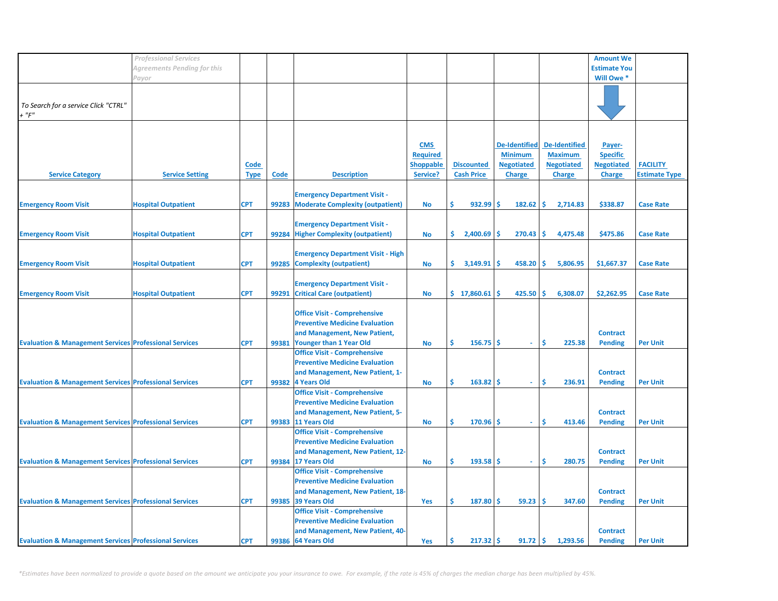|                                                                   | <b>Professional Services</b> |             |             |                                          |                  |                   |                      |                      | <b>Amount We</b>    |                      |
|-------------------------------------------------------------------|------------------------------|-------------|-------------|------------------------------------------|------------------|-------------------|----------------------|----------------------|---------------------|----------------------|
|                                                                   |                              |             |             |                                          |                  |                   |                      |                      |                     |                      |
|                                                                   | Agreements Pending for this  |             |             |                                          |                  |                   |                      |                      | <b>Estimate You</b> |                      |
|                                                                   | Payor                        |             |             |                                          |                  |                   |                      |                      | Will Owe *          |                      |
|                                                                   |                              |             |             |                                          |                  |                   |                      |                      |                     |                      |
|                                                                   |                              |             |             |                                          |                  |                   |                      |                      |                     |                      |
| To Search for a service Click "CTRL"                              |                              |             |             |                                          |                  |                   |                      |                      |                     |                      |
|                                                                   |                              |             |             |                                          |                  |                   |                      |                      |                     |                      |
| $+$ " $F$ "                                                       |                              |             |             |                                          |                  |                   |                      |                      |                     |                      |
|                                                                   |                              |             |             |                                          |                  |                   |                      |                      |                     |                      |
|                                                                   |                              |             |             |                                          |                  |                   |                      |                      |                     |                      |
|                                                                   |                              |             |             |                                          | <b>CMS</b>       |                   | <b>De-Identified</b> | <b>De-Identified</b> | Payer-              |                      |
|                                                                   |                              |             |             |                                          |                  |                   |                      |                      |                     |                      |
|                                                                   |                              |             |             |                                          | <b>Required</b>  |                   | <b>Minimum</b>       | <b>Maximum</b>       | <b>Specific</b>     |                      |
|                                                                   |                              | Code        |             |                                          | <b>Shoppable</b> | <b>Discounted</b> | <b>Negotiated</b>    | <b>Negotiated</b>    | <b>Negotiated</b>   | <b>FACILITY</b>      |
| <b>Service Category</b>                                           | <b>Service Setting</b>       | <b>Type</b> | <b>Code</b> | <b>Description</b>                       | Service?         | <b>Cash Price</b> | <b>Charge</b>        | <b>Charge</b>        | <b>Charge</b>       | <b>Estimate Type</b> |
|                                                                   |                              |             |             |                                          |                  |                   |                      |                      |                     |                      |
|                                                                   |                              |             |             |                                          |                  |                   |                      |                      |                     |                      |
|                                                                   |                              |             |             | <b>Emergency Department Visit -</b>      |                  |                   |                      |                      |                     |                      |
| <b>Emergency Room Visit</b>                                       | <b>Hospital Outpatient</b>   | <b>CPT</b>  | 99283       | <b>Moderate Complexity (outpatient)</b>  | <b>No</b>        | Ś.<br>932.99      | Ŝ.<br>182.62         | \$.<br>2,714.83      | \$338.87            | <b>Case Rate</b>     |
|                                                                   |                              |             |             |                                          |                  |                   |                      |                      |                     |                      |
|                                                                   |                              |             |             | <b>Emergency Department Visit -</b>      |                  |                   |                      |                      |                     |                      |
| <b>Emergency Room Visit</b>                                       | <b>Hospital Outpatient</b>   | <b>CPT</b>  |             | 99284 Higher Complexity (outpatient)     | <b>No</b>        | \$.<br>2,400.69   | Ŝ.<br>270.43         | Ŝ.<br>4,475.48       | \$475.86            | <b>Case Rate</b>     |
|                                                                   |                              |             |             |                                          |                  |                   |                      |                      |                     |                      |
|                                                                   |                              |             |             |                                          |                  |                   |                      |                      |                     |                      |
|                                                                   |                              |             |             | <b>Emergency Department Visit - High</b> |                  |                   |                      |                      |                     |                      |
| <b>Emergency Room Visit</b>                                       | <b>Hospital Outpatient</b>   | <b>CPT</b>  | 99285       | <b>Complexity (outpatient)</b>           | <b>No</b>        | \$.<br>3,149.91   | 458.20<br>\$.        | \$<br>5,806.95       | \$1,667.37          | <b>Case Rate</b>     |
|                                                                   |                              |             |             |                                          |                  |                   |                      |                      |                     |                      |
|                                                                   |                              |             |             |                                          |                  |                   |                      |                      |                     |                      |
|                                                                   |                              |             |             | <b>Emergency Department Visit -</b>      |                  |                   |                      |                      |                     |                      |
| <b>Emergency Room Visit</b>                                       | <b>Hospital Outpatient</b>   | <b>CPT</b>  | 99291       | <b>Critical Care (outpatient)</b>        | <b>No</b>        | \$17,860.61       | 425.50<br>Ŝ          | Ŝ.<br>6,308.07       | \$2,262.95          | <b>Case Rate</b>     |
|                                                                   |                              |             |             |                                          |                  |                   |                      |                      |                     |                      |
|                                                                   |                              |             |             | <b>Office Visit - Comprehensive</b>      |                  |                   |                      |                      |                     |                      |
|                                                                   |                              |             |             |                                          |                  |                   |                      |                      |                     |                      |
|                                                                   |                              |             |             | <b>Preventive Medicine Evaluation</b>    |                  |                   |                      |                      |                     |                      |
|                                                                   |                              |             |             | and Management, New Patient,             |                  |                   |                      |                      | <b>Contract</b>     |                      |
| <b>Evaluation &amp; Management Services Professional Services</b> |                              | <b>CPT</b>  | 99381       | <b>Younger than 1 Year Old</b>           | <b>No</b>        | Ś<br>156.75       | Ŝ.<br>÷.             | Ś<br>225.38          | <b>Pending</b>      | <b>Per Unit</b>      |
|                                                                   |                              |             |             | <b>Office Visit - Comprehensive</b>      |                  |                   |                      |                      |                     |                      |
|                                                                   |                              |             |             | <b>Preventive Medicine Evaluation</b>    |                  |                   |                      |                      |                     |                      |
|                                                                   |                              |             |             |                                          |                  |                   |                      |                      |                     |                      |
|                                                                   |                              |             |             | and Management, New Patient, 1-          |                  |                   |                      |                      | <b>Contract</b>     |                      |
| <b>Evaluation &amp; Management Services Professional Services</b> |                              | <b>CPT</b>  | 99382       | <b>4 Years Old</b>                       | <b>No</b>        | Ś<br>163.82       | Ŝ<br>$\omega$        | Ŝ<br>236.91          | <b>Pending</b>      | <b>Per Unit</b>      |
|                                                                   |                              |             |             | <b>Office Visit - Comprehensive</b>      |                  |                   |                      |                      |                     |                      |
|                                                                   |                              |             |             | <b>Preventive Medicine Evaluation</b>    |                  |                   |                      |                      |                     |                      |
|                                                                   |                              |             |             |                                          |                  |                   |                      |                      |                     |                      |
|                                                                   |                              |             |             | and Management, New Patient, 5-          |                  |                   |                      |                      | <b>Contract</b>     |                      |
| <b>Evaluation &amp; Management Services Professional Services</b> |                              | <b>CPT</b>  |             | 99383 11 Years Old                       | No               | Ś<br>170.96       | Ŝ<br>$\omega$ .      | \$<br>413.46         | <b>Pending</b>      | <b>Per Unit</b>      |
|                                                                   |                              |             |             | <b>Office Visit - Comprehensive</b>      |                  |                   |                      |                      |                     |                      |
|                                                                   |                              |             |             | <b>Preventive Medicine Evaluation</b>    |                  |                   |                      |                      |                     |                      |
|                                                                   |                              |             |             | and Management, New Patient, 12-         |                  |                   |                      |                      | <b>Contract</b>     |                      |
|                                                                   |                              |             |             |                                          |                  | Ś                 |                      |                      |                     |                      |
| <b>Evaluation &amp; Management Services Professional Services</b> |                              | <b>CPT</b>  |             | 99384 17 Years Old                       | <b>No</b>        | 193.58            | <b>S</b><br>$\omega$ | \$.<br>280.75        | <b>Pending</b>      | <b>Per Unit</b>      |
|                                                                   |                              |             |             | <b>Office Visit - Comprehensive</b>      |                  |                   |                      |                      |                     |                      |
|                                                                   |                              |             |             | <b>Preventive Medicine Evaluation</b>    |                  |                   |                      |                      |                     |                      |
|                                                                   |                              |             |             | and Management, New Patient, 18-         |                  |                   |                      |                      | <b>Contract</b>     |                      |
| <b>Evaluation &amp; Management Services Professional Services</b> |                              | <b>CPT</b>  | 99385       | 39 Years Old                             | <b>Yes</b>       | Ś.<br>187.80      | Ŝ.<br>59.23          | Ś<br>347.60          | <b>Pending</b>      | <b>Per Unit</b>      |
|                                                                   |                              |             |             |                                          |                  |                   |                      |                      |                     |                      |
|                                                                   |                              |             |             | <b>Office Visit - Comprehensive</b>      |                  |                   |                      |                      |                     |                      |
|                                                                   |                              |             |             | <b>Preventive Medicine Evaluation</b>    |                  |                   |                      |                      |                     |                      |
|                                                                   |                              |             |             | and Management, New Patient, 40-         |                  |                   |                      |                      | <b>Contract</b>     |                      |
| <b>Evaluation &amp; Management Services Professional Services</b> |                              | <b>CPT</b>  |             | 99386 64 Years Old                       | <b>Yes</b>       | Ŝ.<br>$217.32$ \$ | 91.72                | Ŝ.<br>1,293.56       | <b>Pending</b>      | <b>Per Unit</b>      |
|                                                                   |                              |             |             |                                          |                  |                   |                      |                      |                     |                      |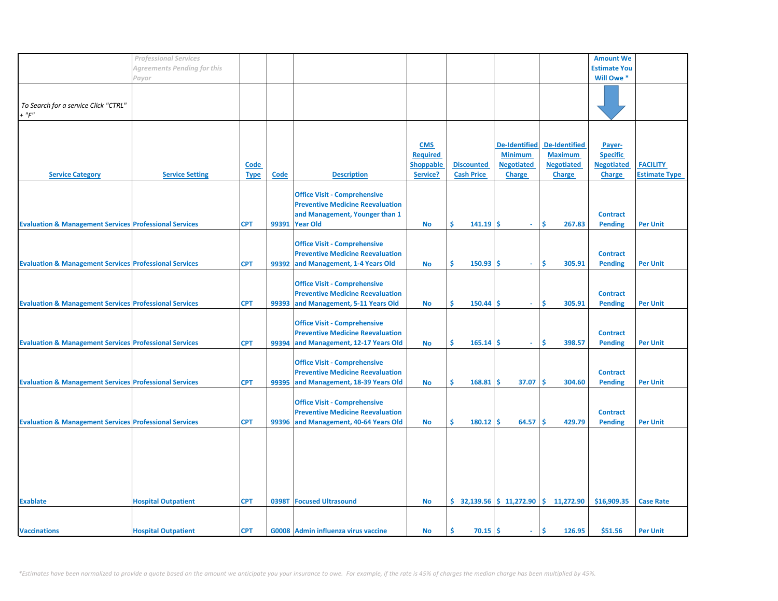|                                                                   | <b>Professional Services</b> |             |       |                                         |                  |                   |                      |                                                                            | <b>Amount We</b>    |                      |
|-------------------------------------------------------------------|------------------------------|-------------|-------|-----------------------------------------|------------------|-------------------|----------------------|----------------------------------------------------------------------------|---------------------|----------------------|
|                                                                   | Agreements Pending for this  |             |       |                                         |                  |                   |                      |                                                                            | <b>Estimate You</b> |                      |
|                                                                   | Payor                        |             |       |                                         |                  |                   |                      |                                                                            | Will Owe *          |                      |
|                                                                   |                              |             |       |                                         |                  |                   |                      |                                                                            |                     |                      |
|                                                                   |                              |             |       |                                         |                  |                   |                      |                                                                            |                     |                      |
|                                                                   |                              |             |       |                                         |                  |                   |                      |                                                                            |                     |                      |
| To Search for a service Click "CTRL"                              |                              |             |       |                                         |                  |                   |                      |                                                                            |                     |                      |
| $+$ " $F$ "                                                       |                              |             |       |                                         |                  |                   |                      |                                                                            |                     |                      |
|                                                                   |                              |             |       |                                         |                  |                   |                      |                                                                            |                     |                      |
|                                                                   |                              |             |       |                                         |                  |                   |                      |                                                                            |                     |                      |
|                                                                   |                              |             |       |                                         | <b>CMS</b>       |                   | <b>De-Identified</b> | <b>De-Identified</b>                                                       | Payer-              |                      |
|                                                                   |                              |             |       |                                         | <b>Required</b>  |                   | <b>Minimum</b>       | <b>Maximum</b>                                                             | <b>Specific</b>     |                      |
|                                                                   |                              |             |       |                                         |                  |                   |                      |                                                                            |                     |                      |
|                                                                   |                              | <b>Code</b> |       |                                         | <b>Shoppable</b> | <b>Discounted</b> | <b>Negotiated</b>    | <b>Negotiated</b>                                                          | <b>Negotiated</b>   | <b>FACILITY</b>      |
| <b>Service Category</b>                                           | <b>Service Setting</b>       | <b>Type</b> | Code  | <b>Description</b>                      | Service?         | <b>Cash Price</b> | <b>Charge</b>        | <b>Charge</b>                                                              | <b>Charge</b>       | <b>Estimate Type</b> |
|                                                                   |                              |             |       |                                         |                  |                   |                      |                                                                            |                     |                      |
|                                                                   |                              |             |       | <b>Office Visit - Comprehensive</b>     |                  |                   |                      |                                                                            |                     |                      |
|                                                                   |                              |             |       | <b>Preventive Medicine Reevaluation</b> |                  |                   |                      |                                                                            |                     |                      |
|                                                                   |                              |             |       | and Management, Younger than 1          |                  |                   |                      |                                                                            | <b>Contract</b>     |                      |
|                                                                   |                              |             |       |                                         |                  |                   |                      |                                                                            |                     |                      |
| <b>Evaluation &amp; Management Services Professional Services</b> |                              | <b>CPT</b>  | 99391 | <b>Year Old</b>                         | No               | Ŝ.<br>$141.19$ \$ | ×.                   | \$.<br>267.83                                                              | <b>Pending</b>      | <b>Per Unit</b>      |
|                                                                   |                              |             |       |                                         |                  |                   |                      |                                                                            |                     |                      |
|                                                                   |                              |             |       | <b>Office Visit - Comprehensive</b>     |                  |                   |                      |                                                                            |                     |                      |
|                                                                   |                              |             |       | <b>Preventive Medicine Reevaluation</b> |                  |                   |                      |                                                                            | <b>Contract</b>     |                      |
| <b>Evaluation &amp; Management Services Professional Services</b> |                              | <b>CPT</b>  |       | 99392 and Management, 1-4 Years Old     | <b>No</b>        | Ŝ.<br>150.93      | -S<br>$\omega$       | Ŝ<br>305.91                                                                | <b>Pending</b>      | <b>Per Unit</b>      |
|                                                                   |                              |             |       |                                         |                  |                   |                      |                                                                            |                     |                      |
|                                                                   |                              |             |       |                                         |                  |                   |                      |                                                                            |                     |                      |
|                                                                   |                              |             |       | <b>Office Visit - Comprehensive</b>     |                  |                   |                      |                                                                            |                     |                      |
|                                                                   |                              |             |       | <b>Preventive Medicine Reevaluation</b> |                  |                   |                      |                                                                            | <b>Contract</b>     |                      |
| <b>Evaluation &amp; Management Services Professional Services</b> |                              | <b>CPT</b>  | 99393 | and Management, 5-11 Years Old          | No               | Ŝ.<br>$150.44$ \$ | $\sim$               | \$.<br>305.91                                                              | <b>Pending</b>      | <b>Per Unit</b>      |
|                                                                   |                              |             |       |                                         |                  |                   |                      |                                                                            |                     |                      |
|                                                                   |                              |             |       | <b>Office Visit - Comprehensive</b>     |                  |                   |                      |                                                                            |                     |                      |
|                                                                   |                              |             |       |                                         |                  |                   |                      |                                                                            |                     |                      |
|                                                                   |                              |             |       | <b>Preventive Medicine Reevaluation</b> |                  |                   |                      |                                                                            | <b>Contract</b>     |                      |
| <b>Evaluation &amp; Management Services Professional Services</b> |                              | <b>CPT</b>  | 99394 | and Management, 12-17 Years Old         | <b>No</b>        | $165.14$ \$<br>Ŝ  | $\omega$ .           | Ŝ.<br>398.57                                                               | <b>Pending</b>      | <b>Per Unit</b>      |
|                                                                   |                              |             |       |                                         |                  |                   |                      |                                                                            |                     |                      |
|                                                                   |                              |             |       | <b>Office Visit - Comprehensive</b>     |                  |                   |                      |                                                                            |                     |                      |
|                                                                   |                              |             |       | <b>Preventive Medicine Reevaluation</b> |                  |                   |                      |                                                                            | <b>Contract</b>     |                      |
|                                                                   |                              |             |       |                                         |                  | \$.<br>168.81     | 37.07<br>\$.         | <b>S</b><br>304.60                                                         |                     | <b>Per Unit</b>      |
| <b>Evaluation &amp; Management Services Professional Services</b> |                              | <b>CPT</b>  | 99395 | and Management, 18-39 Years Old         | <b>No</b>        |                   |                      |                                                                            | <b>Pending</b>      |                      |
|                                                                   |                              |             |       |                                         |                  |                   |                      |                                                                            |                     |                      |
|                                                                   |                              |             |       | <b>Office Visit - Comprehensive</b>     |                  |                   |                      |                                                                            |                     |                      |
|                                                                   |                              |             |       | <b>Preventive Medicine Reevaluation</b> |                  |                   |                      |                                                                            | <b>Contract</b>     |                      |
| <b>Evaluation &amp; Management Services Professional Services</b> |                              | <b>CPT</b>  |       | 99396 and Management, 40-64 Years Old   | <b>No</b>        | Ŝ.<br>180.12      | -Ś<br>64.57          | -Ś<br>429.79                                                               | <b>Pending</b>      | <b>Per Unit</b>      |
|                                                                   |                              |             |       |                                         |                  |                   |                      |                                                                            |                     |                      |
|                                                                   |                              |             |       |                                         |                  |                   |                      |                                                                            |                     |                      |
|                                                                   |                              |             |       |                                         |                  |                   |                      |                                                                            |                     |                      |
|                                                                   |                              |             |       |                                         |                  |                   |                      |                                                                            |                     |                      |
|                                                                   |                              |             |       |                                         |                  |                   |                      |                                                                            |                     |                      |
|                                                                   |                              |             |       |                                         |                  |                   |                      |                                                                            |                     |                      |
|                                                                   |                              |             |       |                                         |                  |                   |                      |                                                                            |                     |                      |
|                                                                   |                              |             |       |                                         |                  |                   |                      |                                                                            |                     |                      |
|                                                                   |                              |             |       |                                         |                  |                   |                      |                                                                            |                     |                      |
| <b>Exablate</b>                                                   | <b>Hospital Outpatient</b>   | <b>CPT</b>  | 0398T | <b>Focused Ultrasound</b>               | <b>No</b>        |                   |                      | $\binom{1}{2}$ 32,139.56 $\binom{1}{2}$ 11,272.90 $\binom{2}{3}$ 11,272.90 | \$16,909.35         | <b>Case Rate</b>     |
|                                                                   |                              |             |       |                                         |                  |                   |                      |                                                                            |                     |                      |
|                                                                   |                              |             |       |                                         |                  |                   |                      |                                                                            |                     |                      |
| <b>Vaccinations</b>                                               | <b>Hospital Outpatient</b>   | <b>CPT</b>  |       | G0008 Admin influenza virus vaccine     | <b>No</b>        | \$.<br>70.15      | -\$<br>$\sim$        | Ŝ.<br>126.95                                                               | \$51.56             | <b>Per Unit</b>      |